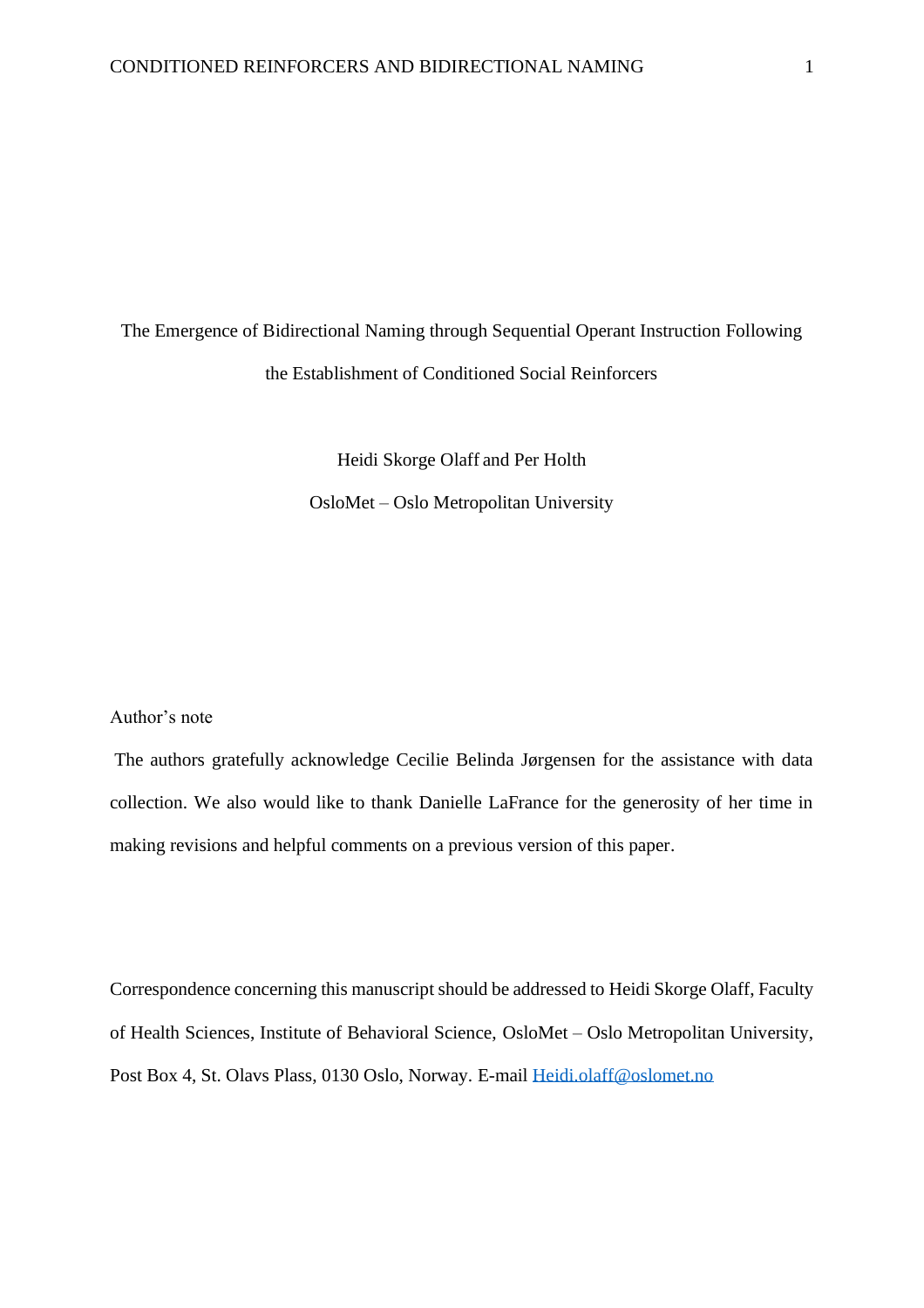# The Emergence of Bidirectional Naming through Sequential Operant Instruction Following the Establishment of Conditioned Social Reinforcers

Heidi Skorge Olaff and Per Holth OsloMet – Oslo Metropolitan University

#### Author's note

The authors gratefully acknowledge Cecilie Belinda Jørgensen for the assistance with data collection. We also would like to thank Danielle LaFrance for the generosity of her time in making revisions and helpful comments on a previous version of this paper.

Correspondence concerning this manuscript should be addressed to Heidi Skorge Olaff, Faculty of Health Sciences, Institute of Behavioral Science, OsloMet – Oslo Metropolitan University, Post Box 4, St. Olavs Plass, 0130 Oslo, Norway. E-mail Heidi.olaff@oslomet.no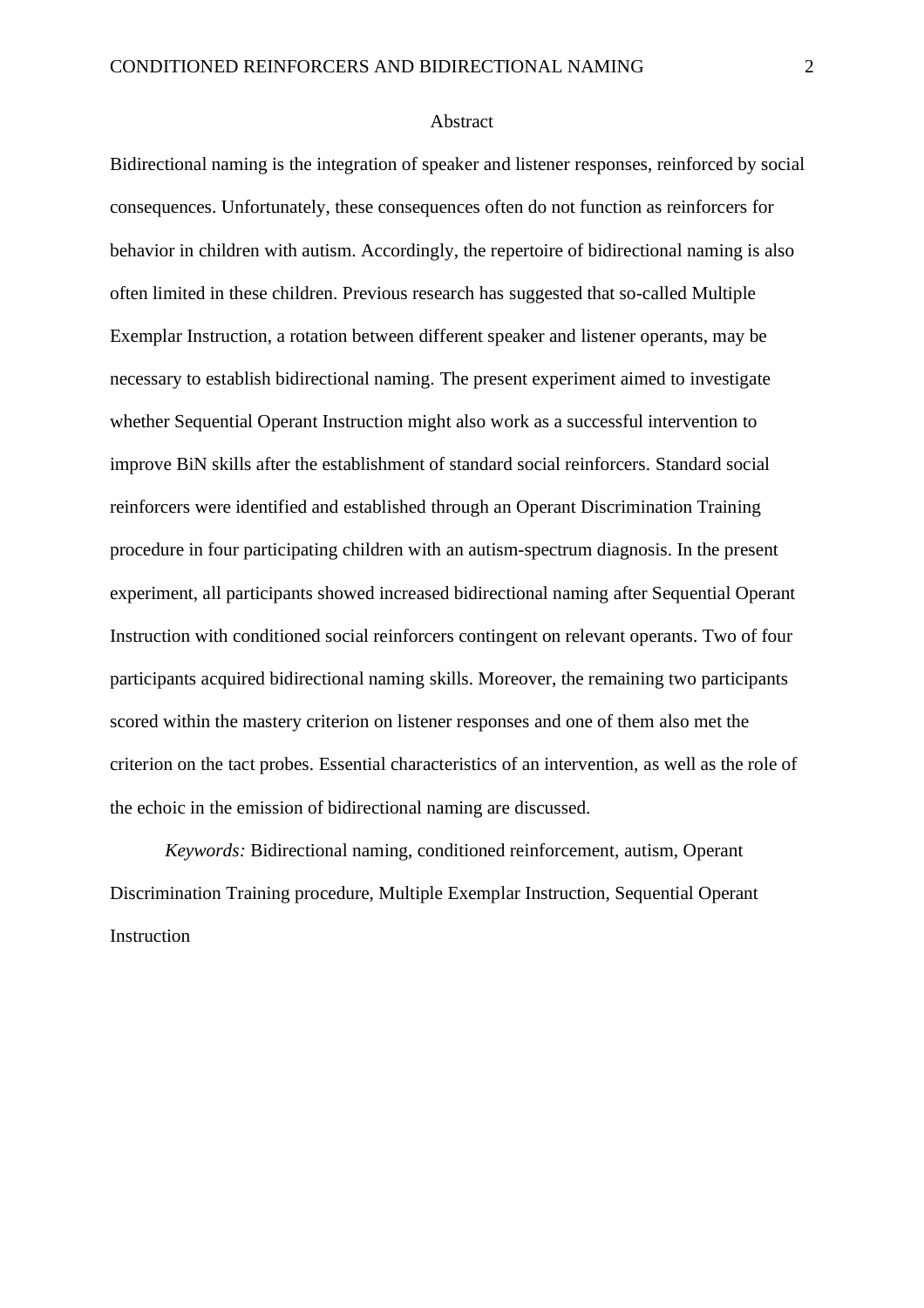#### Abstract

Bidirectional naming is the integration of speaker and listener responses, reinforced by social consequences. Unfortunately, these consequences often do not function as reinforcers for behavior in children with autism. Accordingly, the repertoire of bidirectional naming is also often limited in these children. Previous research has suggested that so-called Multiple Exemplar Instruction, a rotation between different speaker and listener operants, may be necessary to establish bidirectional naming. The present experiment aimed to investigate whether Sequential Operant Instruction might also work as a successful intervention to improve BiN skills after the establishment of standard social reinforcers. Standard social reinforcers were identified and established through an Operant Discrimination Training procedure in four participating children with an autism-spectrum diagnosis. In the present experiment, all participants showed increased bidirectional naming after Sequential Operant Instruction with conditioned social reinforcers contingent on relevant operants. Two of four participants acquired bidirectional naming skills. Moreover, the remaining two participants scored within the mastery criterion on listener responses and one of them also met the criterion on the tact probes. Essential characteristics of an intervention, as well as the role of the echoic in the emission of bidirectional naming are discussed.

*Keywords:* Bidirectional naming, conditioned reinforcement, autism, Operant Discrimination Training procedure, Multiple Exemplar Instruction, Sequential Operant Instruction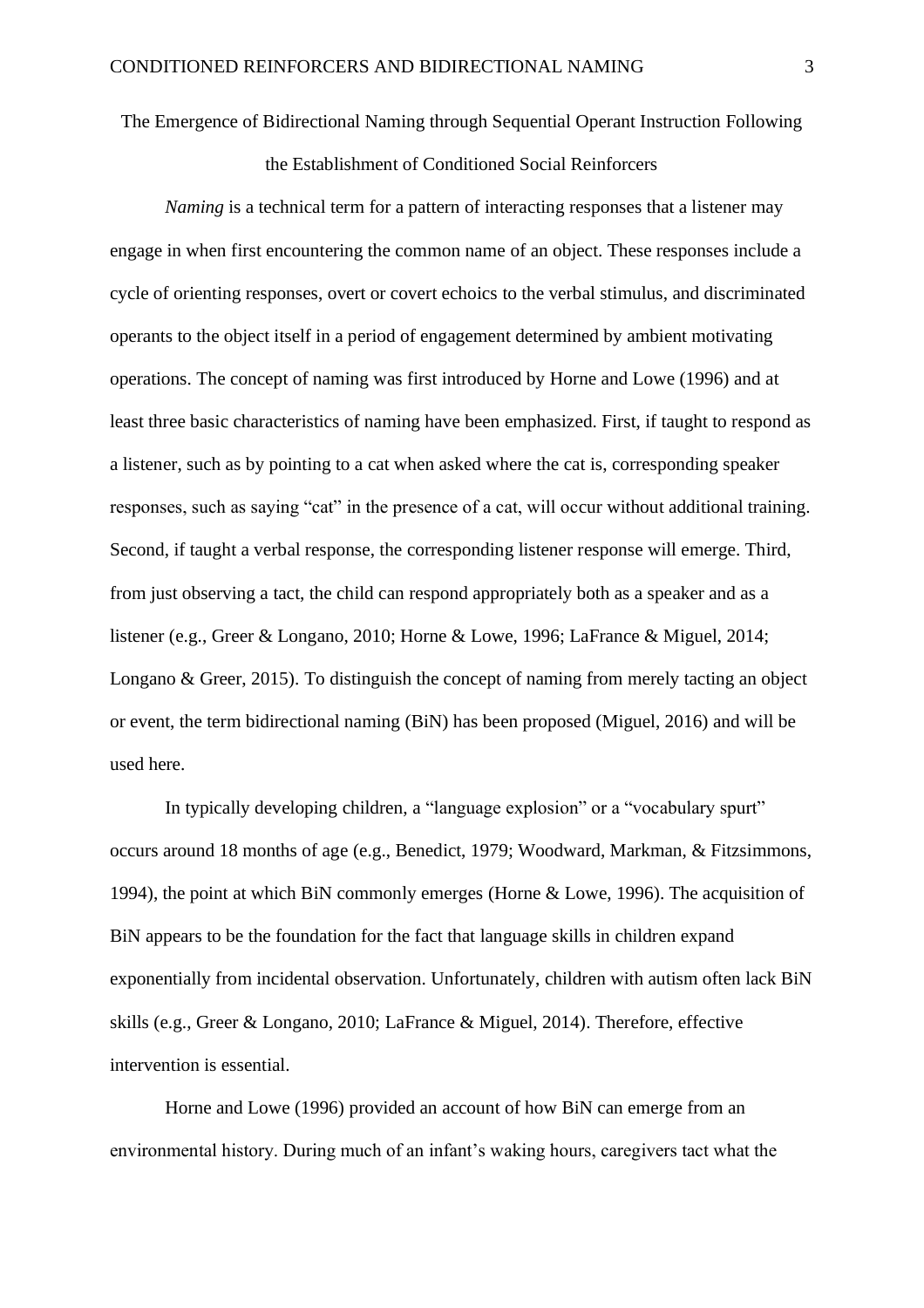### The Emergence of Bidirectional Naming through Sequential Operant Instruction Following

the Establishment of Conditioned Social Reinforcers

*Naming* is a technical term for a pattern of interacting responses that a listener may engage in when first encountering the common name of an object. These responses include a cycle of orienting responses, overt or covert echoics to the verbal stimulus, and discriminated operants to the object itself in a period of engagement determined by ambient motivating operations. The concept of naming was first introduced by Horne and Lowe (1996) and at least three basic characteristics of naming have been emphasized. First, if taught to respond as a listener, such as by pointing to a cat when asked where the cat is, corresponding speaker responses, such as saying "cat" in the presence of a cat, will occur without additional training. Second, if taught a verbal response, the corresponding listener response will emerge. Third, from just observing a tact, the child can respond appropriately both as a speaker and as a listener (e.g., Greer & Longano, 2010; Horne & Lowe, 1996; LaFrance & Miguel, 2014; Longano & Greer, 2015). To distinguish the concept of naming from merely tacting an object or event, the term bidirectional naming (BiN) has been proposed (Miguel, 2016) and will be used here.

In typically developing children, a "language explosion" or a "vocabulary spurt" occurs around 18 months of age (e.g., Benedict, 1979; Woodward, Markman, & Fitzsimmons, 1994), the point at which BiN commonly emerges (Horne & Lowe, 1996). The acquisition of BiN appears to be the foundation for the fact that language skills in children expand exponentially from incidental observation. Unfortunately, children with autism often lack BiN skills (e.g., Greer & Longano, 2010; LaFrance & Miguel, 2014). Therefore, effective intervention is essential.

Horne and Lowe (1996) provided an account of how BiN can emerge from an environmental history. During much of an infant's waking hours, caregivers tact what the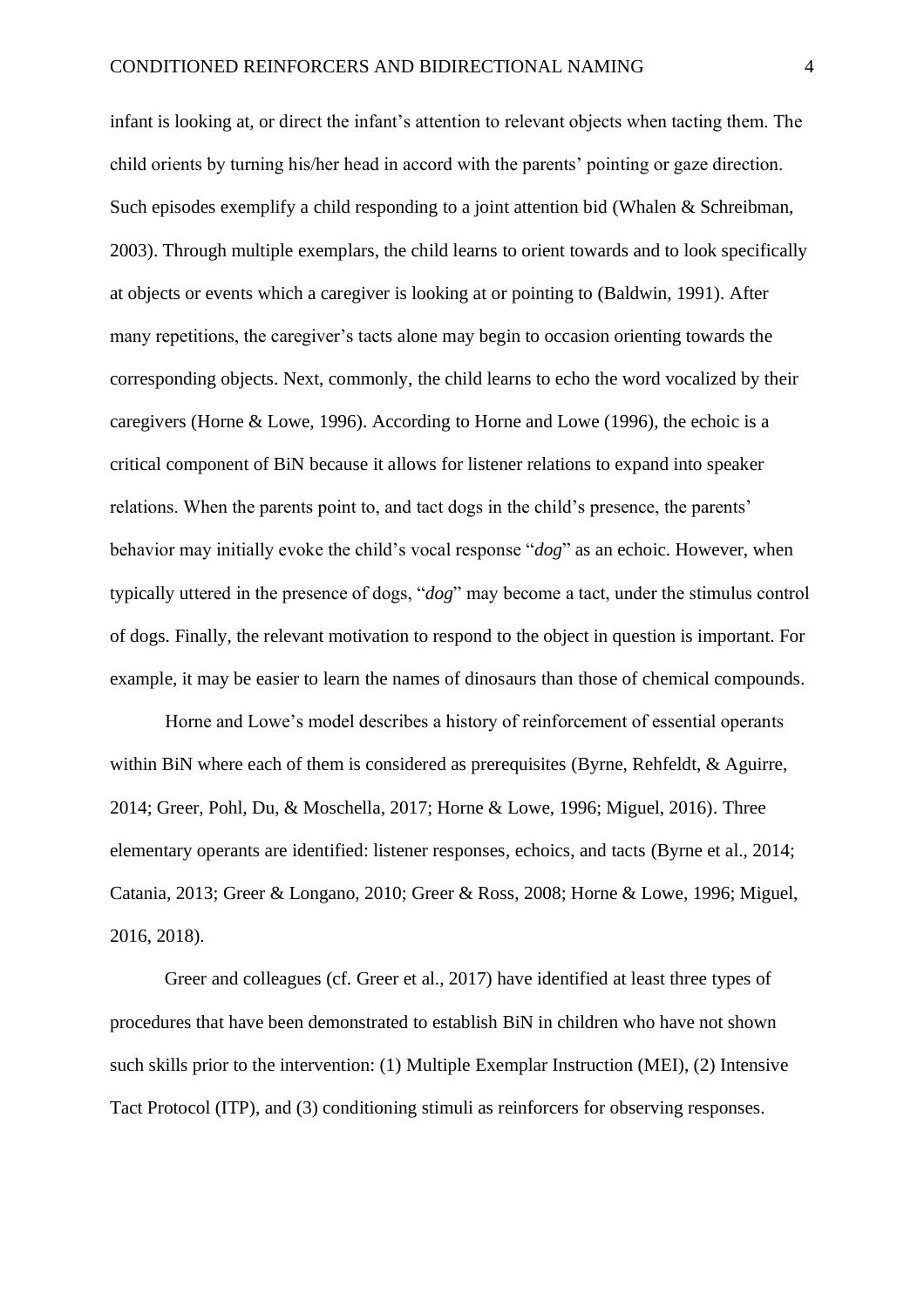infant is looking at, or direct the infant's attention to relevant objects when tacting them. The child orients by turning his/her head in accord with the parents' pointing or gaze direction. Such episodes exemplify a child responding to a joint attention bid (Whalen & Schreibman, 2003). Through multiple exemplars, the child learns to orient towards and to look specifically at objects or events which a caregiver is looking at or pointing to (Baldwin, 1991). After many repetitions, the caregiver's tacts alone may begin to occasion orienting towards the corresponding objects. Next, commonly, the child learns to echo the word vocalized by their caregivers (Horne & Lowe, 1996). According to Horne and Lowe (1996), the echoic is a critical component of BiN because it allows for listener relations to expand into speaker relations. When the parents point to, and tact dogs in the child's presence, the parents' behavior may initially evoke the child's vocal response "*dog*" as an echoic. However, when typically uttered in the presence of dogs, "*dog*" may become a tact, under the stimulus control of dogs. Finally, the relevant motivation to respond to the object in question is important. For example, it may be easier to learn the names of dinosaurs than those of chemical compounds.

Horne and Lowe's model describes a history of reinforcement of essential operants within BiN where each of them is considered as prerequisites (Byrne, Rehfeldt, & Aguirre, 2014; Greer, Pohl, Du, & Moschella, 2017; Horne & Lowe, 1996; Miguel, 2016). Three elementary operants are identified: listener responses, echoics, and tacts (Byrne et al., 2014; Catania, 2013; Greer & Longano, 2010; Greer & Ross, 2008; Horne & Lowe, 1996; Miguel, 2016, 2018).

Greer and colleagues (cf. Greer et al., 2017) have identified at least three types of procedures that have been demonstrated to establish BiN in children who have not shown such skills prior to the intervention: (1) Multiple Exemplar Instruction (MEI), (2) Intensive Tact Protocol (ITP), and (3) conditioning stimuli as reinforcers for observing responses.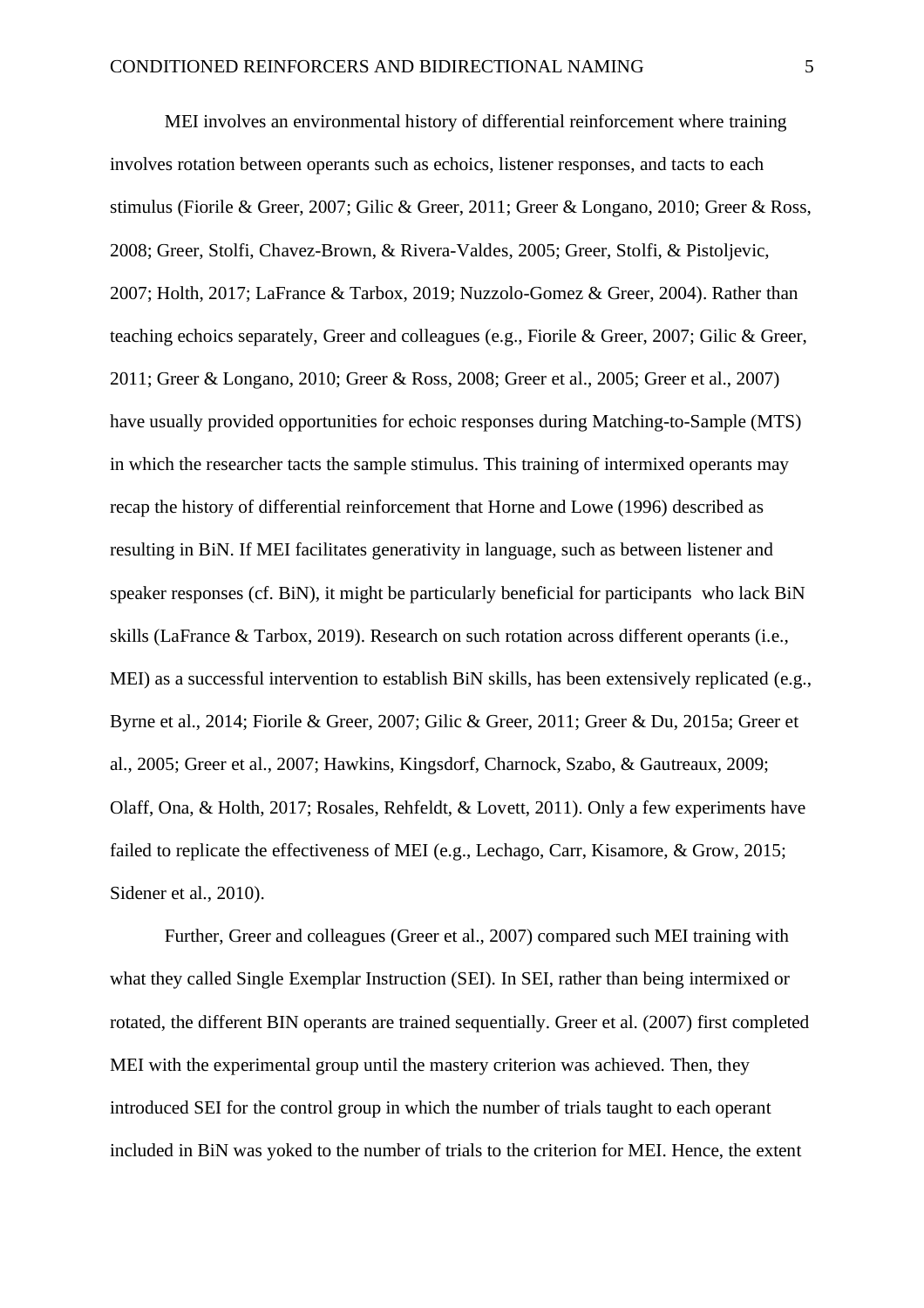MEI involves an environmental history of differential reinforcement where training involves rotation between operants such as echoics, listener responses, and tacts to each stimulus (Fiorile & Greer, 2007; Gilic & Greer, 2011; Greer & Longano, 2010; Greer & Ross, 2008; Greer, Stolfi, Chavez-Brown, & Rivera-Valdes, 2005; Greer, Stolfi, & Pistoljevic, 2007; Holth, 2017; LaFrance & Tarbox, 2019; Nuzzolo-Gomez & Greer, 2004). Rather than teaching echoics separately, Greer and colleagues (e.g., Fiorile & Greer, 2007; Gilic & Greer, 2011; Greer & Longano, 2010; Greer & Ross, 2008; Greer et al., 2005; Greer et al., 2007) have usually provided opportunities for echoic responses during Matching-to-Sample (MTS) in which the researcher tacts the sample stimulus. This training of intermixed operants may recap the history of differential reinforcement that Horne and Lowe (1996) described as resulting in BiN. If MEI facilitates generativity in language, such as between listener and speaker responses (cf. BiN), it might be particularly beneficial for participants who lack BiN skills (LaFrance & Tarbox, 2019). Research on such rotation across different operants (i.e., MEI) as a successful intervention to establish BiN skills, has been extensively replicated (e.g., Byrne et al., 2014; Fiorile & Greer, 2007; Gilic & Greer, 2011; Greer & Du, 2015a; Greer et al., 2005; Greer et al., 2007; Hawkins, Kingsdorf, Charnock, Szabo, & Gautreaux, 2009; Olaff, Ona, & Holth, 2017; Rosales, Rehfeldt, & Lovett, 2011). Only a few experiments have failed to replicate the effectiveness of MEI (e.g., Lechago, Carr, Kisamore, & Grow, 2015; Sidener et al., 2010).

Further, Greer and colleagues (Greer et al., 2007) compared such MEI training with what they called Single Exemplar Instruction (SEI). In SEI, rather than being intermixed or rotated, the different BIN operants are trained sequentially. Greer et al. (2007) first completed MEI with the experimental group until the mastery criterion was achieved. Then, they introduced SEI for the control group in which the number of trials taught to each operant included in BiN was yoked to the number of trials to the criterion for MEI. Hence, the extent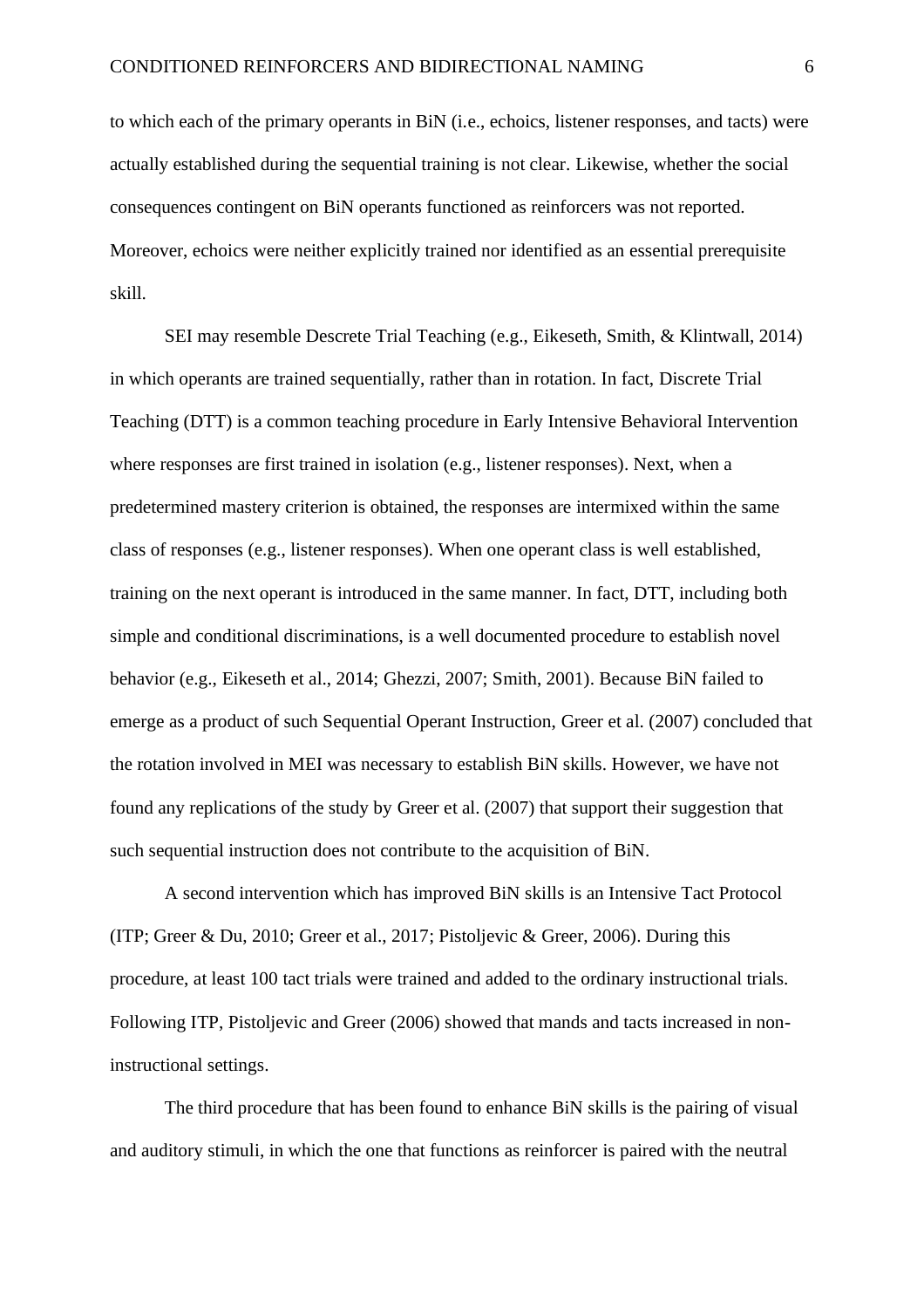to which each of the primary operants in BiN (i.e., echoics, listener responses, and tacts) were actually established during the sequential training is not clear. Likewise, whether the social consequences contingent on BiN operants functioned as reinforcers was not reported. Moreover, echoics were neither explicitly trained nor identified as an essential prerequisite skill.

SEI may resemble Descrete Trial Teaching (e.g., Eikeseth, Smith, & Klintwall, 2014) in which operants are trained sequentially, rather than in rotation. In fact, Discrete Trial Teaching (DTT) is a common teaching procedure in Early Intensive Behavioral Intervention where responses are first trained in isolation (e.g., listener responses). Next, when a predetermined mastery criterion is obtained, the responses are intermixed within the same class of responses (e.g., listener responses). When one operant class is well established, training on the next operant is introduced in the same manner. In fact, DTT, including both simple and conditional discriminations, is a well documented procedure to establish novel behavior (e.g., Eikeseth et al., 2014; Ghezzi, 2007; Smith, 2001). Because BiN failed to emerge as a product of such Sequential Operant Instruction, Greer et al. (2007) concluded that the rotation involved in MEI was necessary to establish BiN skills. However, we have not found any replications of the study by Greer et al. (2007) that support their suggestion that such sequential instruction does not contribute to the acquisition of BiN.

A second intervention which has improved BiN skills is an Intensive Tact Protocol (ITP; Greer & Du, 2010; Greer et al., 2017; Pistoljevic & Greer, 2006). During this procedure, at least 100 tact trials were trained and added to the ordinary instructional trials. Following ITP, Pistoljevic and Greer (2006) showed that mands and tacts increased in noninstructional settings.

The third procedure that has been found to enhance BiN skills is the pairing of visual and auditory stimuli, in which the one that functions as reinforcer is paired with the neutral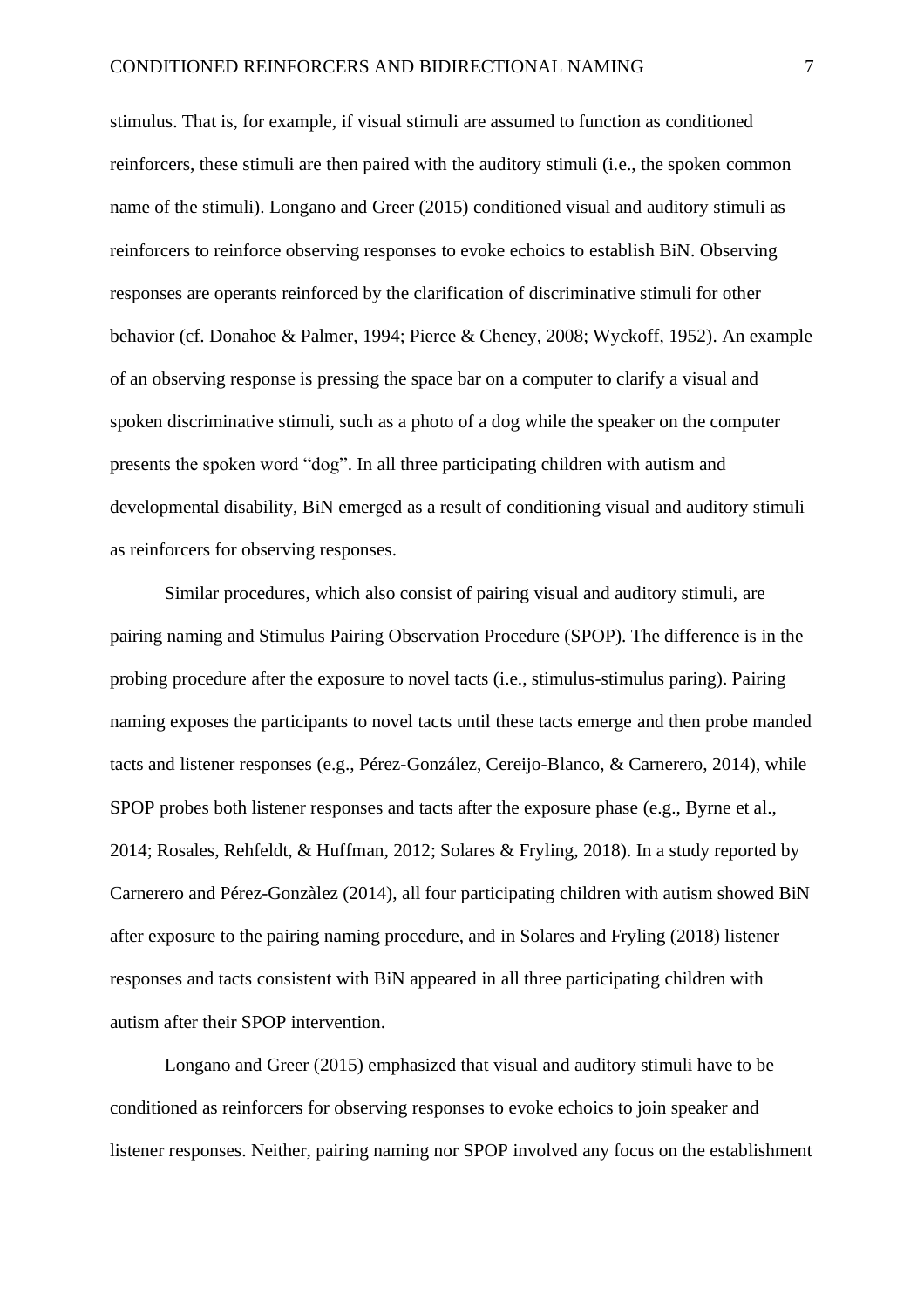stimulus. That is, for example, if visual stimuli are assumed to function as conditioned reinforcers, these stimuli are then paired with the auditory stimuli (i.e., the spoken common name of the stimuli). Longano and Greer (2015) conditioned visual and auditory stimuli as reinforcers to reinforce observing responses to evoke echoics to establish BiN. Observing responses are operants reinforced by the clarification of discriminative stimuli for other behavior (cf. Donahoe & Palmer, 1994; Pierce & Cheney, 2008; Wyckoff, 1952). An example of an observing response is pressing the space bar on a computer to clarify a visual and spoken discriminative stimuli, such as a photo of a dog while the speaker on the computer presents the spoken word "dog". In all three participating children with autism and developmental disability, BiN emerged as a result of conditioning visual and auditory stimuli as reinforcers for observing responses.

Similar procedures, which also consist of pairing visual and auditory stimuli, are pairing naming and Stimulus Pairing Observation Procedure (SPOP). The difference is in the probing procedure after the exposure to novel tacts (i.e., stimulus-stimulus paring). Pairing naming exposes the participants to novel tacts until these tacts emerge and then probe manded tacts and listener responses (e.g., Pérez-González, Cereijo-Blanco, & Carnerero, 2014), while SPOP probes both listener responses and tacts after the exposure phase (e.g., Byrne et al., 2014; Rosales, Rehfeldt, & Huffman, 2012; Solares & Fryling, 2018). In a study reported by Carnerero and Pérez-Gonzàlez (2014), all four participating children with autism showed BiN after exposure to the pairing naming procedure, and in Solares and Fryling (2018) listener responses and tacts consistent with BiN appeared in all three participating children with autism after their SPOP intervention.

Longano and Greer (2015) emphasized that visual and auditory stimuli have to be conditioned as reinforcers for observing responses to evoke echoics to join speaker and listener responses. Neither, pairing naming nor SPOP involved any focus on the establishment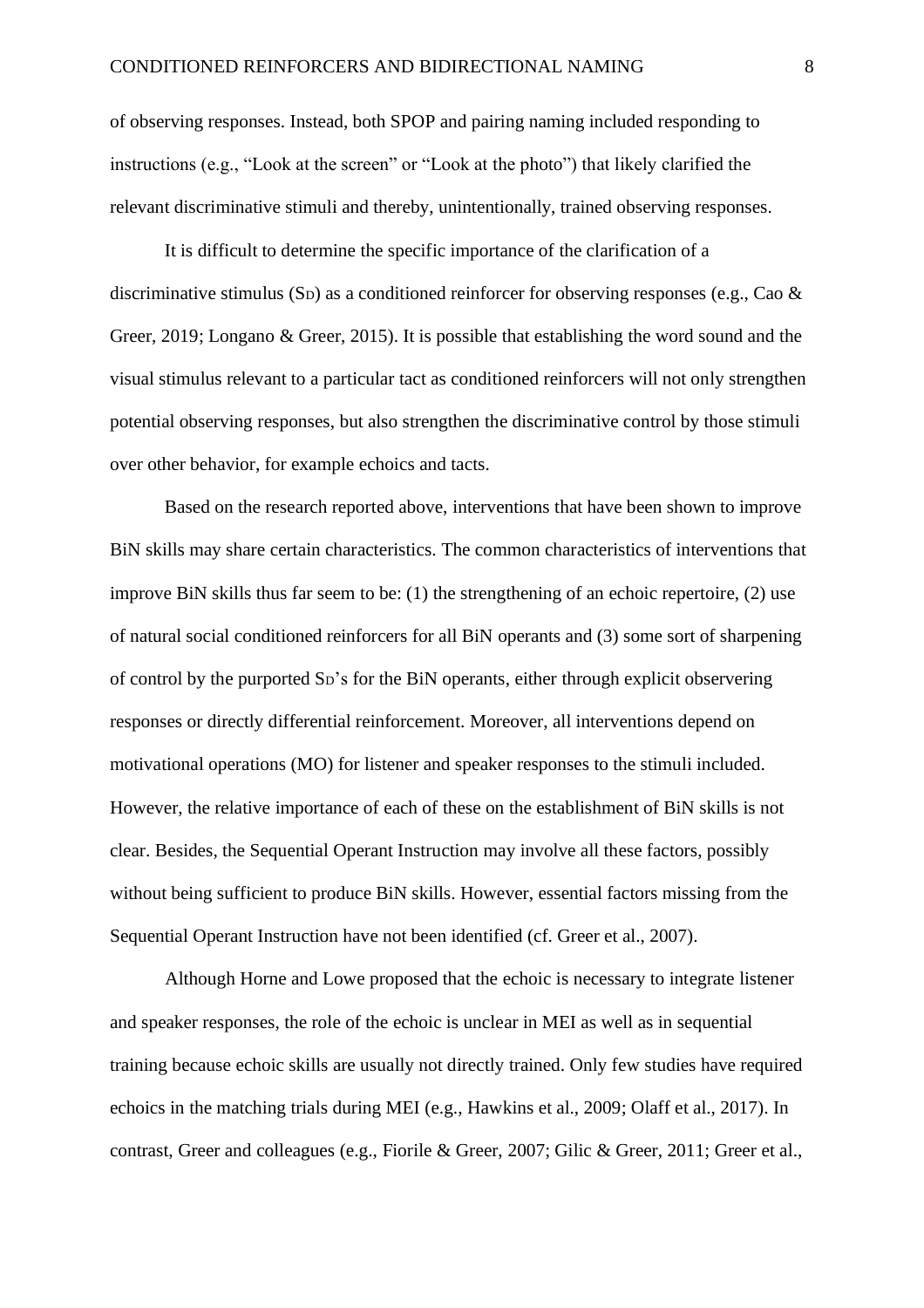of observing responses. Instead, both SPOP and pairing naming included responding to instructions (e.g., "Look at the screen" or "Look at the photo") that likely clarified the relevant discriminative stimuli and thereby, unintentionally, trained observing responses.

It is difficult to determine the specific importance of the clarification of a discriminative stimulus (S<sub>D</sub>) as a conditioned reinforcer for observing responses (e.g., Cao  $\&$ Greer, 2019; Longano & Greer, 2015). It is possible that establishing the word sound and the visual stimulus relevant to a particular tact as conditioned reinforcers will not only strengthen potential observing responses, but also strengthen the discriminative control by those stimuli over other behavior, for example echoics and tacts.

Based on the research reported above, interventions that have been shown to improve BiN skills may share certain characteristics. The common characteristics of interventions that improve BiN skills thus far seem to be: (1) the strengthening of an echoic repertoire, (2) use of natural social conditioned reinforcers for all BiN operants and (3) some sort of sharpening of control by the purported SD's for the BiN operants, either through explicit observering responses or directly differential reinforcement. Moreover, all interventions depend on motivational operations (MO) for listener and speaker responses to the stimuli included. However, the relative importance of each of these on the establishment of BiN skills is not clear. Besides, the Sequential Operant Instruction may involve all these factors, possibly without being sufficient to produce BiN skills. However, essential factors missing from the Sequential Operant Instruction have not been identified (cf. Greer et al., 2007).

Although Horne and Lowe proposed that the echoic is necessary to integrate listener and speaker responses, the role of the echoic is unclear in MEI as well as in sequential training because echoic skills are usually not directly trained. Only few studies have required echoics in the matching trials during MEI (e.g., Hawkins et al., 2009; Olaff et al., 2017). In contrast, Greer and colleagues (e.g., Fiorile & Greer, 2007; Gilic & Greer, 2011; Greer et al.,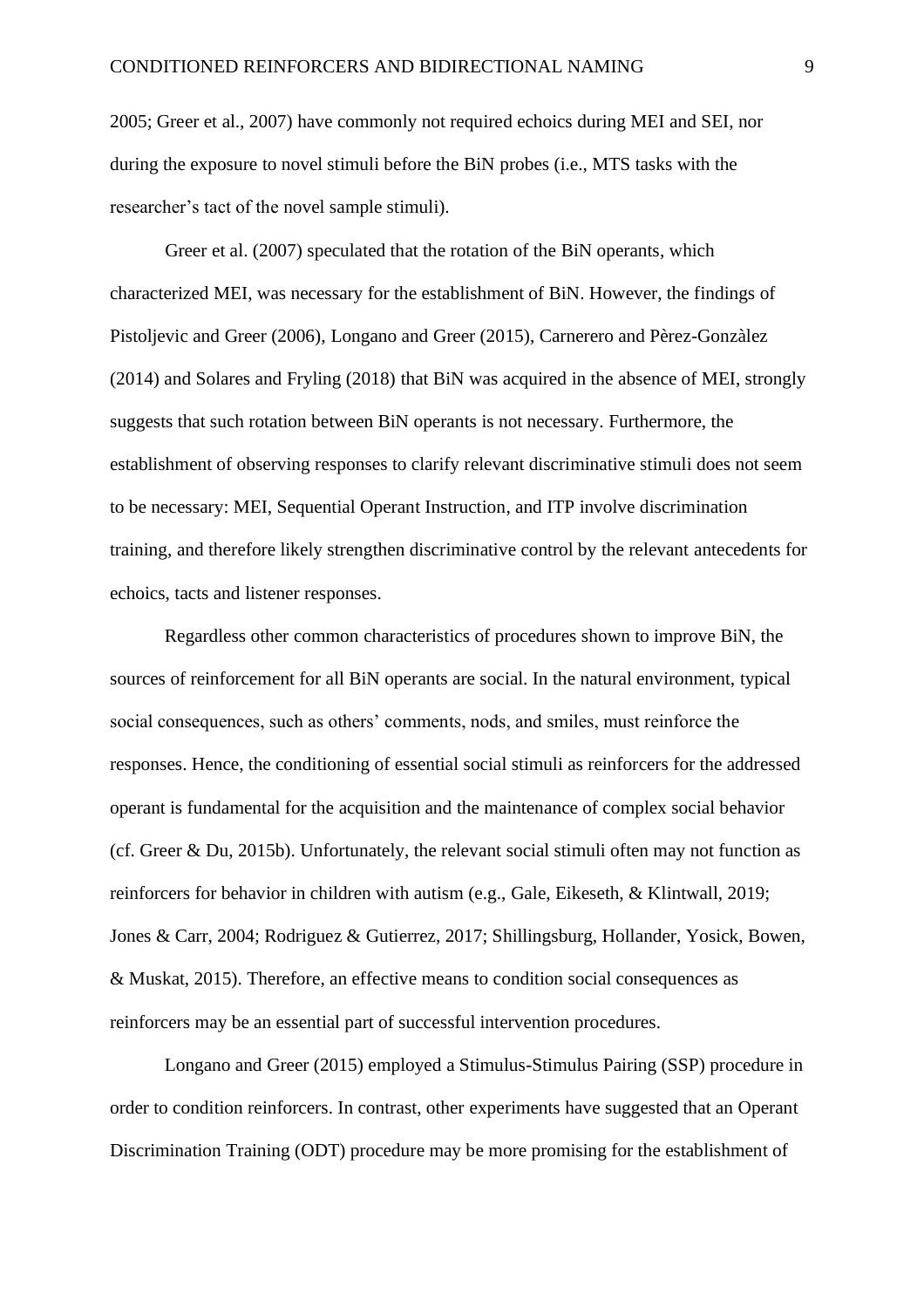2005; Greer et al., 2007) have commonly not required echoics during MEI and SEI, nor during the exposure to novel stimuli before the BiN probes (i.e., MTS tasks with the researcher's tact of the novel sample stimuli).

Greer et al. (2007) speculated that the rotation of the BiN operants, which characterized MEI, was necessary for the establishment of BiN. However, the findings of Pistoljevic and Greer (2006), Longano and Greer (2015), Carnerero and Pèrez-Gonzàlez (2014) and Solares and Fryling (2018) that BiN was acquired in the absence of MEI, strongly suggests that such rotation between BiN operants is not necessary. Furthermore, the establishment of observing responses to clarify relevant discriminative stimuli does not seem to be necessary: MEI, Sequential Operant Instruction, and ITP involve discrimination training, and therefore likely strengthen discriminative control by the relevant antecedents for echoics, tacts and listener responses.

Regardless other common characteristics of procedures shown to improve BiN, the sources of reinforcement for all BiN operants are social. In the natural environment, typical social consequences, such as others' comments, nods, and smiles, must reinforce the responses. Hence, the conditioning of essential social stimuli as reinforcers for the addressed operant is fundamental for the acquisition and the maintenance of complex social behavior (cf. Greer & Du, 2015b). Unfortunately, the relevant social stimuli often may not function as reinforcers for behavior in children with autism (e.g., Gale, Eikeseth, & Klintwall, 2019; Jones & Carr, 2004; Rodriguez & Gutierrez, 2017; Shillingsburg, Hollander, Yosick, Bowen, & Muskat, 2015). Therefore, an effective means to condition social consequences as reinforcers may be an essential part of successful intervention procedures.

Longano and Greer (2015) employed a Stimulus-Stimulus Pairing (SSP) procedure in order to condition reinforcers. In contrast, other experiments have suggested that an Operant Discrimination Training (ODT) procedure may be more promising for the establishment of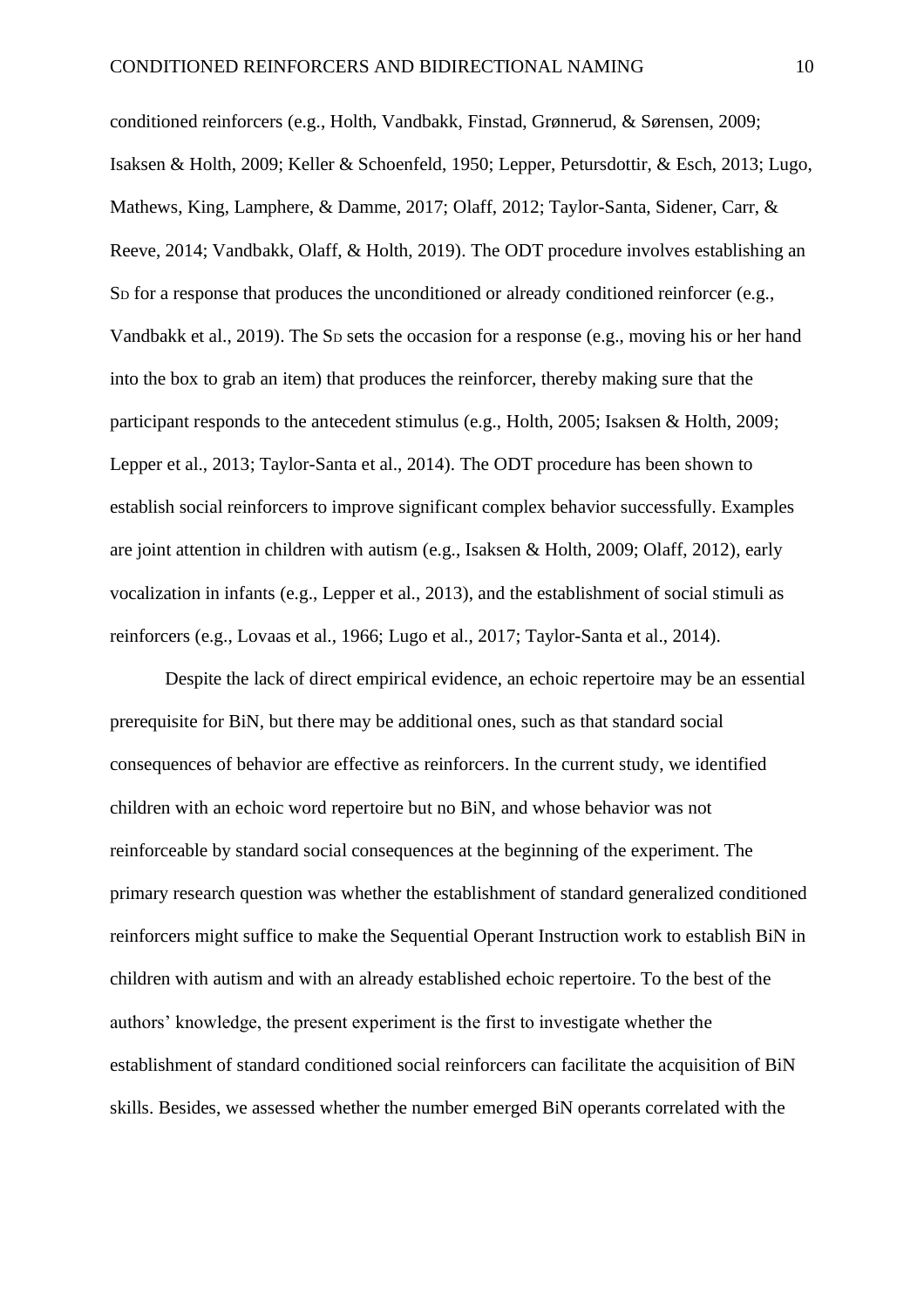conditioned reinforcers (e.g., Holth, Vandbakk, Finstad, Grønnerud, & Sørensen, 2009; Isaksen & Holth, 2009; Keller & Schoenfeld, 1950; Lepper, Petursdottir, & Esch, 2013; Lugo, Mathews, King, Lamphere, & Damme, 2017; Olaff, 2012; Taylor-Santa, Sidener, Carr, & Reeve, 2014; Vandbakk, Olaff, & Holth, 2019). The ODT procedure involves establishing an So for a response that produces the unconditioned or already conditioned reinforcer (e.g., Vandbakk et al., 2019). The S<sub>D</sub> sets the occasion for a response (e.g., moving his or her hand into the box to grab an item) that produces the reinforcer, thereby making sure that the participant responds to the antecedent stimulus (e.g., Holth, 2005; Isaksen & Holth, 2009; Lepper et al., 2013; Taylor-Santa et al., 2014). The ODT procedure has been shown to establish social reinforcers to improve significant complex behavior successfully. Examples are joint attention in children with autism (e.g., Isaksen & Holth, 2009; Olaff, 2012), early vocalization in infants (e.g., Lepper et al., 2013), and the establishment of social stimuli as reinforcers (e.g., Lovaas et al., 1966; Lugo et al., 2017; Taylor-Santa et al., 2014).

Despite the lack of direct empirical evidence, an echoic repertoire may be an essential prerequisite for BiN, but there may be additional ones, such as that standard social consequences of behavior are effective as reinforcers. In the current study, we identified children with an echoic word repertoire but no BiN, and whose behavior was not reinforceable by standard social consequences at the beginning of the experiment. The primary research question was whether the establishment of standard generalized conditioned reinforcers might suffice to make the Sequential Operant Instruction work to establish BiN in children with autism and with an already established echoic repertoire. To the best of the authors' knowledge, the present experiment is the first to investigate whether the establishment of standard conditioned social reinforcers can facilitate the acquisition of BiN skills. Besides, we assessed whether the number emerged BiN operants correlated with the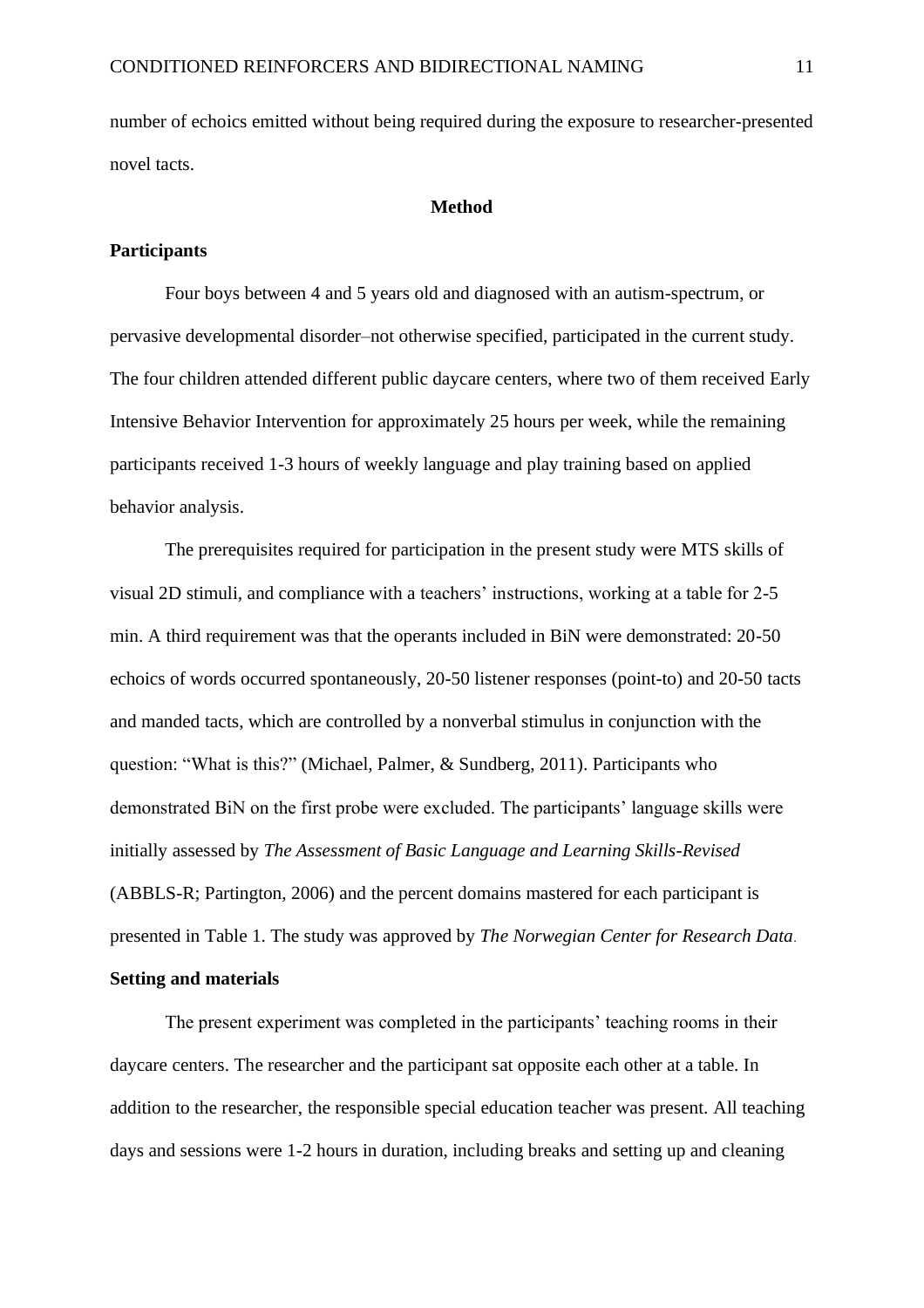number of echoics emitted without being required during the exposure to researcher-presented novel tacts.

#### **Method**

### **Participants**

Four boys between 4 and 5 years old and diagnosed with an autism-spectrum, or pervasive developmental disorder–not otherwise specified, participated in the current study. The four children attended different public daycare centers, where two of them received Early Intensive Behavior Intervention for approximately 25 hours per week, while the remaining participants received 1-3 hours of weekly language and play training based on applied behavior analysis.

The prerequisites required for participation in the present study were MTS skills of visual 2D stimuli, and compliance with a teachers' instructions, working at a table for 2-5 min. A third requirement was that the operants included in BiN were demonstrated: 20-50 echoics of words occurred spontaneously, 20-50 listener responses (point-to) and 20-50 tacts and manded tacts, which are controlled by a nonverbal stimulus in conjunction with the question: "What is this?" (Michael, Palmer, & Sundberg, 2011). Participants who demonstrated BiN on the first probe were excluded. The participants' language skills were initially assessed by *The Assessment of Basic Language and Learning Skills-Revised* (ABBLS-R; Partington, 2006) and the percent domains mastered for each participant is presented in Table 1. The study was approved by *The Norwegian Center for Research Data*. **Setting and materials**

The present experiment was completed in the participants' teaching rooms in their daycare centers. The researcher and the participant sat opposite each other at a table. In addition to the researcher, the responsible special education teacher was present. All teaching days and sessions were 1-2 hours in duration, including breaks and setting up and cleaning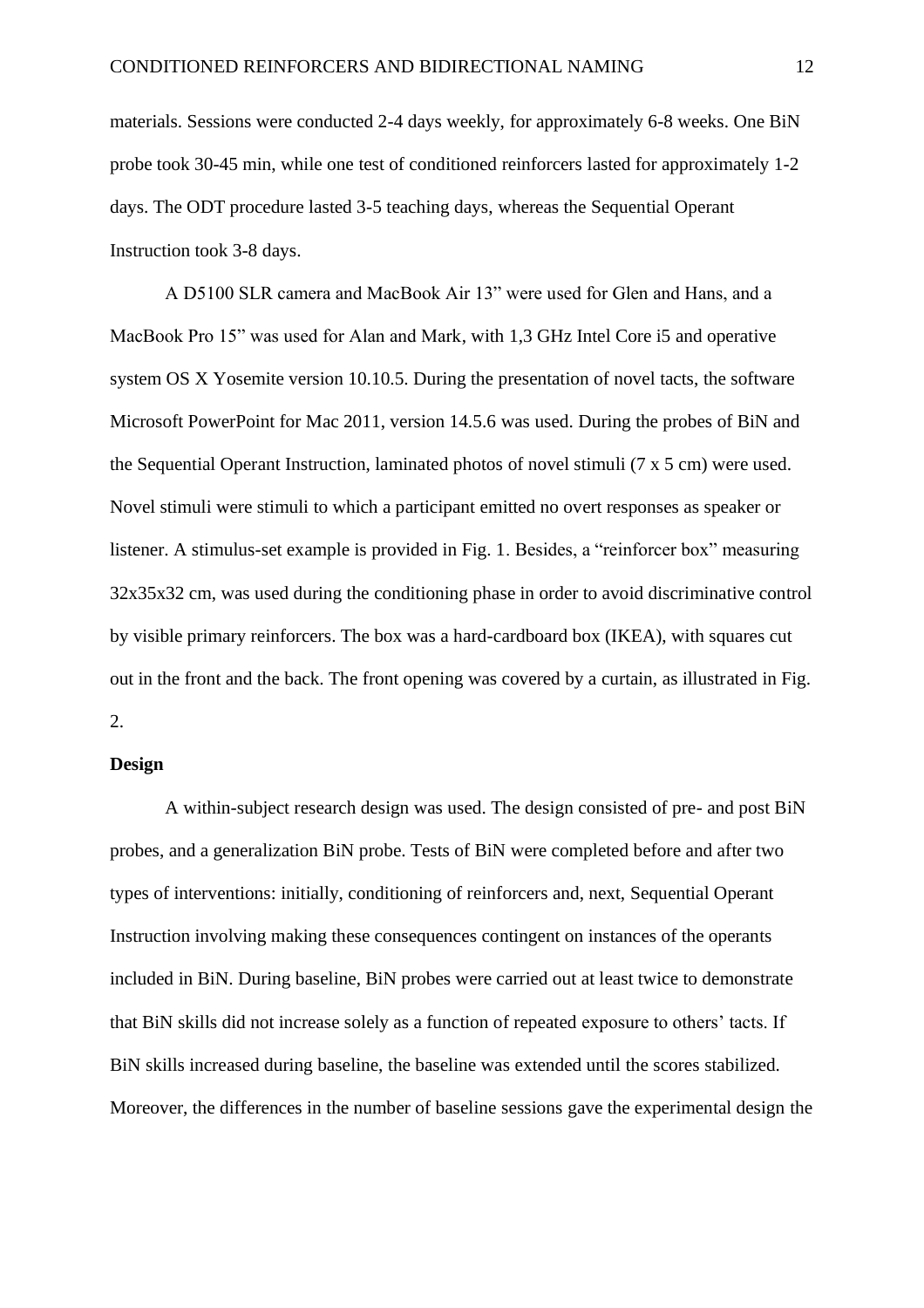materials. Sessions were conducted 2-4 days weekly, for approximately 6-8 weeks. One BiN probe took 30-45 min, while one test of conditioned reinforcers lasted for approximately 1-2 days. The ODT procedure lasted 3-5 teaching days, whereas the Sequential Operant Instruction took 3-8 days.

A D5100 SLR camera and MacBook Air 13" were used for Glen and Hans, and a MacBook Pro 15" was used for Alan and Mark, with 1,3 GHz Intel Core i5 and operative system OS X Yosemite version 10.10.5. During the presentation of novel tacts, the software Microsoft PowerPoint for Mac 2011, version 14.5.6 was used. During the probes of BiN and the Sequential Operant Instruction, laminated photos of novel stimuli (7 x 5 cm) were used. Novel stimuli were stimuli to which a participant emitted no overt responses as speaker or listener. A stimulus-set example is provided in Fig. 1. Besides, a "reinforcer box" measuring 32x35x32 cm, was used during the conditioning phase in order to avoid discriminative control by visible primary reinforcers. The box was a hard-cardboard box (IKEA), with squares cut out in the front and the back. The front opening was covered by a curtain, as illustrated in Fig. 2.

### **Design**

A within-subject research design was used. The design consisted of pre- and post BiN probes, and a generalization BiN probe. Tests of BiN were completed before and after two types of interventions: initially, conditioning of reinforcers and, next, Sequential Operant Instruction involving making these consequences contingent on instances of the operants included in BiN. During baseline, BiN probes were carried out at least twice to demonstrate that BiN skills did not increase solely as a function of repeated exposure to others' tacts. If BiN skills increased during baseline, the baseline was extended until the scores stabilized. Moreover, the differences in the number of baseline sessions gave the experimental design the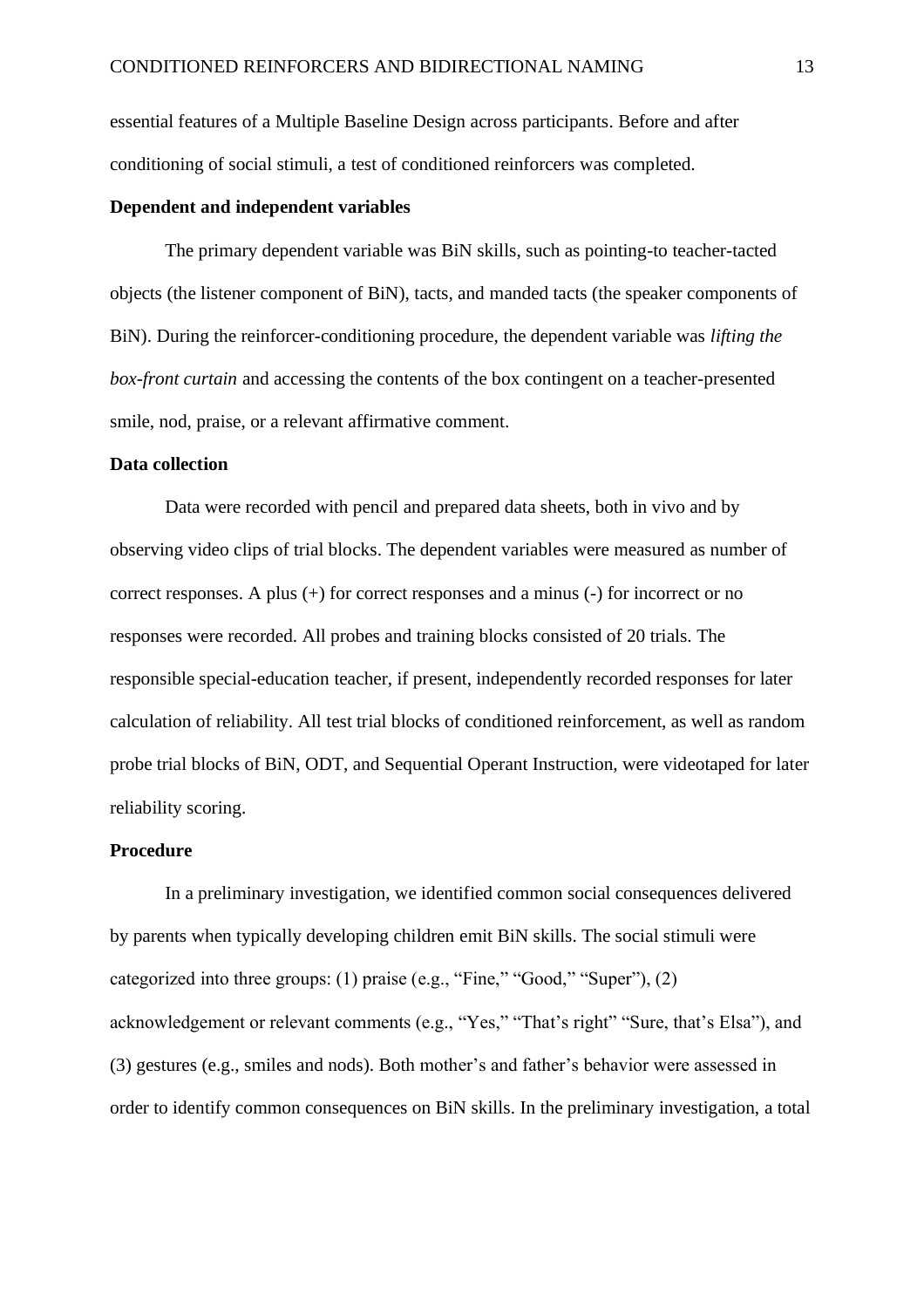essential features of a Multiple Baseline Design across participants. Before and after conditioning of social stimuli, a test of conditioned reinforcers was completed.

#### **Dependent and independent variables**

The primary dependent variable was BiN skills, such as pointing-to teacher-tacted objects (the listener component of BiN), tacts, and manded tacts (the speaker components of BiN). During the reinforcer-conditioning procedure, the dependent variable was *lifting the box-front curtain* and accessing the contents of the box contingent on a teacher-presented smile, nod, praise, or a relevant affirmative comment.

#### **Data collection**

Data were recorded with pencil and prepared data sheets, both in vivo and by observing video clips of trial blocks. The dependent variables were measured as number of correct responses. A plus (+) for correct responses and a minus (-) for incorrect or no responses were recorded. All probes and training blocks consisted of 20 trials. The responsible special-education teacher, if present, independently recorded responses for later calculation of reliability. All test trial blocks of conditioned reinforcement, as well as random probe trial blocks of BiN, ODT, and Sequential Operant Instruction, were videotaped for later reliability scoring.

#### **Procedure**

In a preliminary investigation, we identified common social consequences delivered by parents when typically developing children emit BiN skills. The social stimuli were categorized into three groups: (1) praise (e.g., "Fine," "Good," "Super"), (2) acknowledgement or relevant comments (e.g., "Yes," "That's right" "Sure, that's Elsa"), and (3) gestures (e.g., smiles and nods). Both mother's and father's behavior were assessed in order to identify common consequences on BiN skills. In the preliminary investigation, a total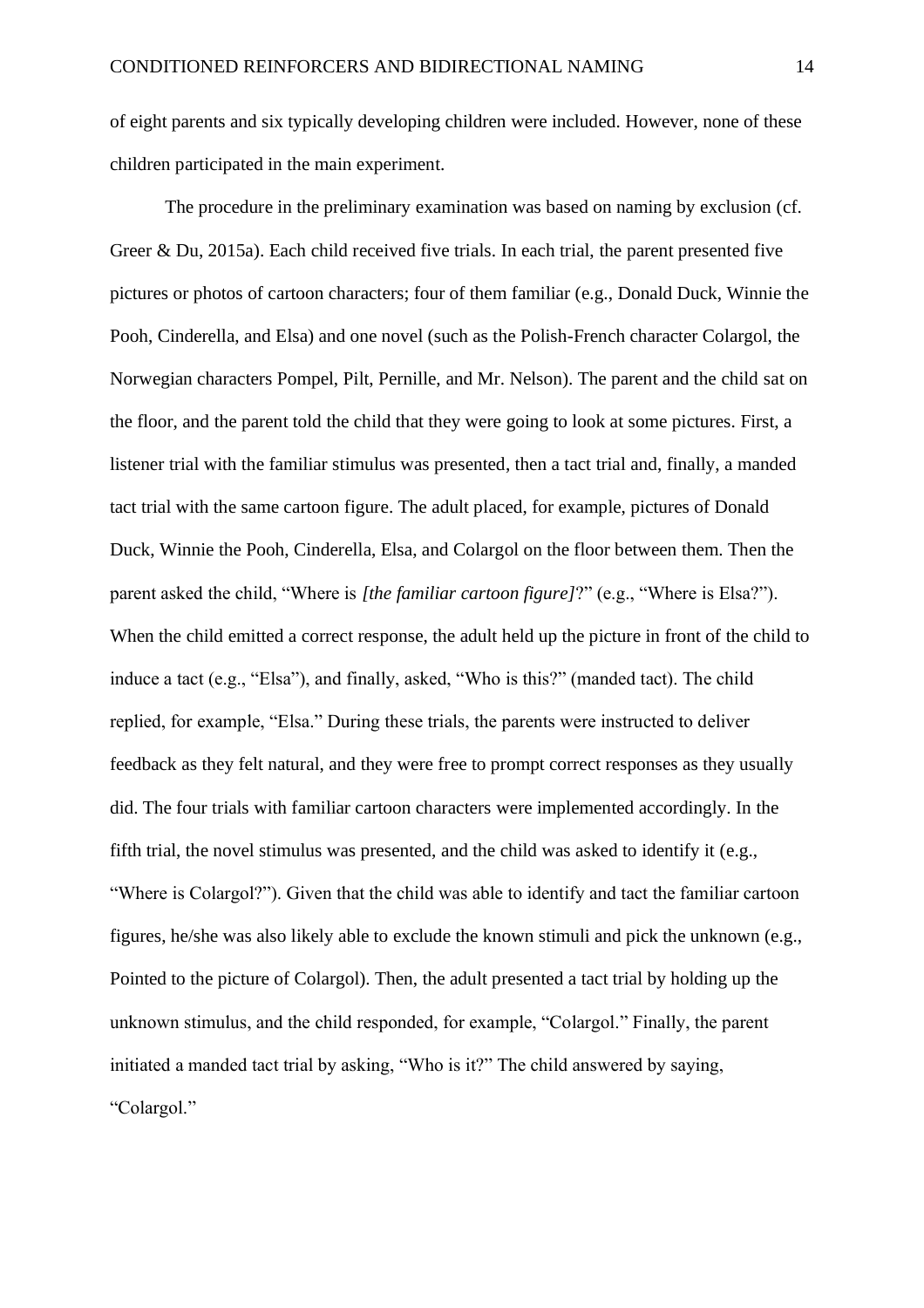of eight parents and six typically developing children were included. However, none of these children participated in the main experiment.

The procedure in the preliminary examination was based on naming by exclusion (cf. Greer & Du, 2015a). Each child received five trials. In each trial, the parent presented five pictures or photos of cartoon characters; four of them familiar (e.g., Donald Duck, Winnie the Pooh, Cinderella, and Elsa) and one novel (such as the Polish-French character Colargol, the Norwegian characters Pompel, Pilt, Pernille, and Mr. Nelson). The parent and the child sat on the floor, and the parent told the child that they were going to look at some pictures. First, a listener trial with the familiar stimulus was presented, then a tact trial and, finally, a manded tact trial with the same cartoon figure. The adult placed, for example, pictures of Donald Duck, Winnie the Pooh, Cinderella, Elsa, and Colargol on the floor between them. Then the parent asked the child, "Where is *[the familiar cartoon figure]*?" (e.g., "Where is Elsa?"). When the child emitted a correct response, the adult held up the picture in front of the child to induce a tact (e.g., "Elsa"), and finally, asked, "Who is this?" (manded tact). The child replied, for example, "Elsa." During these trials, the parents were instructed to deliver feedback as they felt natural, and they were free to prompt correct responses as they usually did. The four trials with familiar cartoon characters were implemented accordingly. In the fifth trial, the novel stimulus was presented, and the child was asked to identify it (e.g., "Where is Colargol?"). Given that the child was able to identify and tact the familiar cartoon figures, he/she was also likely able to exclude the known stimuli and pick the unknown (e.g., Pointed to the picture of Colargol). Then, the adult presented a tact trial by holding up the unknown stimulus, and the child responded, for example, "Colargol." Finally, the parent initiated a manded tact trial by asking, "Who is it?" The child answered by saying, "Colargol."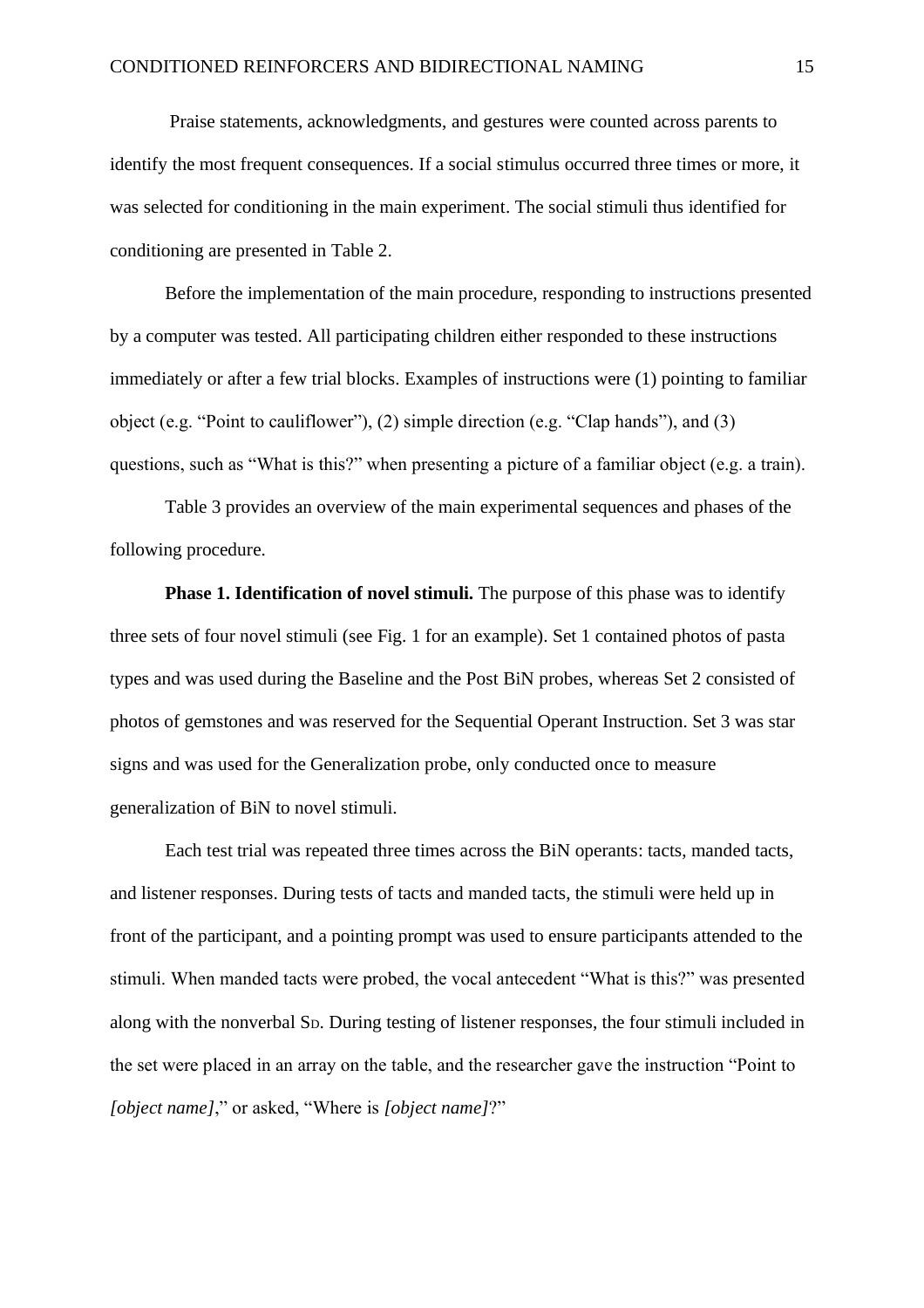Praise statements, acknowledgments, and gestures were counted across parents to identify the most frequent consequences. If a social stimulus occurred three times or more, it was selected for conditioning in the main experiment. The social stimuli thus identified for conditioning are presented in Table 2.

Before the implementation of the main procedure, responding to instructions presented by a computer was tested. All participating children either responded to these instructions immediately or after a few trial blocks. Examples of instructions were (1) pointing to familiar object (e.g. "Point to cauliflower"), (2) simple direction (e.g. "Clap hands"), and (3) questions, such as "What is this?" when presenting a picture of a familiar object (e.g. a train).

Table 3 provides an overview of the main experimental sequences and phases of the following procedure.

**Phase 1. Identification of novel stimuli.** The purpose of this phase was to identify three sets of four novel stimuli (see Fig. 1 for an example). Set 1 contained photos of pasta types and was used during the Baseline and the Post BiN probes, whereas Set 2 consisted of photos of gemstones and was reserved for the Sequential Operant Instruction. Set 3 was star signs and was used for the Generalization probe, only conducted once to measure generalization of BiN to novel stimuli.

Each test trial was repeated three times across the BiN operants: tacts, manded tacts, and listener responses. During tests of tacts and manded tacts, the stimuli were held up in front of the participant, and a pointing prompt was used to ensure participants attended to the stimuli. When manded tacts were probed, the vocal antecedent "What is this?" was presented along with the nonverbal SD. During testing of listener responses, the four stimuli included in the set were placed in an array on the table, and the researcher gave the instruction "Point to *[object name]*," or asked, "Where is *[object name]*?"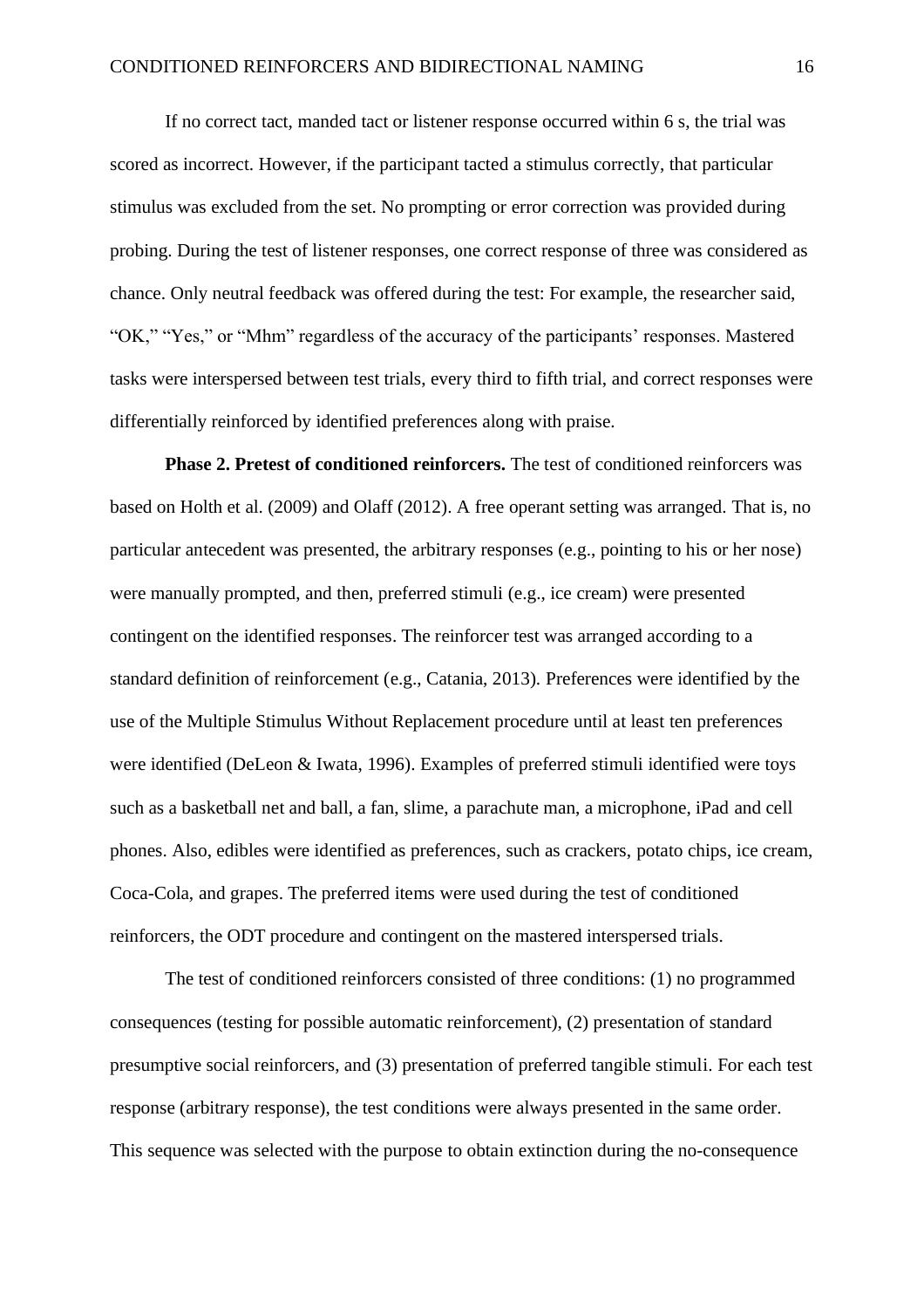If no correct tact, manded tact or listener response occurred within 6 s, the trial was scored as incorrect. However, if the participant tacted a stimulus correctly, that particular stimulus was excluded from the set. No prompting or error correction was provided during probing. During the test of listener responses, one correct response of three was considered as chance. Only neutral feedback was offered during the test: For example, the researcher said, "OK," "Yes," or "Mhm" regardless of the accuracy of the participants' responses. Mastered tasks were interspersed between test trials, every third to fifth trial, and correct responses were differentially reinforced by identified preferences along with praise.

**Phase 2. Pretest of conditioned reinforcers.** The test of conditioned reinforcers was based on Holth et al. (2009) and Olaff (2012). A free operant setting was arranged. That is, no particular antecedent was presented, the arbitrary responses (e.g., pointing to his or her nose) were manually prompted, and then, preferred stimuli (e.g., ice cream) were presented contingent on the identified responses. The reinforcer test was arranged according to a standard definition of reinforcement (e.g., Catania, 2013)*.* Preferences were identified by the use of the Multiple Stimulus Without Replacement procedure until at least ten preferences were identified (DeLeon & Iwata, 1996). Examples of preferred stimuli identified were toys such as a basketball net and ball, a fan, slime, a parachute man, a microphone, iPad and cell phones. Also, edibles were identified as preferences, such as crackers, potato chips, ice cream, Coca-Cola, and grapes. The preferred items were used during the test of conditioned reinforcers, the ODT procedure and contingent on the mastered interspersed trials.

The test of conditioned reinforcers consisted of three conditions: (1) no programmed consequences (testing for possible automatic reinforcement), (2) presentation of standard presumptive social reinforcers, and (3) presentation of preferred tangible stimuli. For each test response (arbitrary response), the test conditions were always presented in the same order. This sequence was selected with the purpose to obtain extinction during the no-consequence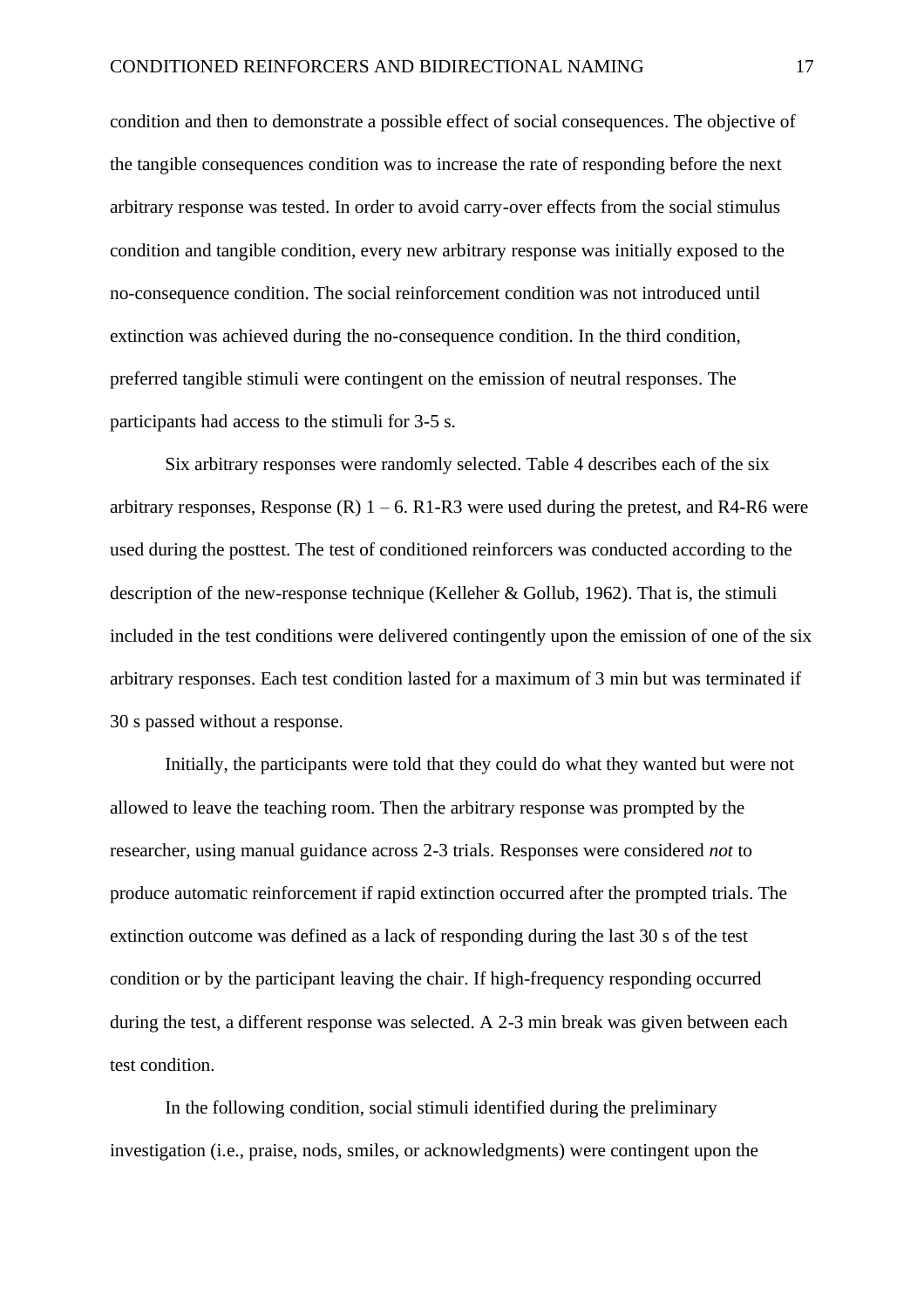condition and then to demonstrate a possible effect of social consequences. The objective of the tangible consequences condition was to increase the rate of responding before the next arbitrary response was tested. In order to avoid carry-over effects from the social stimulus condition and tangible condition, every new arbitrary response was initially exposed to the no-consequence condition. The social reinforcement condition was not introduced until extinction was achieved during the no-consequence condition. In the third condition, preferred tangible stimuli were contingent on the emission of neutral responses. The participants had access to the stimuli for 3-5 s.

Six arbitrary responses were randomly selected. Table 4 describes each of the six arbitrary responses, Response (R)  $1 - 6$ . R1-R3 were used during the pretest, and R4-R6 were used during the posttest. The test of conditioned reinforcers was conducted according to the description of the new-response technique (Kelleher & Gollub, 1962). That is, the stimuli included in the test conditions were delivered contingently upon the emission of one of the six arbitrary responses. Each test condition lasted for a maximum of 3 min but was terminated if 30 s passed without a response.

Initially, the participants were told that they could do what they wanted but were not allowed to leave the teaching room. Then the arbitrary response was prompted by the researcher, using manual guidance across 2-3 trials. Responses were considered *not* to produce automatic reinforcement if rapid extinction occurred after the prompted trials. The extinction outcome was defined as a lack of responding during the last 30 s of the test condition or by the participant leaving the chair. If high-frequency responding occurred during the test, a different response was selected. A 2-3 min break was given between each test condition.

In the following condition, social stimuli identified during the preliminary investigation (i.e., praise, nods, smiles, or acknowledgments) were contingent upon the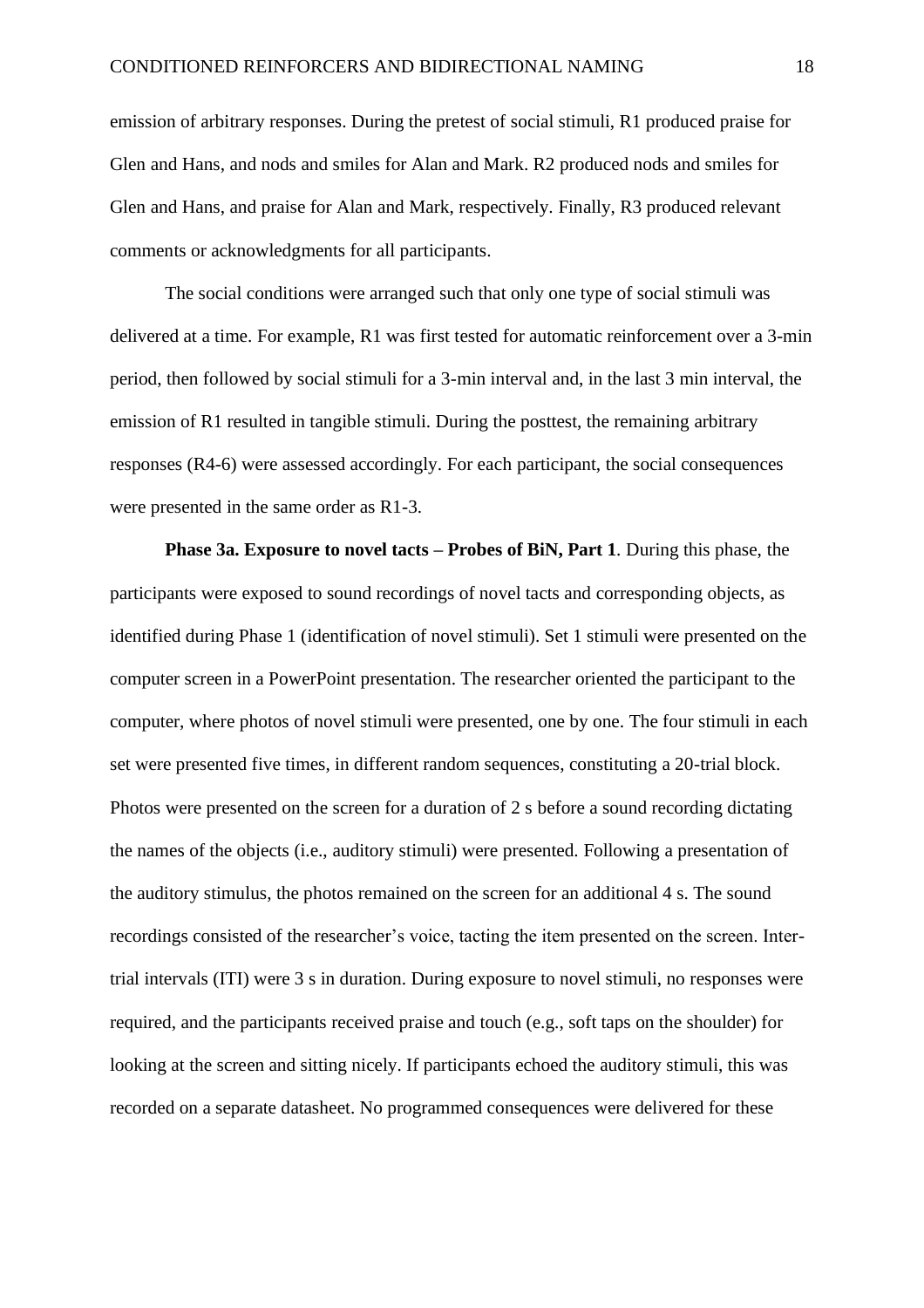emission of arbitrary responses. During the pretest of social stimuli, R1 produced praise for Glen and Hans, and nods and smiles for Alan and Mark. R2 produced nods and smiles for Glen and Hans, and praise for Alan and Mark, respectively. Finally, R3 produced relevant comments or acknowledgments for all participants.

The social conditions were arranged such that only one type of social stimuli was delivered at a time. For example, R1 was first tested for automatic reinforcement over a 3-min period, then followed by social stimuli for a 3-min interval and, in the last 3 min interval, the emission of R1 resulted in tangible stimuli. During the posttest, the remaining arbitrary responses (R4-6) were assessed accordingly. For each participant, the social consequences were presented in the same order as R1-3.

**Phase 3a. Exposure to novel tacts – Probes of BiN, Part 1***.* During this phase, the participants were exposed to sound recordings of novel tacts and corresponding objects, as identified during Phase 1 (identification of novel stimuli). Set 1 stimuli were presented on the computer screen in a PowerPoint presentation. The researcher oriented the participant to the computer, where photos of novel stimuli were presented, one by one. The four stimuli in each set were presented five times, in different random sequences, constituting a 20-trial block. Photos were presented on the screen for a duration of 2 s before a sound recording dictating the names of the objects (i.e., auditory stimuli) were presented. Following a presentation of the auditory stimulus, the photos remained on the screen for an additional 4 s. The sound recordings consisted of the researcher's voice, tacting the item presented on the screen. Intertrial intervals (ITI) were 3 s in duration. During exposure to novel stimuli, no responses were required, and the participants received praise and touch (e.g., soft taps on the shoulder) for looking at the screen and sitting nicely. If participants echoed the auditory stimuli, this was recorded on a separate datasheet. No programmed consequences were delivered for these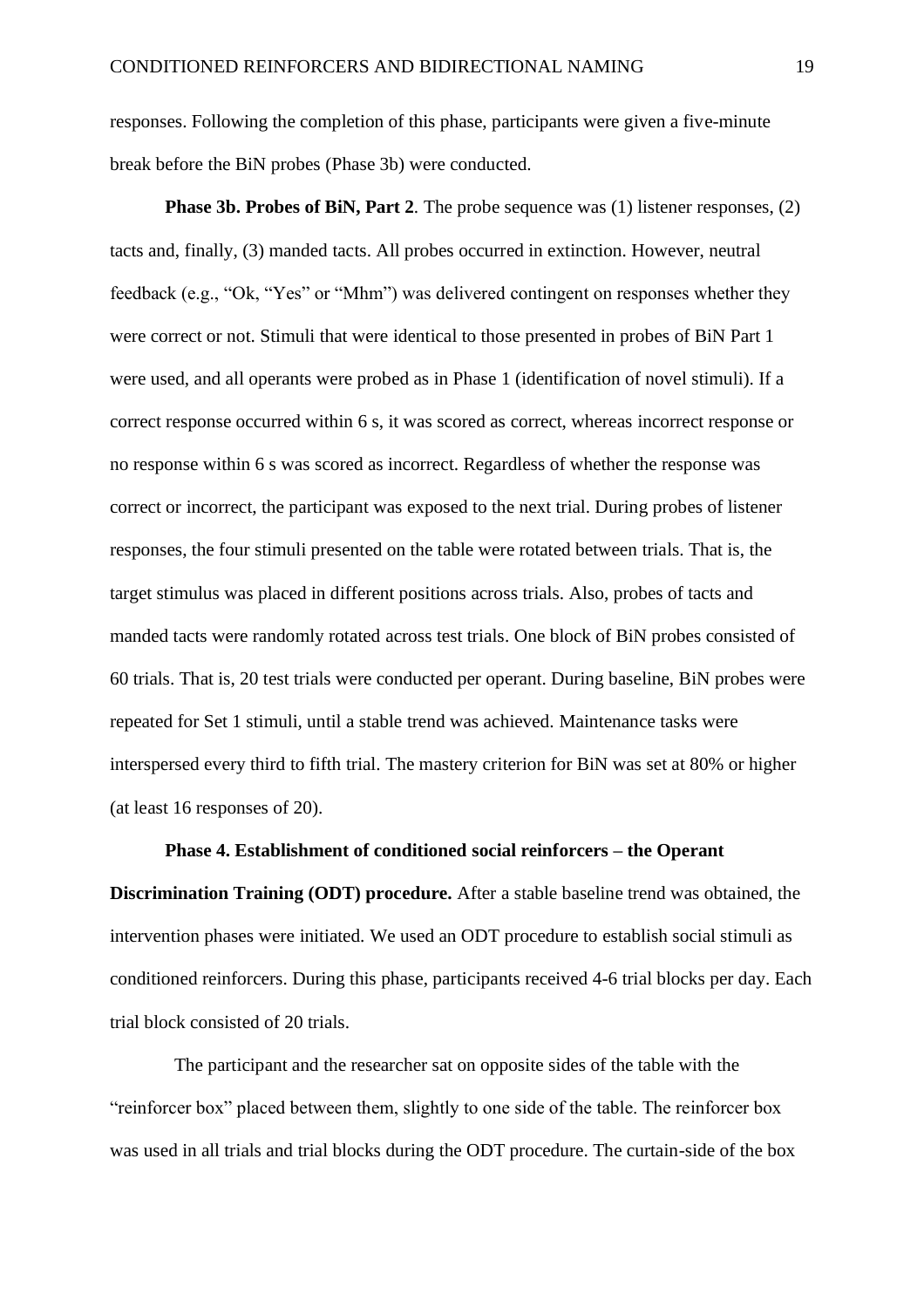responses. Following the completion of this phase, participants were given a five-minute break before the BiN probes (Phase 3b) were conducted.

**Phase 3b. Probes of BiN, Part 2.** The probe sequence was (1) listener responses, (2) tacts and, finally, (3) manded tacts. All probes occurred in extinction. However, neutral feedback (e.g., "Ok, "Yes" or "Mhm") was delivered contingent on responses whether they were correct or not. Stimuli that were identical to those presented in probes of BiN Part 1 were used, and all operants were probed as in Phase 1 (identification of novel stimuli). If a correct response occurred within 6 s, it was scored as correct, whereas incorrect response or no response within 6 s was scored as incorrect. Regardless of whether the response was correct or incorrect, the participant was exposed to the next trial. During probes of listener responses, the four stimuli presented on the table were rotated between trials. That is, the target stimulus was placed in different positions across trials. Also, probes of tacts and manded tacts were randomly rotated across test trials. One block of BiN probes consisted of 60 trials. That is, 20 test trials were conducted per operant. During baseline, BiN probes were repeated for Set 1 stimuli, until a stable trend was achieved. Maintenance tasks were interspersed every third to fifth trial. The mastery criterion for BiN was set at 80% or higher (at least 16 responses of 20).

#### **Phase 4. Establishment of conditioned social reinforcers – the Operant**

**Discrimination Training (ODT) procedure.** After a stable baseline trend was obtained, the intervention phases were initiated. We used an ODT procedure to establish social stimuli as conditioned reinforcers. During this phase, participants received 4-6 trial blocks per day. Each trial block consisted of 20 trials.

 The participant and the researcher sat on opposite sides of the table with the "reinforcer box" placed between them, slightly to one side of the table. The reinforcer box was used in all trials and trial blocks during the ODT procedure. The curtain-side of the box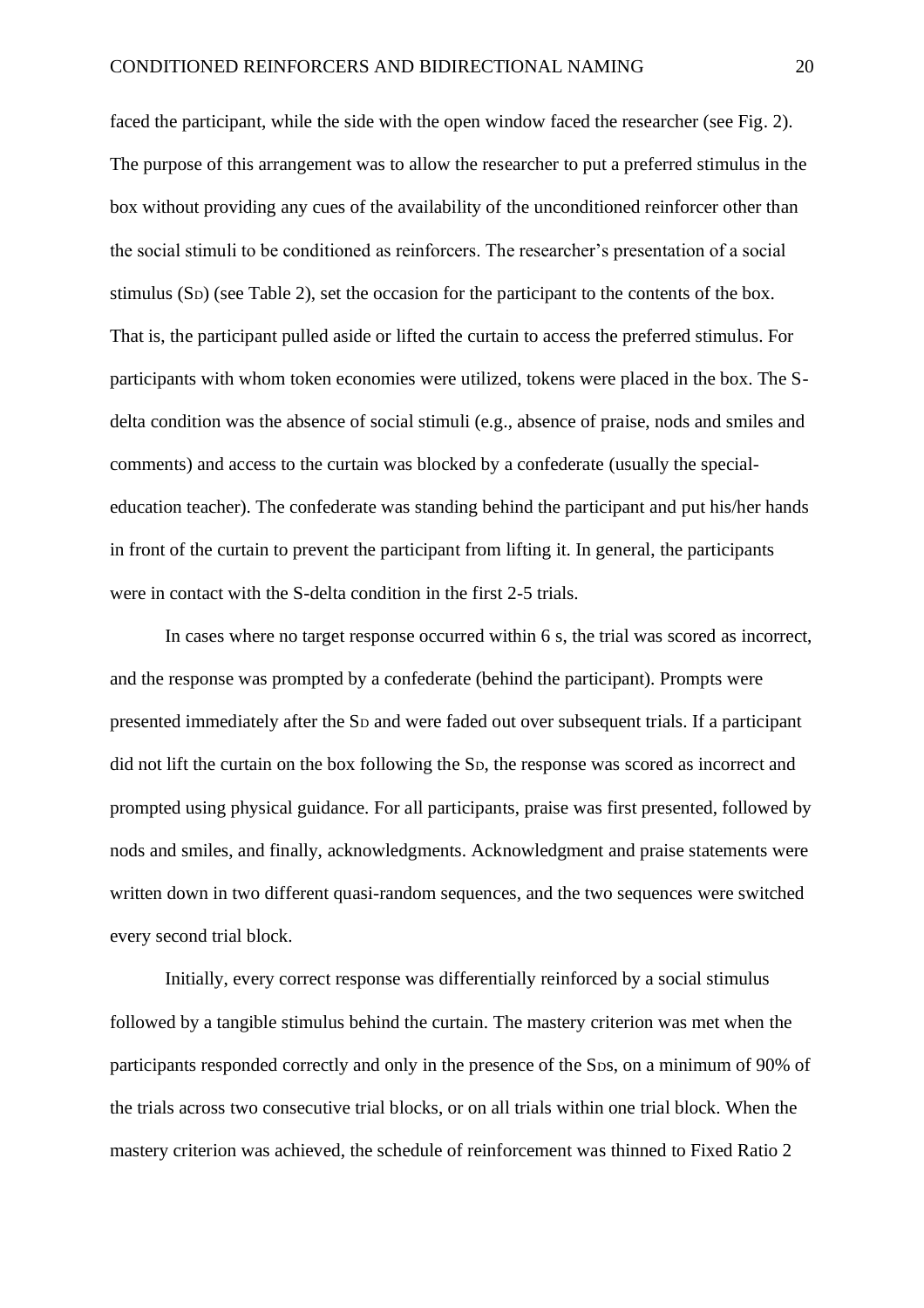faced the participant, while the side with the open window faced the researcher (see Fig. 2). The purpose of this arrangement was to allow the researcher to put a preferred stimulus in the box without providing any cues of the availability of the unconditioned reinforcer other than the social stimuli to be conditioned as reinforcers. The researcher's presentation of a social stimulus (SD) (see Table 2), set the occasion for the participant to the contents of the box. That is, the participant pulled aside or lifted the curtain to access the preferred stimulus. For participants with whom token economies were utilized, tokens were placed in the box. The Sdelta condition was the absence of social stimuli (e.g., absence of praise, nods and smiles and comments) and access to the curtain was blocked by a confederate (usually the specialeducation teacher). The confederate was standing behind the participant and put his/her hands in front of the curtain to prevent the participant from lifting it. In general, the participants were in contact with the S-delta condition in the first 2-5 trials.

In cases where no target response occurred within 6 s, the trial was scored as incorrect, and the response was prompted by a confederate (behind the participant). Prompts were presented immediately after the S<sup>D</sup> and were faded out over subsequent trials. If a participant did not lift the curtain on the box following the SD, the response was scored as incorrect and prompted using physical guidance. For all participants, praise was first presented, followed by nods and smiles, and finally, acknowledgments. Acknowledgment and praise statements were written down in two different quasi-random sequences, and the two sequences were switched every second trial block.

Initially, every correct response was differentially reinforced by a social stimulus followed by a tangible stimulus behind the curtain. The mastery criterion was met when the participants responded correctly and only in the presence of the SDS, on a minimum of 90% of the trials across two consecutive trial blocks, or on all trials within one trial block. When the mastery criterion was achieved, the schedule of reinforcement was thinned to Fixed Ratio 2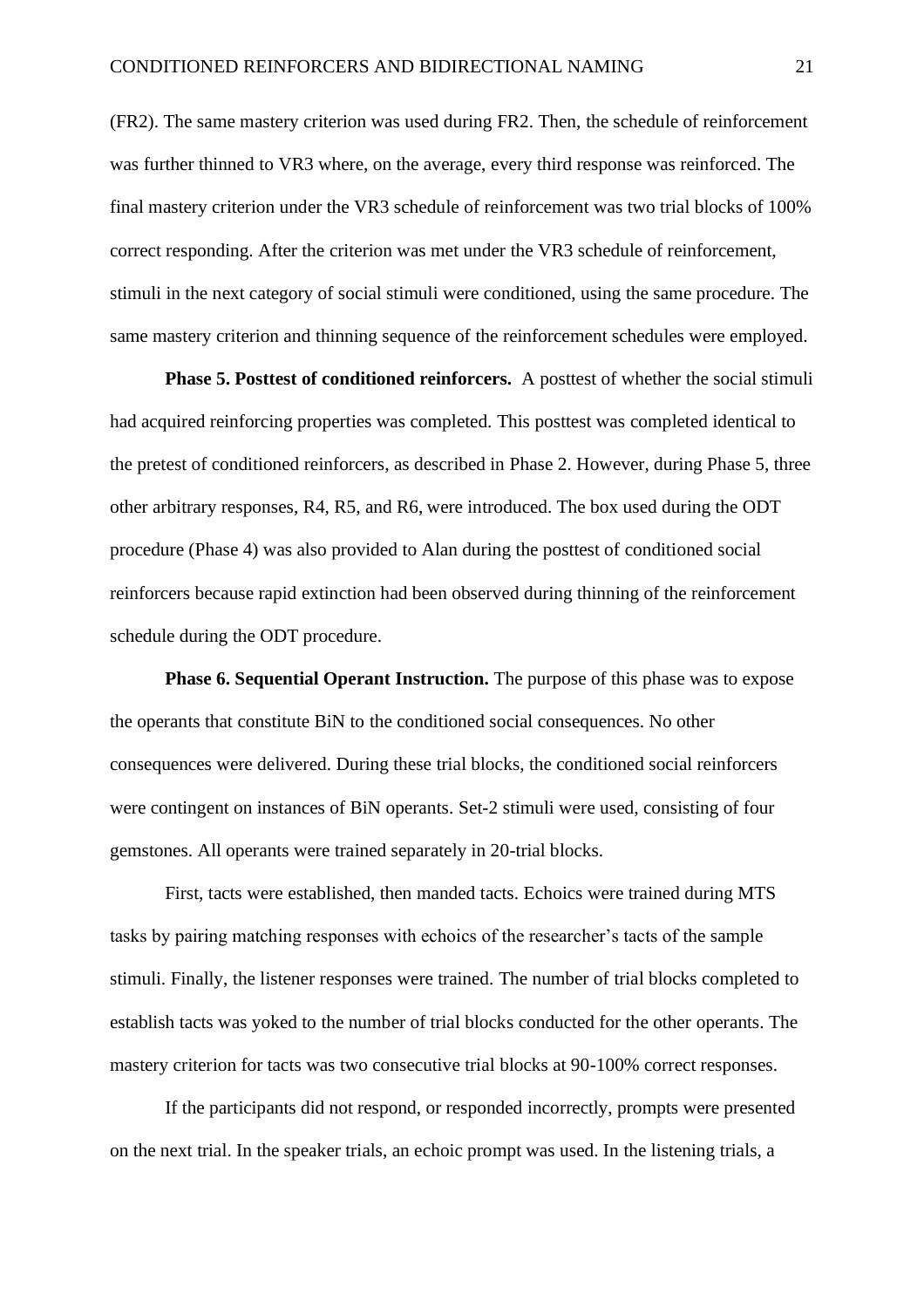(FR2). The same mastery criterion was used during FR2. Then, the schedule of reinforcement was further thinned to VR3 where, on the average, every third response was reinforced. The final mastery criterion under the VR3 schedule of reinforcement was two trial blocks of 100% correct responding. After the criterion was met under the VR3 schedule of reinforcement, stimuli in the next category of social stimuli were conditioned, using the same procedure. The same mastery criterion and thinning sequence of the reinforcement schedules were employed.

**Phase 5. Posttest of conditioned reinforcers.** A posttest of whether the social stimuli had acquired reinforcing properties was completed. This posttest was completed identical to the pretest of conditioned reinforcers, as described in Phase 2. However, during Phase 5, three other arbitrary responses, R4, R5, and R6, were introduced. The box used during the ODT procedure (Phase 4) was also provided to Alan during the posttest of conditioned social reinforcers because rapid extinction had been observed during thinning of the reinforcement schedule during the ODT procedure.

**Phase 6. Sequential Operant Instruction.** The purpose of this phase was to expose the operants that constitute BiN to the conditioned social consequences. No other consequences were delivered. During these trial blocks, the conditioned social reinforcers were contingent on instances of BiN operants. Set-2 stimuli were used, consisting of four gemstones. All operants were trained separately in 20-trial blocks.

First, tacts were established, then manded tacts. Echoics were trained during MTS tasks by pairing matching responses with echoics of the researcher's tacts of the sample stimuli. Finally, the listener responses were trained. The number of trial blocks completed to establish tacts was yoked to the number of trial blocks conducted for the other operants. The mastery criterion for tacts was two consecutive trial blocks at 90-100% correct responses.

If the participants did not respond, or responded incorrectly, prompts were presented on the next trial. In the speaker trials, an echoic prompt was used. In the listening trials, a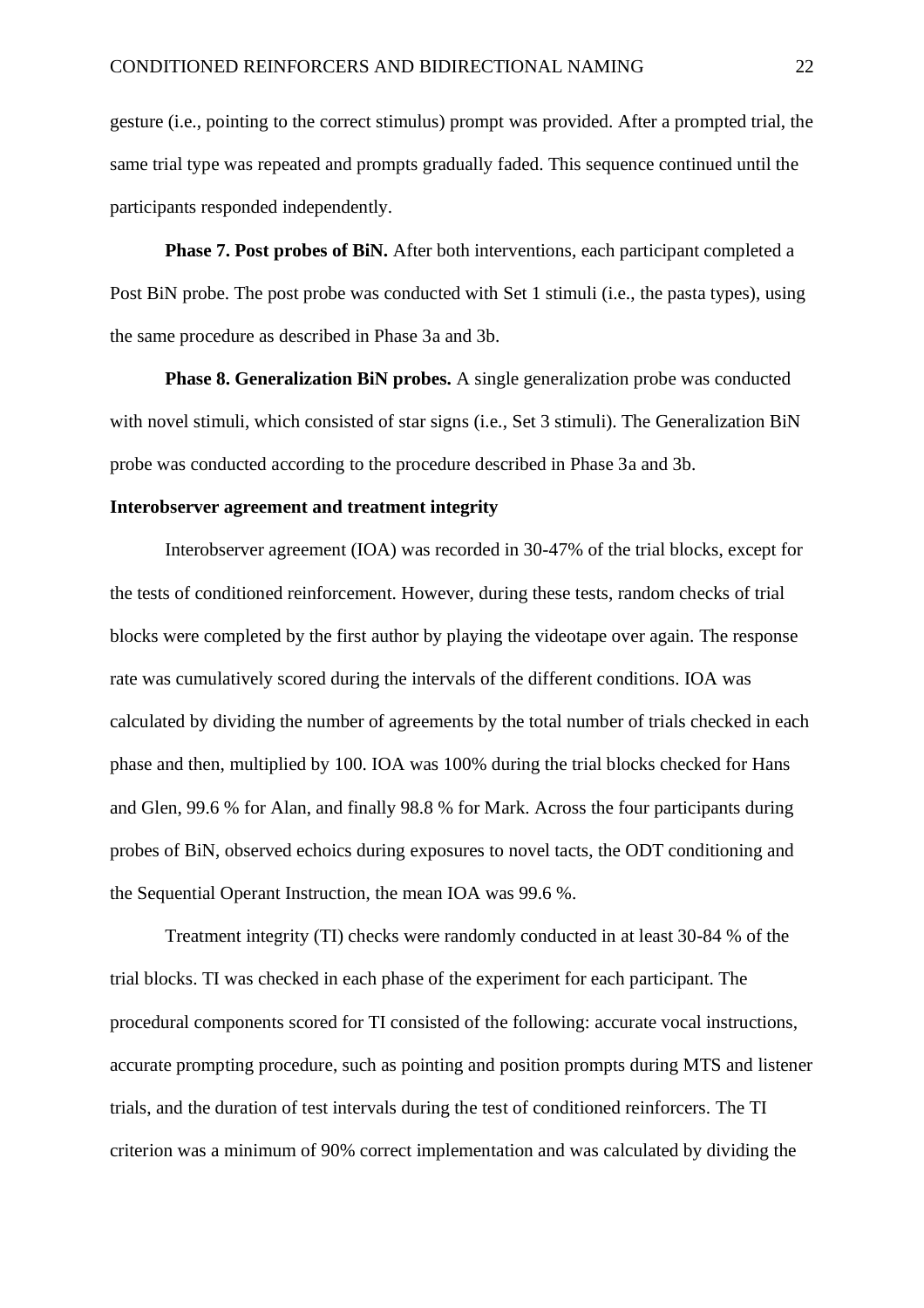gesture (i.e., pointing to the correct stimulus) prompt was provided. After a prompted trial, the same trial type was repeated and prompts gradually faded. This sequence continued until the participants responded independently.

**Phase 7. Post probes of BiN.** After both interventions, each participant completed a Post BiN probe. The post probe was conducted with Set 1 stimuli (i.e., the pasta types), using the same procedure as described in Phase 3a and 3b.

**Phase 8. Generalization BiN probes.** A single generalization probe was conducted with novel stimuli, which consisted of star signs (i.e., Set 3 stimuli). The Generalization BiN probe was conducted according to the procedure described in Phase 3a and 3b.

#### **Interobserver agreement and treatment integrity**

Interobserver agreement (IOA) was recorded in 30-47% of the trial blocks, except for the tests of conditioned reinforcement. However, during these tests, random checks of trial blocks were completed by the first author by playing the videotape over again. The response rate was cumulatively scored during the intervals of the different conditions. IOA was calculated by dividing the number of agreements by the total number of trials checked in each phase and then, multiplied by 100. IOA was 100% during the trial blocks checked for Hans and Glen, 99.6 % for Alan, and finally 98.8 % for Mark. Across the four participants during probes of BiN, observed echoics during exposures to novel tacts, the ODT conditioning and the Sequential Operant Instruction, the mean IOA was 99.6 %.

Treatment integrity (TI) checks were randomly conducted in at least 30-84 % of the trial blocks. TI was checked in each phase of the experiment for each participant. The procedural components scored for TI consisted of the following: accurate vocal instructions, accurate prompting procedure, such as pointing and position prompts during MTS and listener trials, and the duration of test intervals during the test of conditioned reinforcers. The TI criterion was a minimum of 90% correct implementation and was calculated by dividing the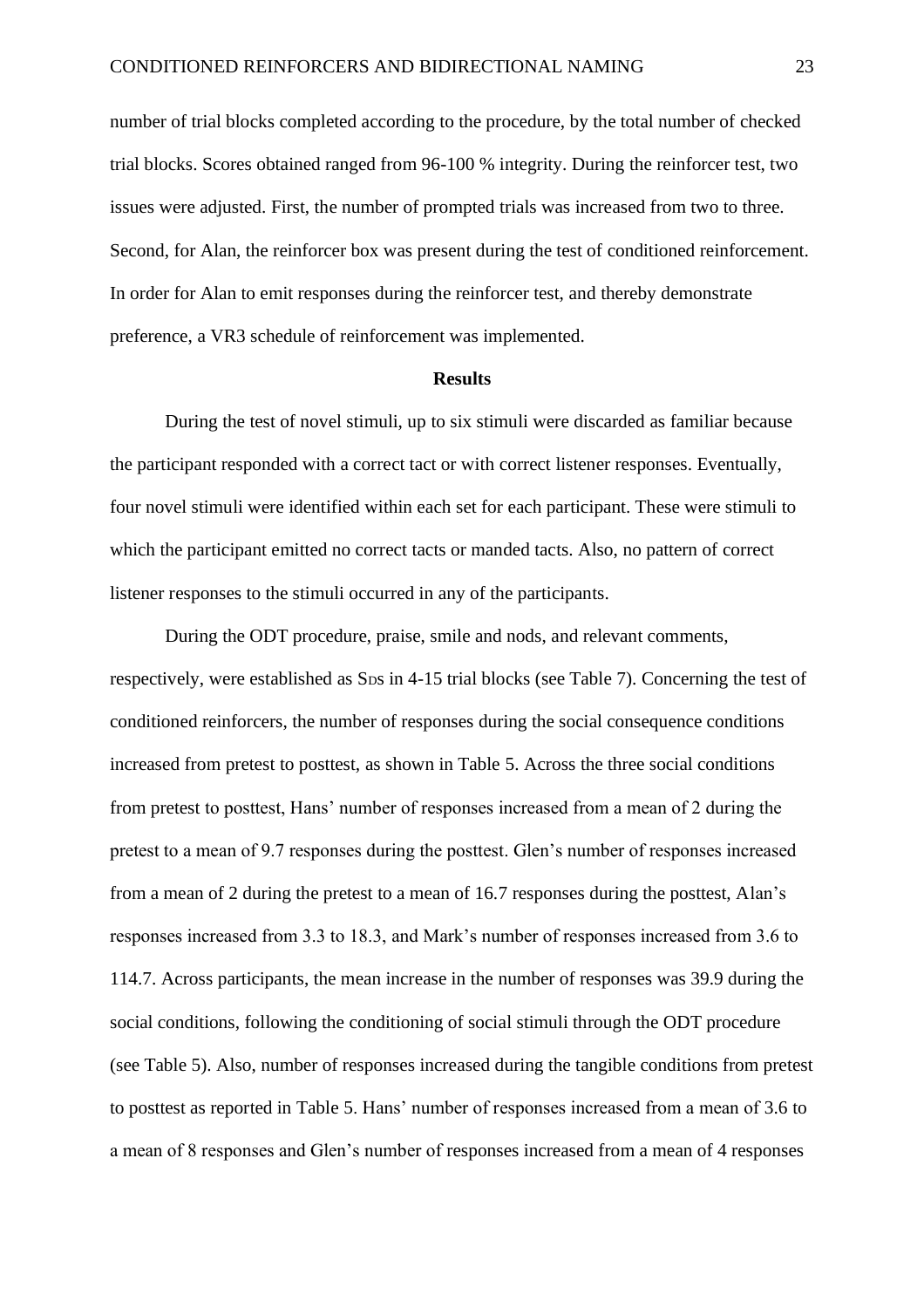number of trial blocks completed according to the procedure, by the total number of checked trial blocks. Scores obtained ranged from 96-100 % integrity. During the reinforcer test, two issues were adjusted. First, the number of prompted trials was increased from two to three. Second, for Alan, the reinforcer box was present during the test of conditioned reinforcement. In order for Alan to emit responses during the reinforcer test, and thereby demonstrate preference, a VR3 schedule of reinforcement was implemented.

#### **Results**

During the test of novel stimuli, up to six stimuli were discarded as familiar because the participant responded with a correct tact or with correct listener responses. Eventually, four novel stimuli were identified within each set for each participant. These were stimuli to which the participant emitted no correct tacts or manded tacts. Also, no pattern of correct listener responses to the stimuli occurred in any of the participants.

During the ODT procedure, praise, smile and nods, and relevant comments, respectively, were established as S<sub>DS</sub> in 4-15 trial blocks (see Table 7). Concerning the test of conditioned reinforcers, the number of responses during the social consequence conditions increased from pretest to posttest, as shown in Table 5. Across the three social conditions from pretest to posttest, Hans' number of responses increased from a mean of 2 during the pretest to a mean of 9.7 responses during the posttest. Glen's number of responses increased from a mean of 2 during the pretest to a mean of 16.7 responses during the posttest, Alan's responses increased from 3.3 to 18.3, and Mark's number of responses increased from 3.6 to 114.7. Across participants, the mean increase in the number of responses was 39.9 during the social conditions, following the conditioning of social stimuli through the ODT procedure (see Table 5). Also, number of responses increased during the tangible conditions from pretest to posttest as reported in Table 5. Hans' number of responses increased from a mean of 3.6 to a mean of 8 responses and Glen's number of responses increased from a mean of 4 responses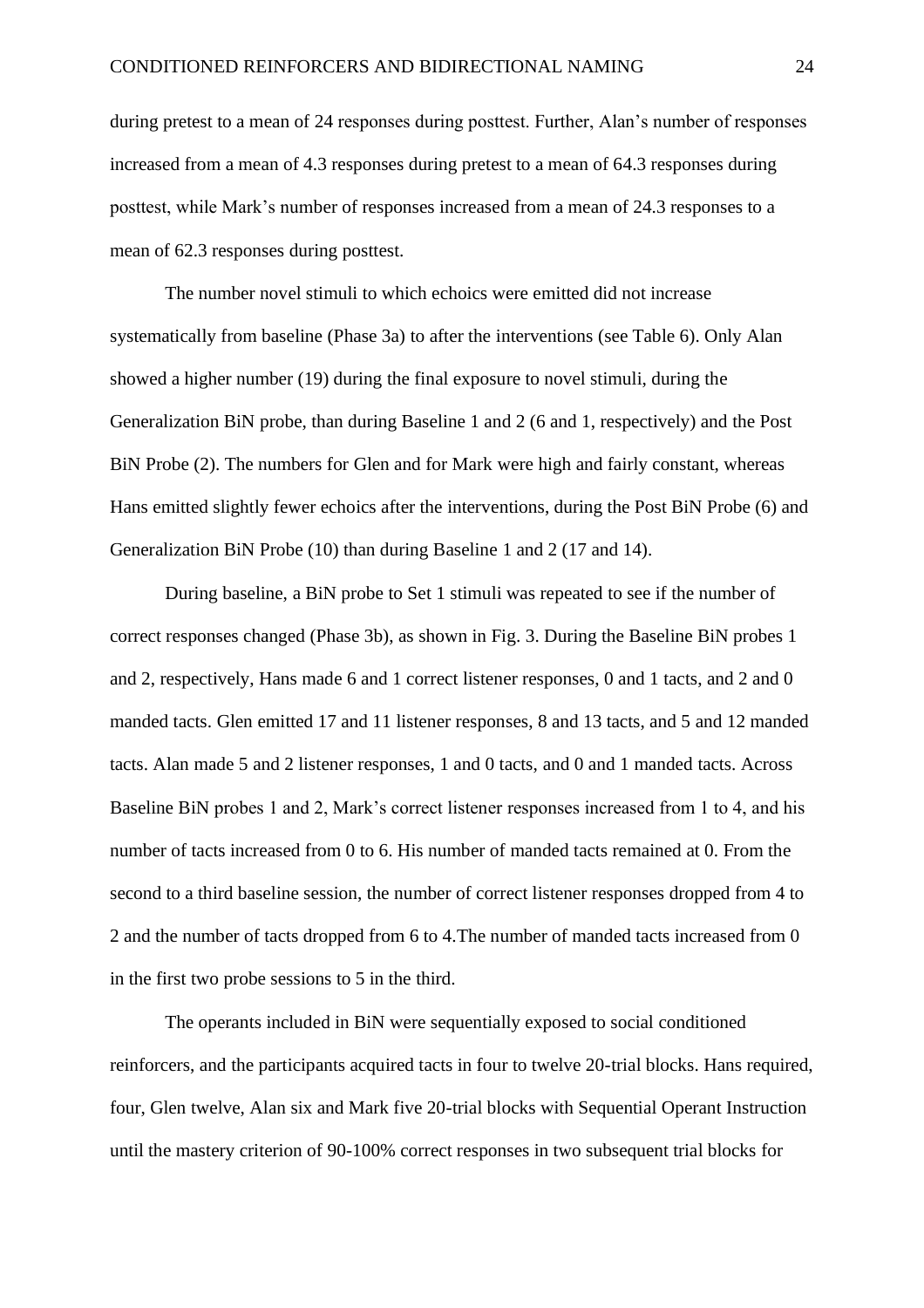during pretest to a mean of 24 responses during posttest. Further, Alan's number of responses increased from a mean of 4.3 responses during pretest to a mean of 64.3 responses during posttest, while Mark's number of responses increased from a mean of 24.3 responses to a mean of 62.3 responses during posttest.

The number novel stimuli to which echoics were emitted did not increase systematically from baseline (Phase 3a) to after the interventions (see Table 6). Only Alan showed a higher number (19) during the final exposure to novel stimuli, during the Generalization BiN probe, than during Baseline 1 and 2 (6 and 1, respectively) and the Post BiN Probe (2). The numbers for Glen and for Mark were high and fairly constant, whereas Hans emitted slightly fewer echoics after the interventions, during the Post BiN Probe (6) and Generalization BiN Probe (10) than during Baseline 1 and 2 (17 and 14).

During baseline, a BiN probe to Set 1 stimuli was repeated to see if the number of correct responses changed (Phase 3b), as shown in Fig. 3. During the Baseline BiN probes 1 and 2, respectively, Hans made 6 and 1 correct listener responses, 0 and 1 tacts, and 2 and 0 manded tacts. Glen emitted 17 and 11 listener responses, 8 and 13 tacts, and 5 and 12 manded tacts. Alan made 5 and 2 listener responses, 1 and 0 tacts, and 0 and 1 manded tacts. Across Baseline BiN probes 1 and 2, Mark's correct listener responses increased from 1 to 4, and his number of tacts increased from 0 to 6. His number of manded tacts remained at 0. From the second to a third baseline session, the number of correct listener responses dropped from 4 to 2 and the number of tacts dropped from 6 to 4.The number of manded tacts increased from 0 in the first two probe sessions to 5 in the third.

The operants included in BiN were sequentially exposed to social conditioned reinforcers, and the participants acquired tacts in four to twelve 20-trial blocks. Hans required, four, Glen twelve, Alan six and Mark five 20-trial blocks with Sequential Operant Instruction until the mastery criterion of 90-100% correct responses in two subsequent trial blocks for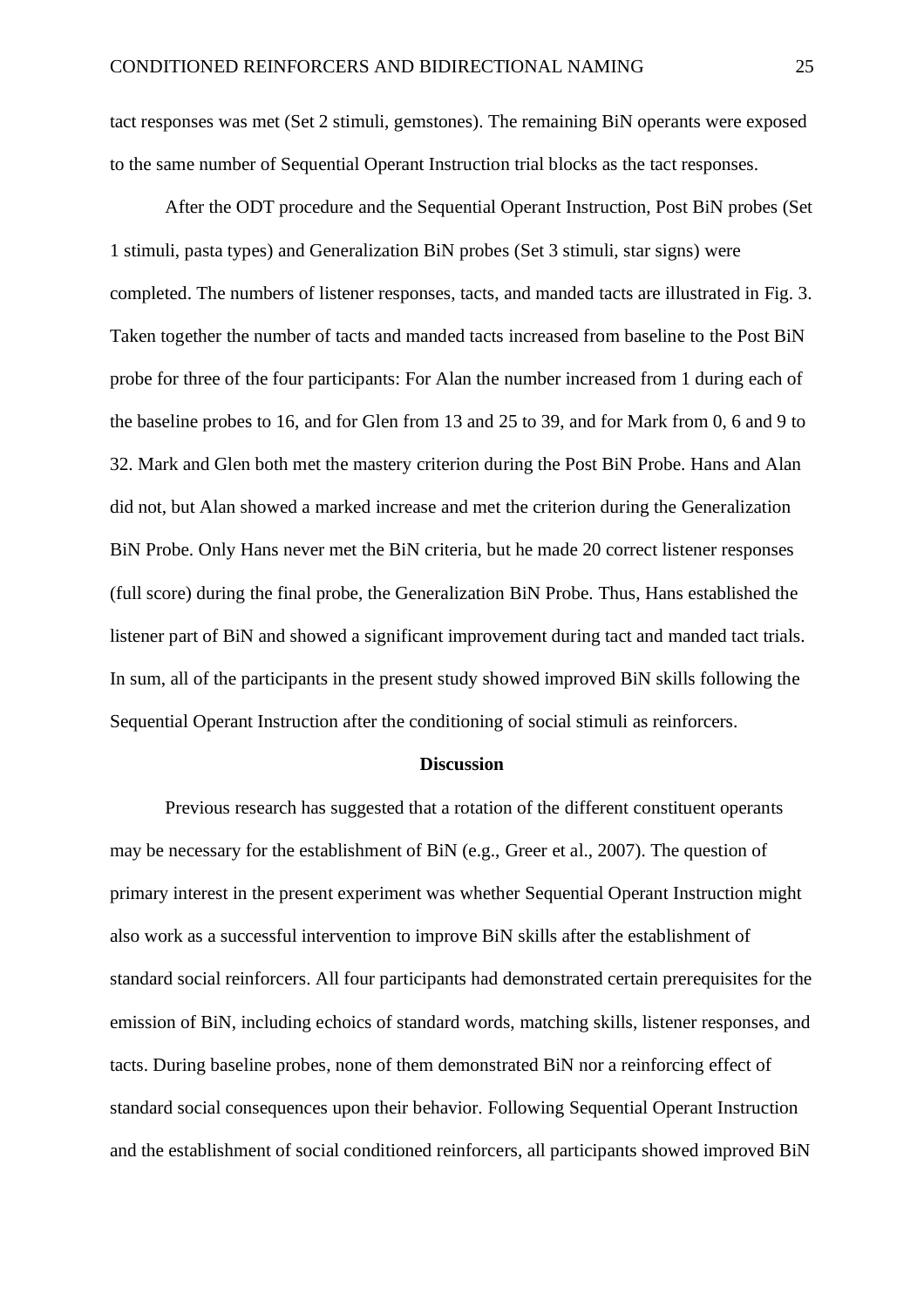tact responses was met (Set 2 stimuli, gemstones). The remaining BiN operants were exposed to the same number of Sequential Operant Instruction trial blocks as the tact responses.

After the ODT procedure and the Sequential Operant Instruction, Post BiN probes (Set 1 stimuli, pasta types) and Generalization BiN probes (Set 3 stimuli, star signs) were completed. The numbers of listener responses, tacts, and manded tacts are illustrated in Fig. 3. Taken together the number of tacts and manded tacts increased from baseline to the Post BiN probe for three of the four participants: For Alan the number increased from 1 during each of the baseline probes to 16, and for Glen from 13 and 25 to 39, and for Mark from 0, 6 and 9 to 32. Mark and Glen both met the mastery criterion during the Post BiN Probe. Hans and Alan did not, but Alan showed a marked increase and met the criterion during the Generalization BiN Probe. Only Hans never met the BiN criteria, but he made 20 correct listener responses (full score) during the final probe, the Generalization BiN Probe. Thus, Hans established the listener part of BiN and showed a significant improvement during tact and manded tact trials. In sum, all of the participants in the present study showed improved BiN skills following the Sequential Operant Instruction after the conditioning of social stimuli as reinforcers.

#### **Discussion**

Previous research has suggested that a rotation of the different constituent operants may be necessary for the establishment of BiN (e.g., Greer et al., 2007). The question of primary interest in the present experiment was whether Sequential Operant Instruction might also work as a successful intervention to improve BiN skills after the establishment of standard social reinforcers. All four participants had demonstrated certain prerequisites for the emission of BiN, including echoics of standard words, matching skills, listener responses, and tacts. During baseline probes, none of them demonstrated BiN nor a reinforcing effect of standard social consequences upon their behavior. Following Sequential Operant Instruction and the establishment of social conditioned reinforcers, all participants showed improved BiN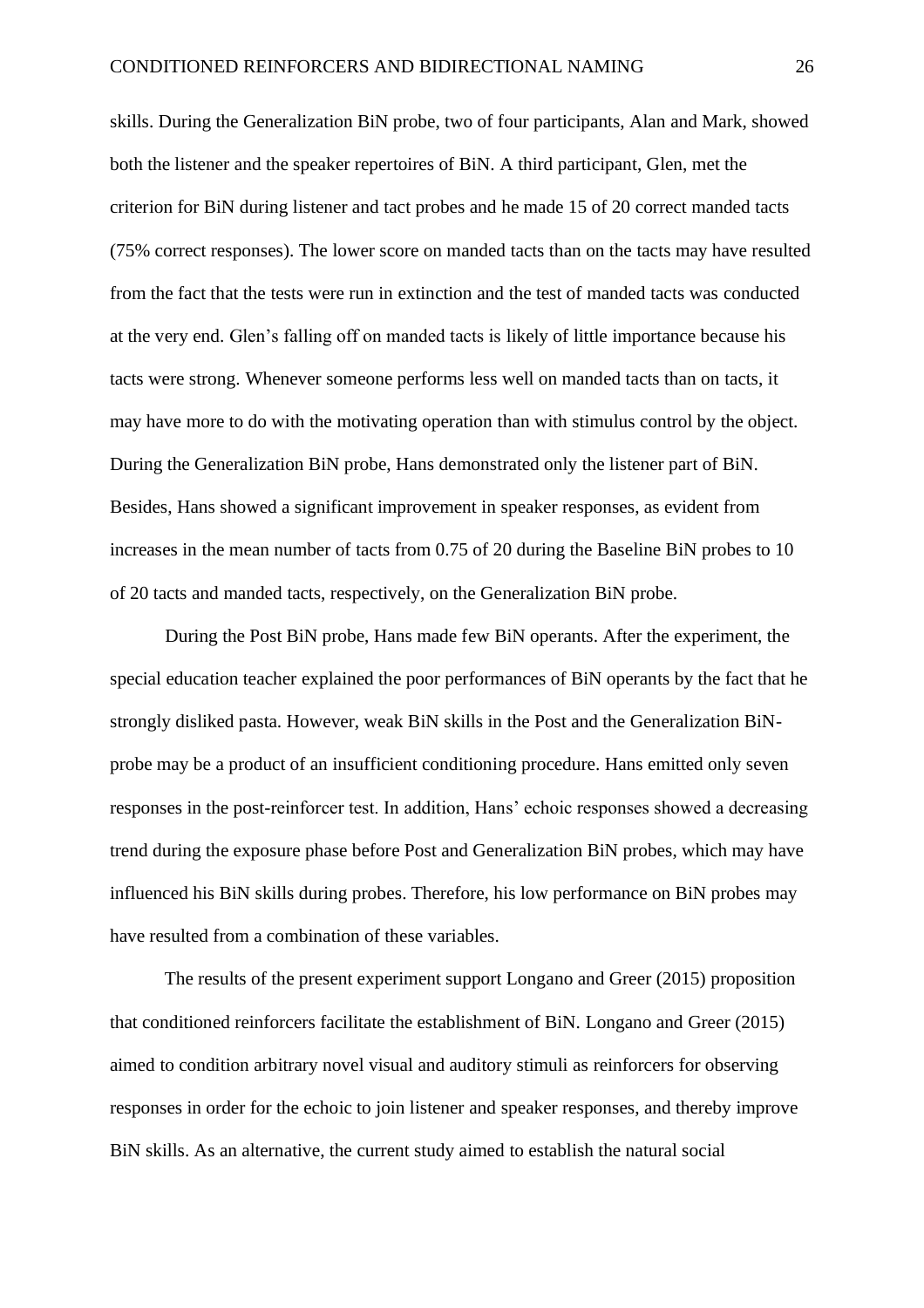skills. During the Generalization BiN probe, two of four participants, Alan and Mark, showed both the listener and the speaker repertoires of BiN. A third participant, Glen, met the criterion for BiN during listener and tact probes and he made 15 of 20 correct manded tacts (75% correct responses). The lower score on manded tacts than on the tacts may have resulted from the fact that the tests were run in extinction and the test of manded tacts was conducted at the very end. Glen's falling off on manded tacts is likely of little importance because his tacts were strong. Whenever someone performs less well on manded tacts than on tacts, it may have more to do with the motivating operation than with stimulus control by the object. During the Generalization BiN probe, Hans demonstrated only the listener part of BiN. Besides, Hans showed a significant improvement in speaker responses, as evident from increases in the mean number of tacts from 0.75 of 20 during the Baseline BiN probes to 10 of 20 tacts and manded tacts, respectively, on the Generalization BiN probe.

During the Post BiN probe, Hans made few BiN operants. After the experiment, the special education teacher explained the poor performances of BiN operants by the fact that he strongly disliked pasta. However, weak BiN skills in the Post and the Generalization BiNprobe may be a product of an insufficient conditioning procedure. Hans emitted only seven responses in the post-reinforcer test. In addition, Hans' echoic responses showed a decreasing trend during the exposure phase before Post and Generalization BiN probes, which may have influenced his BiN skills during probes. Therefore, his low performance on BiN probes may have resulted from a combination of these variables.

The results of the present experiment support Longano and Greer (2015) proposition that conditioned reinforcers facilitate the establishment of BiN. Longano and Greer (2015) aimed to condition arbitrary novel visual and auditory stimuli as reinforcers for observing responses in order for the echoic to join listener and speaker responses, and thereby improve BiN skills. As an alternative, the current study aimed to establish the natural social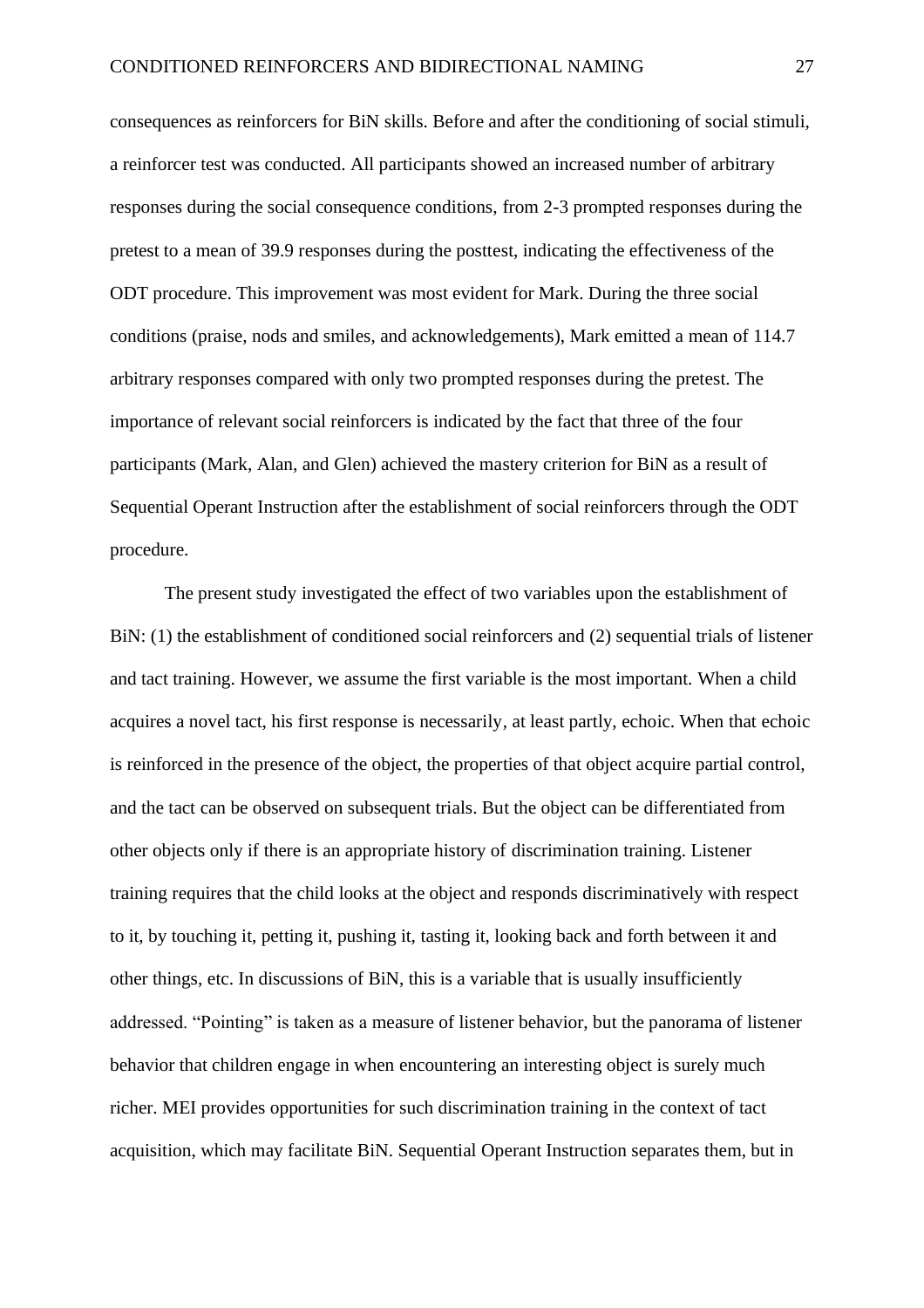consequences as reinforcers for BiN skills. Before and after the conditioning of social stimuli, a reinforcer test was conducted. All participants showed an increased number of arbitrary responses during the social consequence conditions, from 2-3 prompted responses during the pretest to a mean of 39.9 responses during the posttest, indicating the effectiveness of the ODT procedure. This improvement was most evident for Mark. During the three social conditions (praise, nods and smiles, and acknowledgements), Mark emitted a mean of 114.7 arbitrary responses compared with only two prompted responses during the pretest. The importance of relevant social reinforcers is indicated by the fact that three of the four participants (Mark, Alan, and Glen) achieved the mastery criterion for BiN as a result of Sequential Operant Instruction after the establishment of social reinforcers through the ODT procedure.

The present study investigated the effect of two variables upon the establishment of BiN: (1) the establishment of conditioned social reinforcers and (2) sequential trials of listener and tact training. However, we assume the first variable is the most important. When a child acquires a novel tact, his first response is necessarily, at least partly, echoic. When that echoic is reinforced in the presence of the object, the properties of that object acquire partial control, and the tact can be observed on subsequent trials. But the object can be differentiated from other objects only if there is an appropriate history of discrimination training. Listener training requires that the child looks at the object and responds discriminatively with respect to it, by touching it, petting it, pushing it, tasting it, looking back and forth between it and other things, etc. In discussions of BiN, this is a variable that is usually insufficiently addressed. "Pointing" is taken as a measure of listener behavior, but the panorama of listener behavior that children engage in when encountering an interesting object is surely much richer. MEI provides opportunities for such discrimination training in the context of tact acquisition, which may facilitate BiN. Sequential Operant Instruction separates them, but in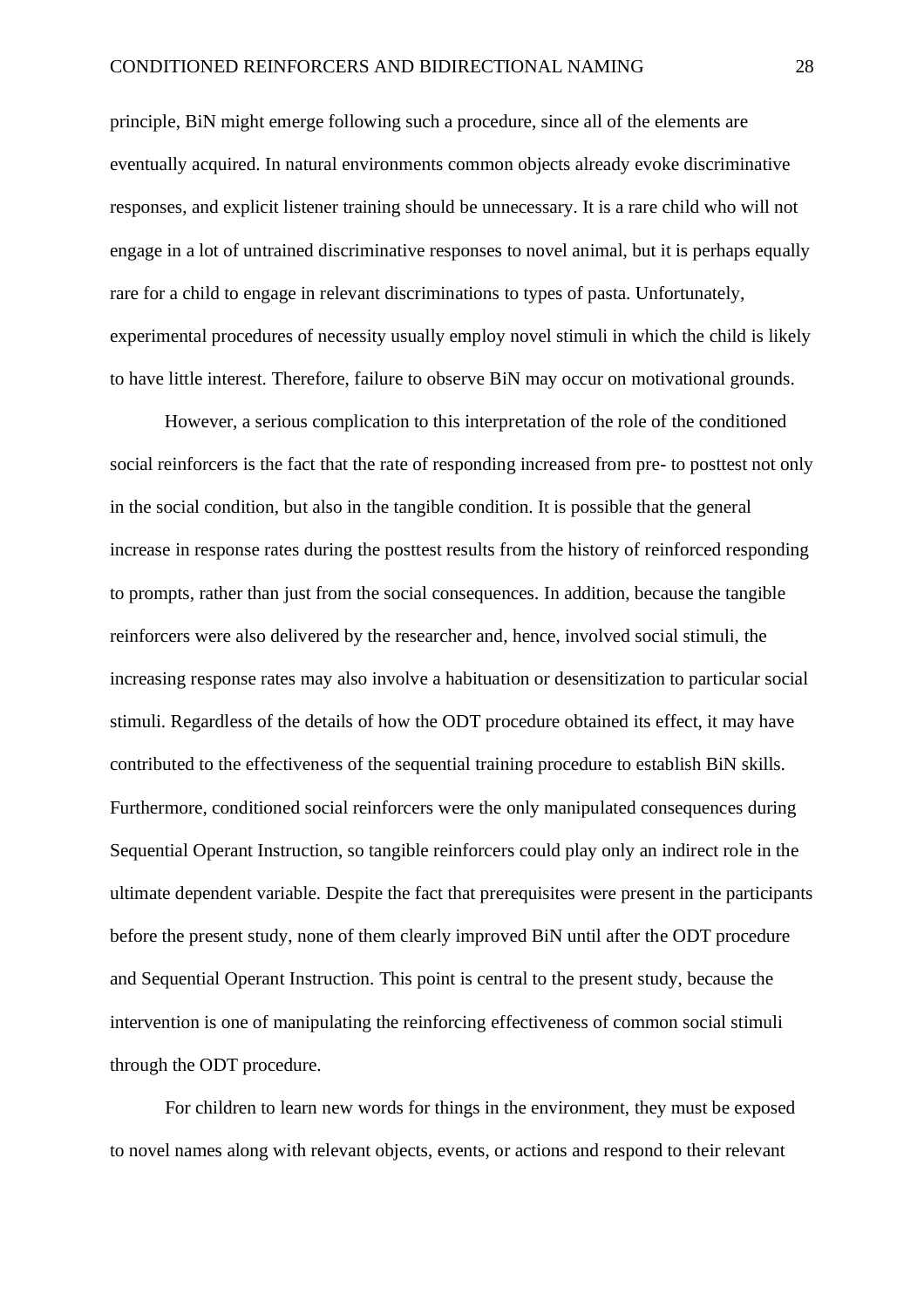principle, BiN might emerge following such a procedure, since all of the elements are eventually acquired. In natural environments common objects already evoke discriminative responses, and explicit listener training should be unnecessary. It is a rare child who will not engage in a lot of untrained discriminative responses to novel animal, but it is perhaps equally rare for a child to engage in relevant discriminations to types of pasta. Unfortunately, experimental procedures of necessity usually employ novel stimuli in which the child is likely to have little interest. Therefore, failure to observe BiN may occur on motivational grounds.

However, a serious complication to this interpretation of the role of the conditioned social reinforcers is the fact that the rate of responding increased from pre- to posttest not only in the social condition, but also in the tangible condition. It is possible that the general increase in response rates during the posttest results from the history of reinforced responding to prompts, rather than just from the social consequences. In addition, because the tangible reinforcers were also delivered by the researcher and, hence, involved social stimuli, the increasing response rates may also involve a habituation or desensitization to particular social stimuli. Regardless of the details of how the ODT procedure obtained its effect, it may have contributed to the effectiveness of the sequential training procedure to establish BiN skills. Furthermore, conditioned social reinforcers were the only manipulated consequences during Sequential Operant Instruction, so tangible reinforcers could play only an indirect role in the ultimate dependent variable. Despite the fact that prerequisites were present in the participants before the present study, none of them clearly improved BiN until after the ODT procedure and Sequential Operant Instruction. This point is central to the present study, because the intervention is one of manipulating the reinforcing effectiveness of common social stimuli through the ODT procedure.

For children to learn new words for things in the environment, they must be exposed to novel names along with relevant objects, events, or actions and respond to their relevant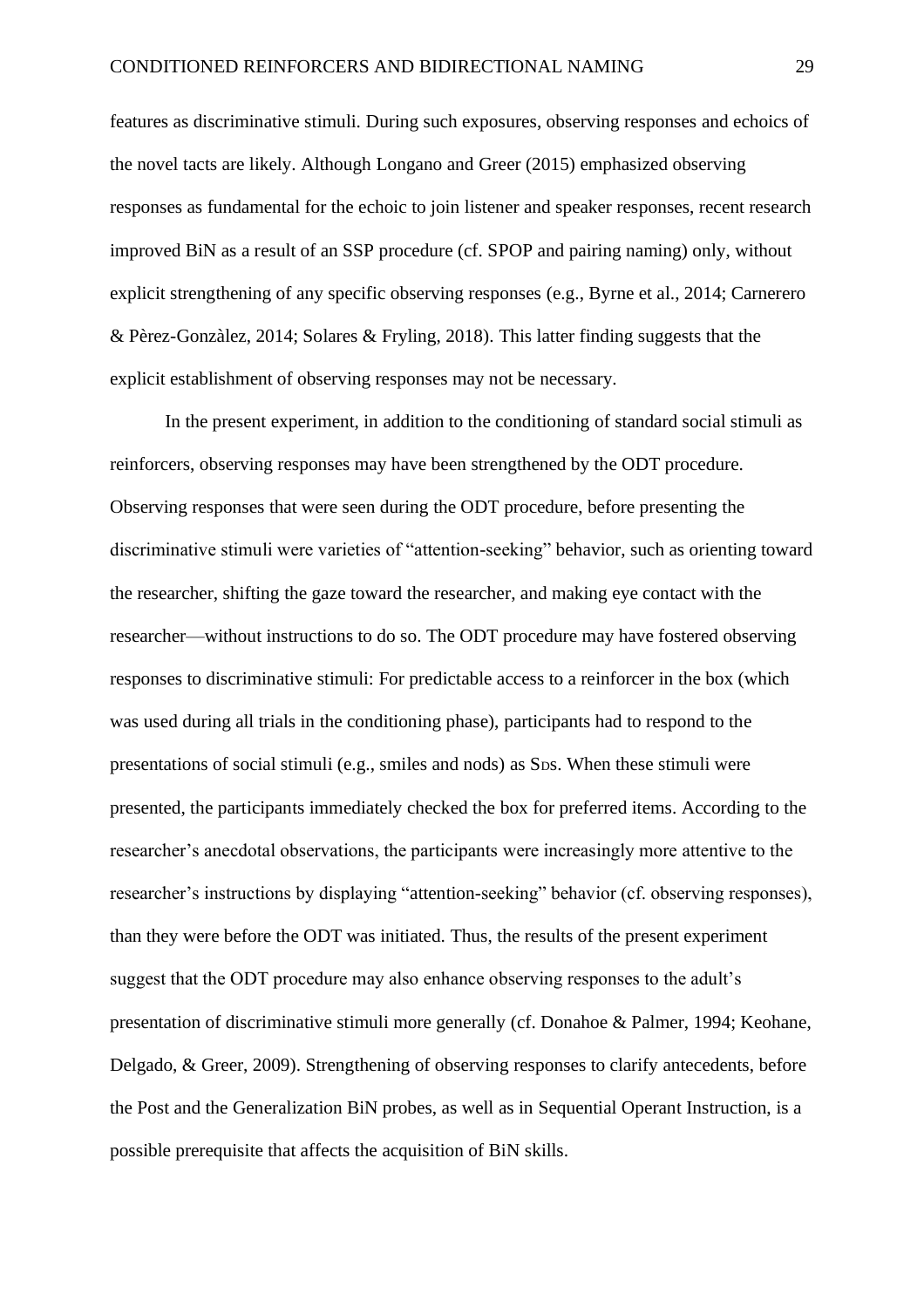features as discriminative stimuli. During such exposures, observing responses and echoics of the novel tacts are likely. Although Longano and Greer (2015) emphasized observing responses as fundamental for the echoic to join listener and speaker responses, recent research improved BiN as a result of an SSP procedure (cf. SPOP and pairing naming) only, without explicit strengthening of any specific observing responses (e.g., Byrne et al., 2014; Carnerero & Pèrez-Gonzàlez, 2014; Solares & Fryling, 2018). This latter finding suggests that the explicit establishment of observing responses may not be necessary.

In the present experiment, in addition to the conditioning of standard social stimuli as reinforcers, observing responses may have been strengthened by the ODT procedure. Observing responses that were seen during the ODT procedure, before presenting the discriminative stimuli were varieties of "attention-seeking" behavior, such as orienting toward the researcher, shifting the gaze toward the researcher, and making eye contact with the researcher—without instructions to do so. The ODT procedure may have fostered observing responses to discriminative stimuli: For predictable access to a reinforcer in the box (which was used during all trials in the conditioning phase), participants had to respond to the presentations of social stimuli (e.g., smiles and nods) as SDs. When these stimuli were presented, the participants immediately checked the box for preferred items. According to the researcher's anecdotal observations, the participants were increasingly more attentive to the researcher's instructions by displaying "attention-seeking" behavior (cf. observing responses), than they were before the ODT was initiated. Thus, the results of the present experiment suggest that the ODT procedure may also enhance observing responses to the adult's presentation of discriminative stimuli more generally (cf. Donahoe & Palmer, 1994; Keohane, Delgado, & Greer, 2009). Strengthening of observing responses to clarify antecedents, before the Post and the Generalization BiN probes, as well as in Sequential Operant Instruction, is a possible prerequisite that affects the acquisition of BiN skills.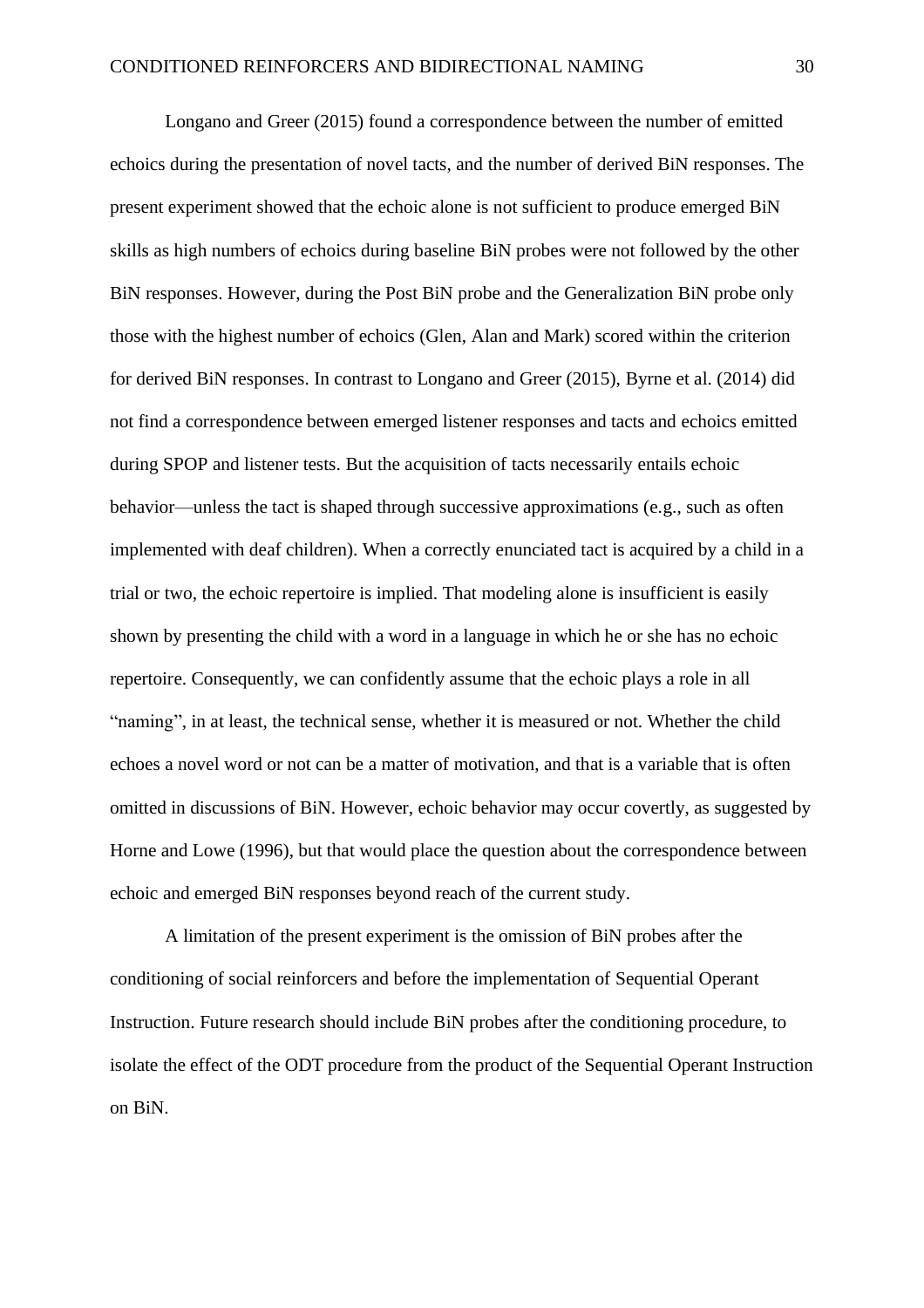Longano and Greer (2015) found a correspondence between the number of emitted echoics during the presentation of novel tacts, and the number of derived BiN responses. The present experiment showed that the echoic alone is not sufficient to produce emerged BiN skills as high numbers of echoics during baseline BiN probes were not followed by the other BiN responses. However, during the Post BiN probe and the Generalization BiN probe only those with the highest number of echoics (Glen, Alan and Mark) scored within the criterion for derived BiN responses. In contrast to Longano and Greer (2015), Byrne et al. (2014) did not find a correspondence between emerged listener responses and tacts and echoics emitted during SPOP and listener tests. But the acquisition of tacts necessarily entails echoic behavior—unless the tact is shaped through successive approximations (e.g., such as often implemented with deaf children). When a correctly enunciated tact is acquired by a child in a trial or two, the echoic repertoire is implied. That modeling alone is insufficient is easily shown by presenting the child with a word in a language in which he or she has no echoic repertoire. Consequently, we can confidently assume that the echoic plays a role in all "naming", in at least, the technical sense, whether it is measured or not. Whether the child echoes a novel word or not can be a matter of motivation, and that is a variable that is often omitted in discussions of BiN. However, echoic behavior may occur covertly, as suggested by Horne and Lowe (1996), but that would place the question about the correspondence between echoic and emerged BiN responses beyond reach of the current study.

A limitation of the present experiment is the omission of BiN probes after the conditioning of social reinforcers and before the implementation of Sequential Operant Instruction. Future research should include BiN probes after the conditioning procedure, to isolate the effect of the ODT procedure from the product of the Sequential Operant Instruction on BiN.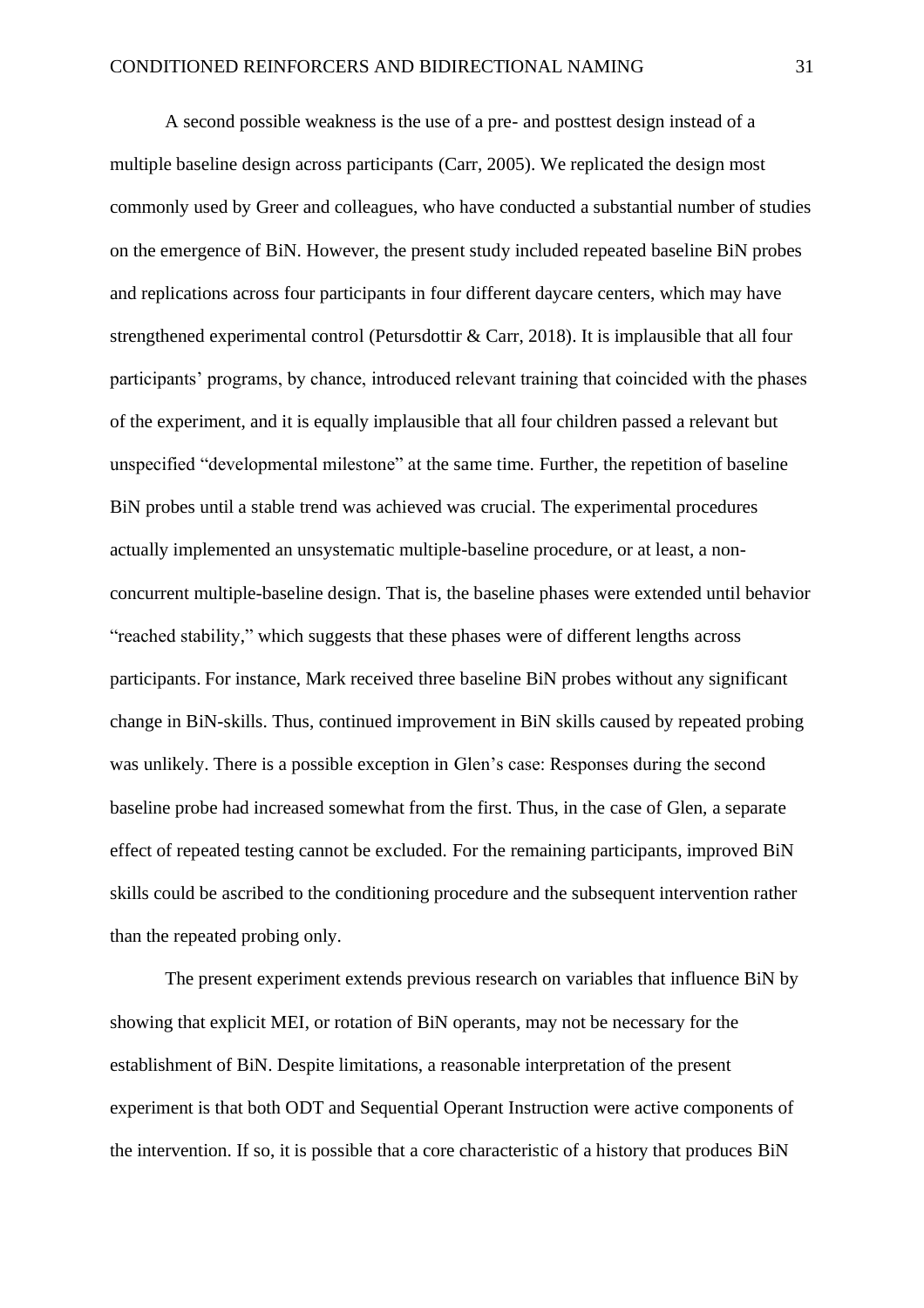A second possible weakness is the use of a pre- and posttest design instead of a multiple baseline design across participants (Carr, 2005). We replicated the design most commonly used by Greer and colleagues, who have conducted a substantial number of studies on the emergence of BiN. However, the present study included repeated baseline BiN probes and replications across four participants in four different daycare centers, which may have strengthened experimental control (Petursdottir & Carr, 2018). It is implausible that all four participants' programs, by chance, introduced relevant training that coincided with the phases of the experiment, and it is equally implausible that all four children passed a relevant but unspecified "developmental milestone" at the same time. Further, the repetition of baseline BiN probes until a stable trend was achieved was crucial. The experimental procedures actually implemented an unsystematic multiple-baseline procedure, or at least, a nonconcurrent multiple-baseline design. That is, the baseline phases were extended until behavior "reached stability," which suggests that these phases were of different lengths across participants. For instance, Mark received three baseline BiN probes without any significant change in BiN-skills. Thus, continued improvement in BiN skills caused by repeated probing was unlikely. There is a possible exception in Glen's case: Responses during the second baseline probe had increased somewhat from the first. Thus, in the case of Glen, a separate effect of repeated testing cannot be excluded. For the remaining participants, improved BiN skills could be ascribed to the conditioning procedure and the subsequent intervention rather than the repeated probing only.

The present experiment extends previous research on variables that influence BiN by showing that explicit MEI, or rotation of BiN operants, may not be necessary for the establishment of BiN. Despite limitations, a reasonable interpretation of the present experiment is that both ODT and Sequential Operant Instruction were active components of the intervention. If so, it is possible that a core characteristic of a history that produces BiN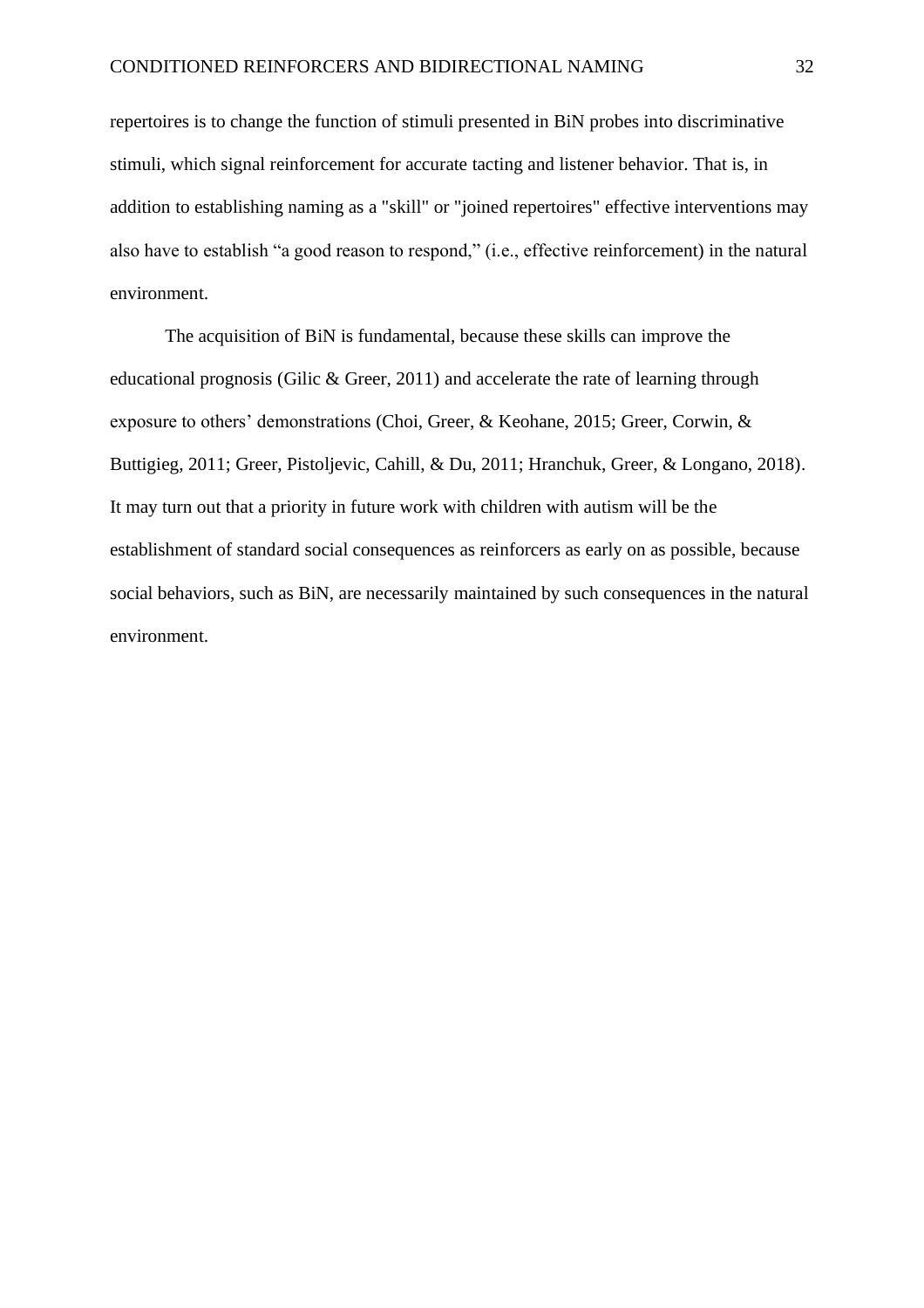repertoires is to change the function of stimuli presented in BiN probes into discriminative stimuli, which signal reinforcement for accurate tacting and listener behavior. That is, in addition to establishing naming as a "skill" or "joined repertoires" effective interventions may also have to establish "a good reason to respond," (i.e., effective reinforcement) in the natural environment.

The acquisition of BiN is fundamental, because these skills can improve the educational prognosis (Gilic & Greer, 2011) and accelerate the rate of learning through exposure to others' demonstrations (Choi, Greer, & Keohane, 2015; Greer, Corwin, & Buttigieg, 2011; Greer, Pistoljevic, Cahill, & Du, 2011; Hranchuk, Greer, & Longano, 2018). It may turn out that a priority in future work with children with autism will be the establishment of standard social consequences as reinforcers as early on as possible, because social behaviors, such as BiN, are necessarily maintained by such consequences in the natural environment.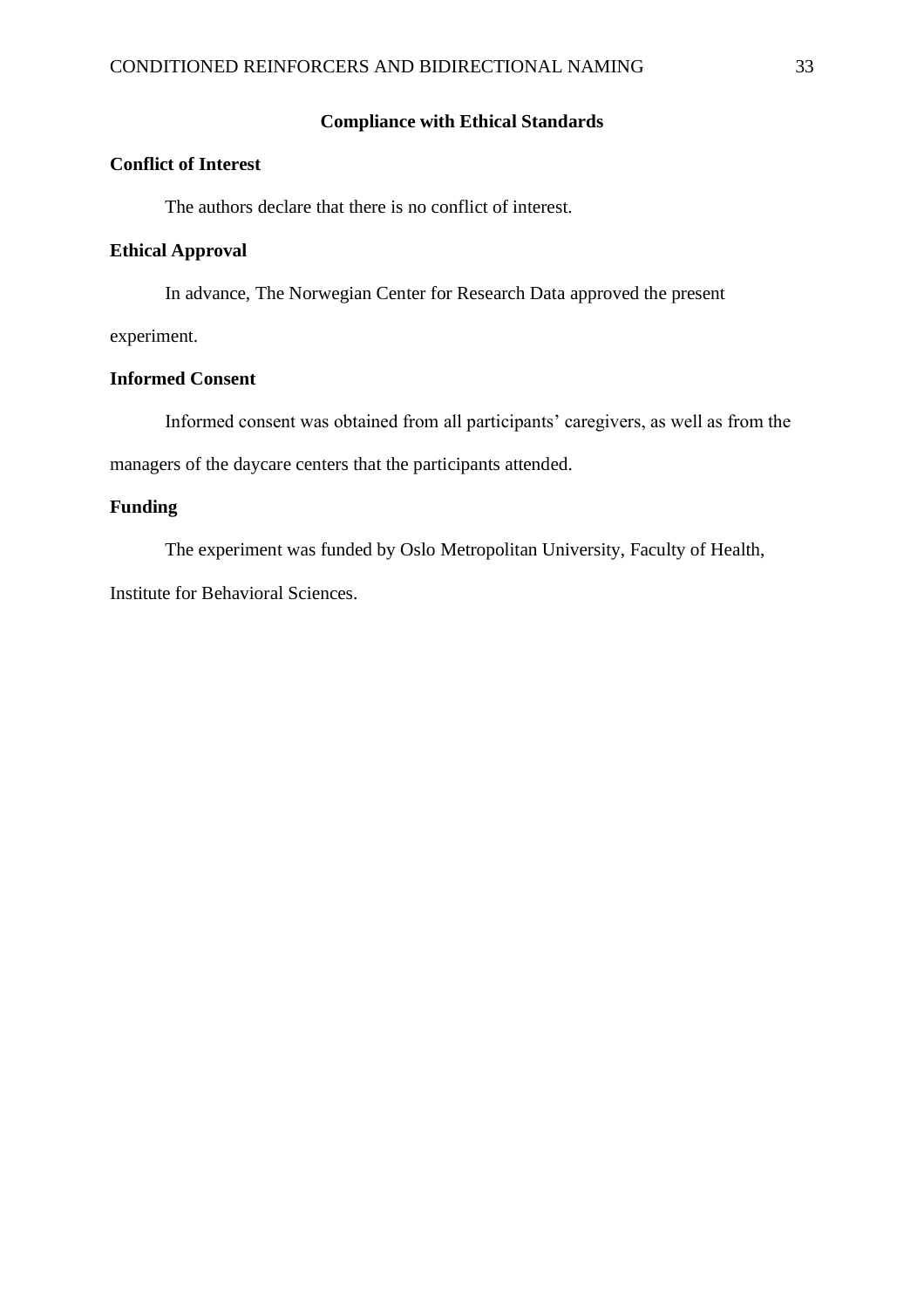### **Compliance with Ethical Standards**

### **Conflict of Interest**

The authors declare that there is no conflict of interest.

#### **Ethical Approval**

In advance, The Norwegian Center for Research Data approved the present

experiment.

### **Informed Consent**

Informed consent was obtained from all participants' caregivers, as well as from the managers of the daycare centers that the participants attended.

### **Funding**

The experiment was funded by Oslo Metropolitan University, Faculty of Health,

Institute for Behavioral Sciences.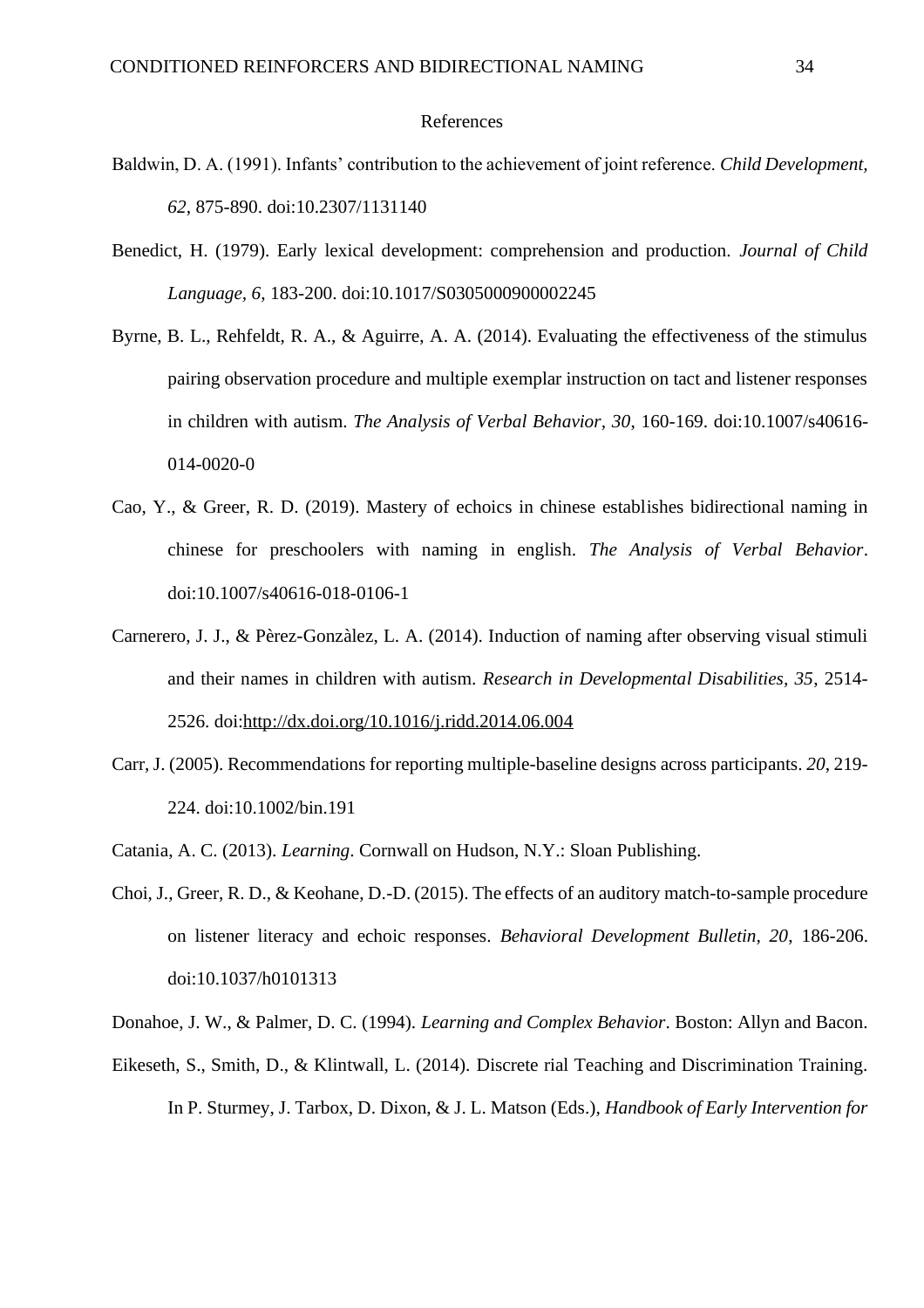#### References

- Baldwin, D. A. (1991). Infants' contribution to the achievement of joint reference. *Child Development, 62*, 875-890. doi:10.2307/1131140
- Benedict, H. (1979). Early lexical development: comprehension and production. *Journal of Child Language, 6*, 183-200. doi:10.1017/S0305000900002245
- Byrne, B. L., Rehfeldt, R. A., & Aguirre, A. A. (2014). Evaluating the effectiveness of the stimulus pairing observation procedure and multiple exemplar instruction on tact and listener responses in children with autism. *The Analysis of Verbal Behavior, 30*, 160-169. doi:10.1007/s40616- 014-0020-0
- Cao, Y., & Greer, R. D. (2019). Mastery of echoics in chinese establishes bidirectional naming in chinese for preschoolers with naming in english. *The Analysis of Verbal Behavior*. doi:10.1007/s40616-018-0106-1
- Carnerero, J. J., & Pèrez-Gonzàlez, L. A. (2014). Induction of naming after observing visual stimuli and their names in children with autism. *Research in Developmental Disabilities, 35*, 2514- 2526. doi[:http://dx.doi.org/10.1016/j.ridd.2014.06.004](http://dx.doi.org/10.1016/j.ridd.2014.06.004)
- Carr, J. (2005). Recommendations for reporting multiple-baseline designs across participants. *20*, 219- 224. doi:10.1002/bin.191
- Catania, A. C. (2013). *Learning*. Cornwall on Hudson, N.Y.: Sloan Publishing.
- Choi, J., Greer, R. D., & Keohane, D.-D. (2015). The effects of an auditory match-to-sample procedure on listener literacy and echoic responses. *Behavioral Development Bulletin, 20*, 186-206. doi:10.1037/h0101313
- Donahoe, J. W., & Palmer, D. C. (1994). *Learning and Complex Behavior*. Boston: Allyn and Bacon.
- Eikeseth, S., Smith, D., & Klintwall, L. (2014). Discrete rial Teaching and Discrimination Training. In P. Sturmey, J. Tarbox, D. Dixon, & J. L. Matson (Eds.), *Handbook of Early Intervention for*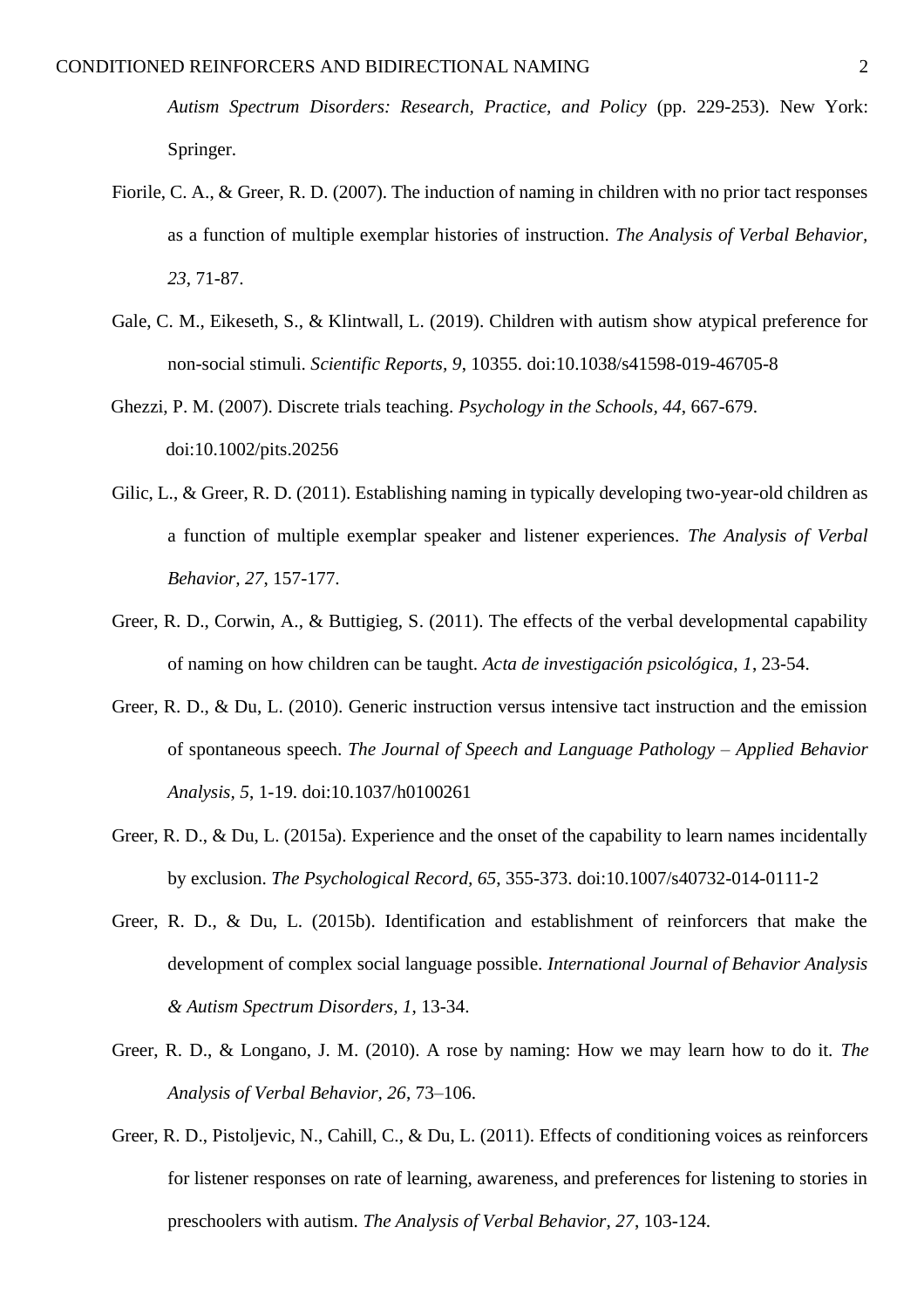*Autism Spectrum Disorders: Research, Practice, and Policy* (pp. 229-253). New York: Springer.

- Fiorile, C. A., & Greer, R. D. (2007). The induction of naming in children with no prior tact responses as a function of multiple exemplar histories of instruction. *The Analysis of Verbal Behavior, 23*, 71-87.
- Gale, C. M., Eikeseth, S., & Klintwall, L. (2019). Children with autism show atypical preference for non-social stimuli. *Scientific Reports, 9*, 10355. doi:10.1038/s41598-019-46705-8
- Ghezzi, P. M. (2007). Discrete trials teaching. *Psychology in the Schools, 44*, 667-679. doi:10.1002/pits.20256
- Gilic, L., & Greer, R. D. (2011). Establishing naming in typically developing two-year-old children as a function of multiple exemplar speaker and listener experiences. *The Analysis of Verbal Behavior, 27*, 157-177.
- Greer, R. D., Corwin, A., & Buttigieg, S. (2011). The effects of the verbal developmental capability of naming on how children can be taught. *Acta de investigación psicológica, 1*, 23-54.
- Greer, R. D., & Du, L. (2010). Generic instruction versus intensive tact instruction and the emission of spontaneous speech. *The Journal of Speech and Language Pathology – Applied Behavior Analysis, 5*, 1-19. doi:10.1037/h0100261
- Greer, R. D., & Du, L. (2015a). Experience and the onset of the capability to learn names incidentally by exclusion. *The Psychological Record, 65*, 355-373. doi:10.1007/s40732-014-0111-2
- Greer, R. D., & Du, L. (2015b). Identification and establishment of reinforcers that make the development of complex social language possible. *International Journal of Behavior Analysis & Autism Spectrum Disorders, 1*, 13-34.
- Greer, R. D., & Longano, J. M. (2010). A rose by naming: How we may learn how to do it. *The Analysis of Verbal Behavior, 26*, 73–106.
- Greer, R. D., Pistoljevic, N., Cahill, C., & Du, L. (2011). Effects of conditioning voices as reinforcers for listener responses on rate of learning, awareness, and preferences for listening to stories in preschoolers with autism. *The Analysis of Verbal Behavior, 27*, 103-124.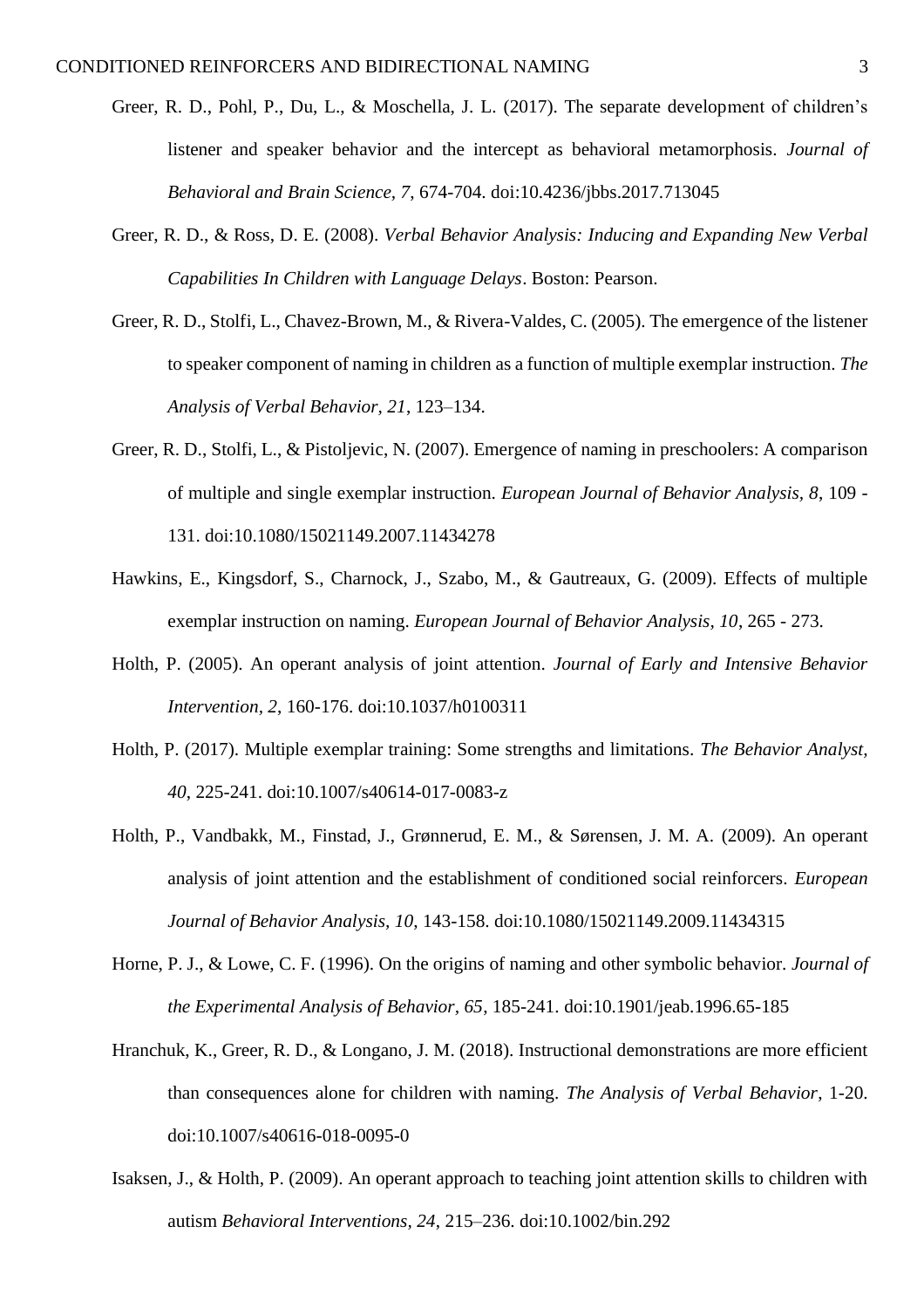- Greer, R. D., Pohl, P., Du, L., & Moschella, J. L. (2017). The separate development of children's listener and speaker behavior and the intercept as behavioral metamorphosis. *Journal of Behavioral and Brain Science, 7*, 674-704. doi:10.4236/jbbs.2017.713045
- Greer, R. D., & Ross, D. E. (2008). *Verbal Behavior Analysis: Inducing and Expanding New Verbal Capabilities In Children with Language Delays*. Boston: Pearson.
- Greer, R. D., Stolfi, L., Chavez-Brown, M., & Rivera-Valdes, C. (2005). The emergence of the listener to speaker component of naming in children as a function of multiple exemplar instruction. *The Analysis of Verbal Behavior, 21*, 123–134.
- Greer, R. D., Stolfi, L., & Pistoljevic, N. (2007). Emergence of naming in preschoolers: A comparison of multiple and single exemplar instruction. *European Journal of Behavior Analysis, 8*, 109 - 131. doi:10.1080/15021149.2007.11434278
- Hawkins, E., Kingsdorf, S., Charnock, J., Szabo, M., & Gautreaux, G. (2009). Effects of multiple exemplar instruction on naming. *European Journal of Behavior Analysis, 10*, 265 - 273.
- Holth, P. (2005). An operant analysis of joint attention. *Journal of Early and Intensive Behavior Intervention, 2*, 160-176. doi:10.1037/h0100311
- Holth, P. (2017). Multiple exemplar training: Some strengths and limitations. *The Behavior Analyst, 40*, 225-241. doi:10.1007/s40614-017-0083-z
- Holth, P., Vandbakk, M., Finstad, J., Grønnerud, E. M., & Sørensen, J. M. A. (2009). An operant analysis of joint attention and the establishment of conditioned social reinforcers. *European Journal of Behavior Analysis, 10*, 143-158. doi:10.1080/15021149.2009.11434315
- Horne, P. J., & Lowe, C. F. (1996). On the origins of naming and other symbolic behavior. *Journal of the Experimental Analysis of Behavior, 65*, 185-241. doi:10.1901/jeab.1996.65-185
- Hranchuk, K., Greer, R. D., & Longano, J. M. (2018). Instructional demonstrations are more efficient than consequences alone for children with naming. *The Analysis of Verbal Behavior*, 1-20. doi:10.1007/s40616-018-0095-0
- Isaksen, J., & Holth, P. (2009). An operant approach to teaching joint attention skills to children with autism *Behavioral Interventions, 24*, 215–236. doi:10.1002/bin.292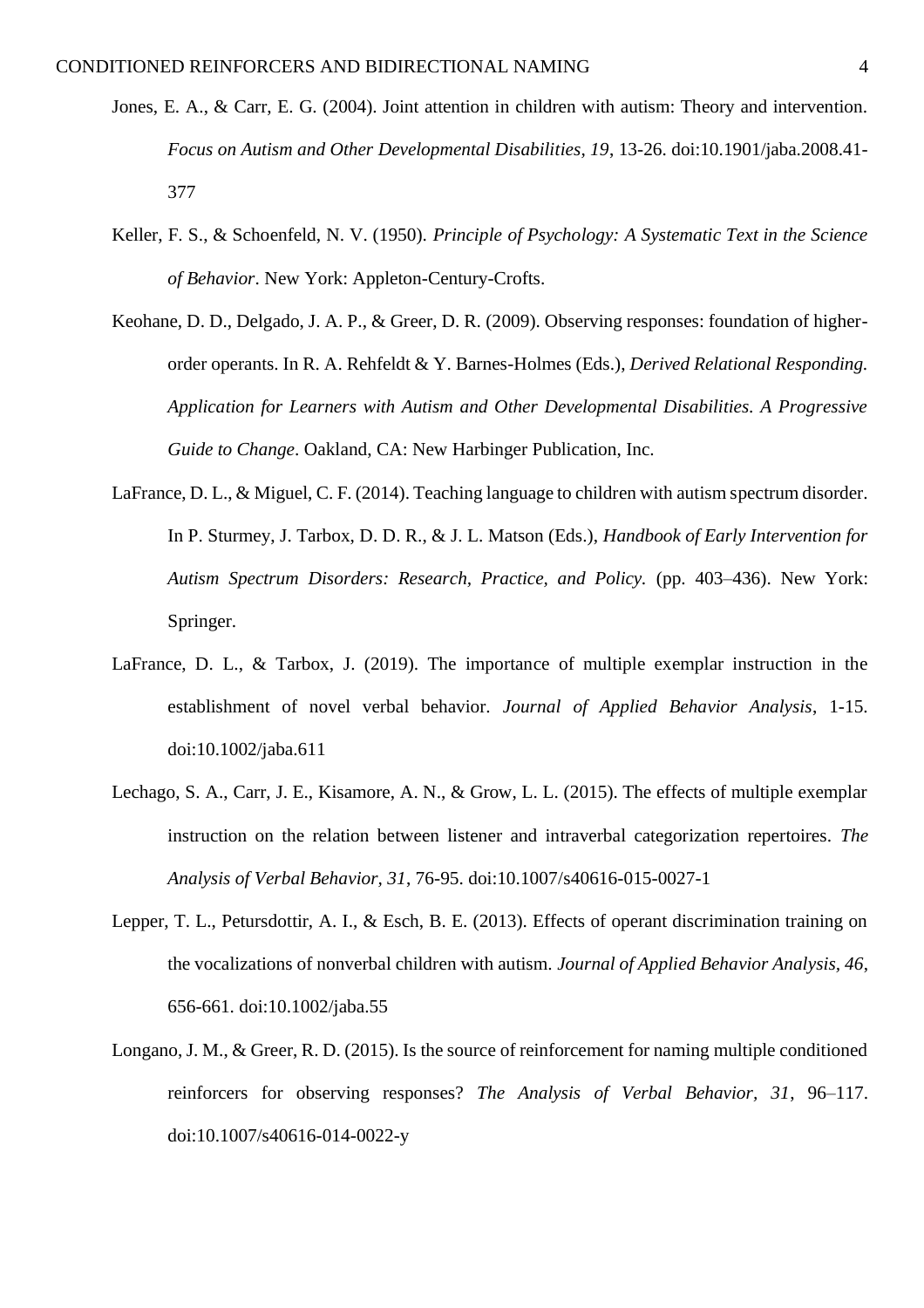- Jones, E. A., & Carr, E. G. (2004). Joint attention in children with autism: Theory and intervention. *Focus on Autism and Other Developmental Disabilities, 19*, 13-26. doi:10.1901/jaba.2008.41- 377
- Keller, F. S., & Schoenfeld, N. V. (1950). *Principle of Psychology: A Systematic Text in the Science of Behavior*. New York: Appleton-Century-Crofts.
- Keohane, D. D., Delgado, J. A. P., & Greer, D. R. (2009). Observing responses: foundation of higherorder operants. In R. A. Rehfeldt & Y. Barnes-Holmes (Eds.), *Derived Relational Responding. Application for Learners with Autism and Other Developmental Disabilities. A Progressive Guide to Change*. Oakland, CA: New Harbinger Publication, Inc.
- LaFrance, D. L., & Miguel, C. F. (2014). Teaching language to children with autism spectrum disorder. In P. Sturmey, J. Tarbox, D. D. R., & J. L. Matson (Eds.), *Handbook of Early Intervention for Autism Spectrum Disorders: Research, Practice, and Policy.* (pp. 403–436). New York: Springer.
- LaFrance, D. L., & Tarbox, J. (2019). The importance of multiple exemplar instruction in the establishment of novel verbal behavior. *Journal of Applied Behavior Analysis*, 1-15. doi:10.1002/jaba.611
- Lechago, S. A., Carr, J. E., Kisamore, A. N., & Grow, L. L. (2015). The effects of multiple exemplar instruction on the relation between listener and intraverbal categorization repertoires. *The Analysis of Verbal Behavior, 31*, 76-95. doi:10.1007/s40616-015-0027-1
- Lepper, T. L., Petursdottir, A. I., & Esch, B. E. (2013). Effects of operant discrimination training on the vocalizations of nonverbal children with autism. *Journal of Applied Behavior Analysis, 46*, 656-661. doi:10.1002/jaba.55
- Longano, J. M., & Greer, R. D. (2015). Is the source of reinforcement for naming multiple conditioned reinforcers for observing responses? *The Analysis of Verbal Behavior, 31*, 96–117. doi:10.1007/s40616-014-0022-y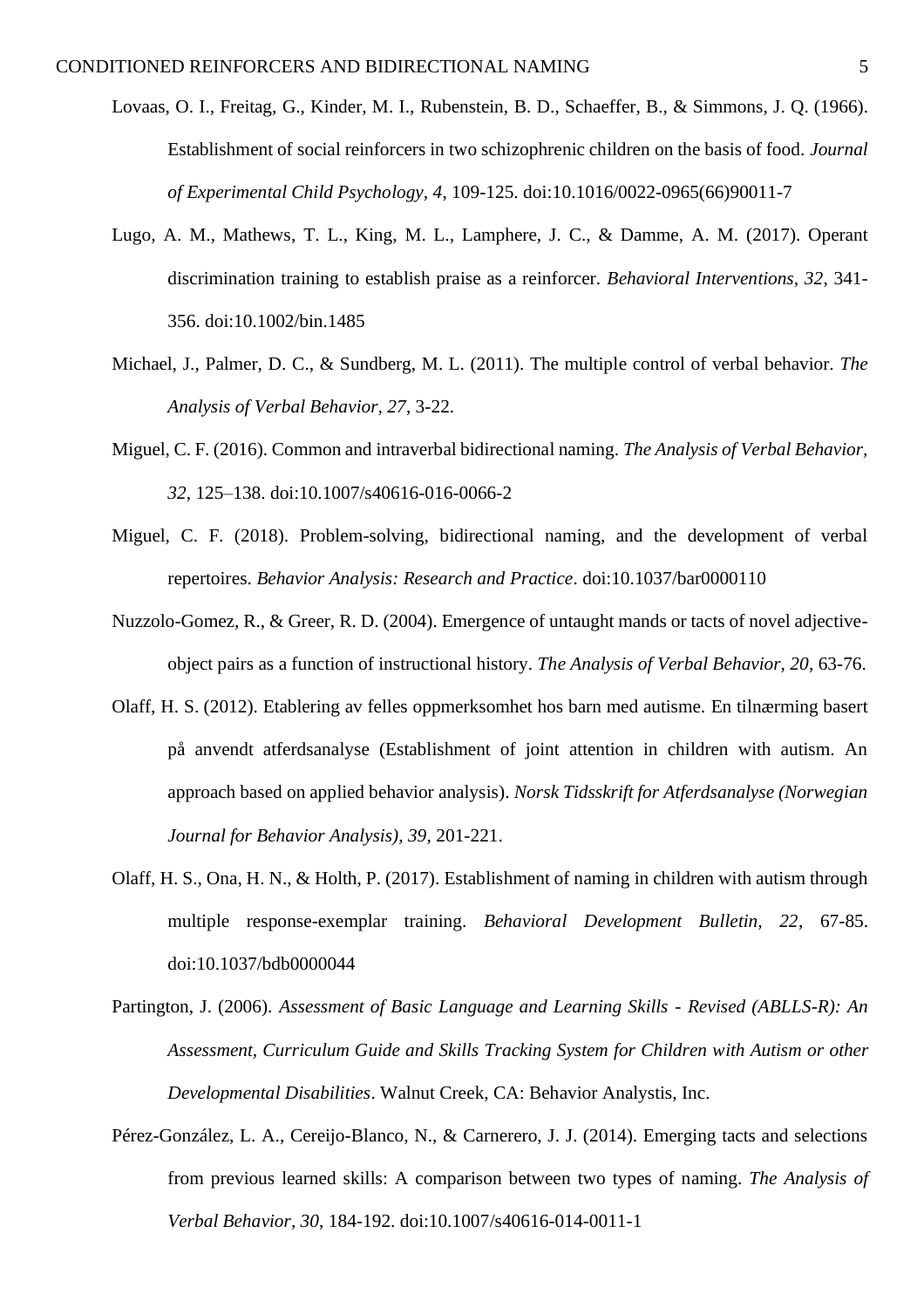- Lovaas, O. I., Freitag, G., Kinder, M. I., Rubenstein, B. D., Schaeffer, B., & Simmons, J. Q. (1966). Establishment of social reinforcers in two schizophrenic children on the basis of food. *Journal of Experimental Child Psychology, 4*, 109-125. doi:10.1016/0022-0965(66)90011-7
- Lugo, A. M., Mathews, T. L., King, M. L., Lamphere, J. C., & Damme, A. M. (2017). Operant discrimination training to establish praise as a reinforcer. *Behavioral Interventions, 32*, 341- 356. doi:10.1002/bin.1485
- Michael, J., Palmer, D. C., & Sundberg, M. L. (2011). The multiple control of verbal behavior. *The Analysis of Verbal Behavior, 27*, 3-22.
- Miguel, C. F. (2016). Common and intraverbal bidirectional naming. *The Analysis of Verbal Behavior, 32*, 125–138. doi:10.1007/s40616-016-0066-2
- Miguel, C. F. (2018). Problem-solving, bidirectional naming, and the development of verbal repertoires. *Behavior Analysis: Research and Practice*. doi:10.1037/bar0000110
- Nuzzolo-Gomez, R., & Greer, R. D. (2004). Emergence of untaught mands or tacts of novel adjectiveobject pairs as a function of instructional history. *The Analysis of Verbal Behavior, 20*, 63-76.
- Olaff, H. S. (2012). Etablering av felles oppmerksomhet hos barn med autisme. En tilnærming basert på anvendt atferdsanalyse (Establishment of joint attention in children with autism. An approach based on applied behavior analysis). *Norsk Tidsskrift for Atferdsanalyse (Norwegian Journal for Behavior Analysis), 39*, 201-221.
- Olaff, H. S., Ona, H. N., & Holth, P. (2017). Establishment of naming in children with autism through multiple response-exemplar training. *Behavioral Development Bulletin, 22*, 67-85. doi:10.1037/bdb0000044
- Partington, J. (2006). *Assessment of Basic Language and Learning Skills - Revised (ABLLS-R): An Assessment, Curriculum Guide and Skills Tracking System for Children with Autism or other Developmental Disabilities*. Walnut Creek, CA: Behavior Analystis, Inc.
- Pérez-González, L. A., Cereijo-Blanco, N., & Carnerero, J. J. (2014). Emerging tacts and selections from previous learned skills: A comparison between two types of naming. *The Analysis of Verbal Behavior, 30*, 184-192. doi:10.1007/s40616-014-0011-1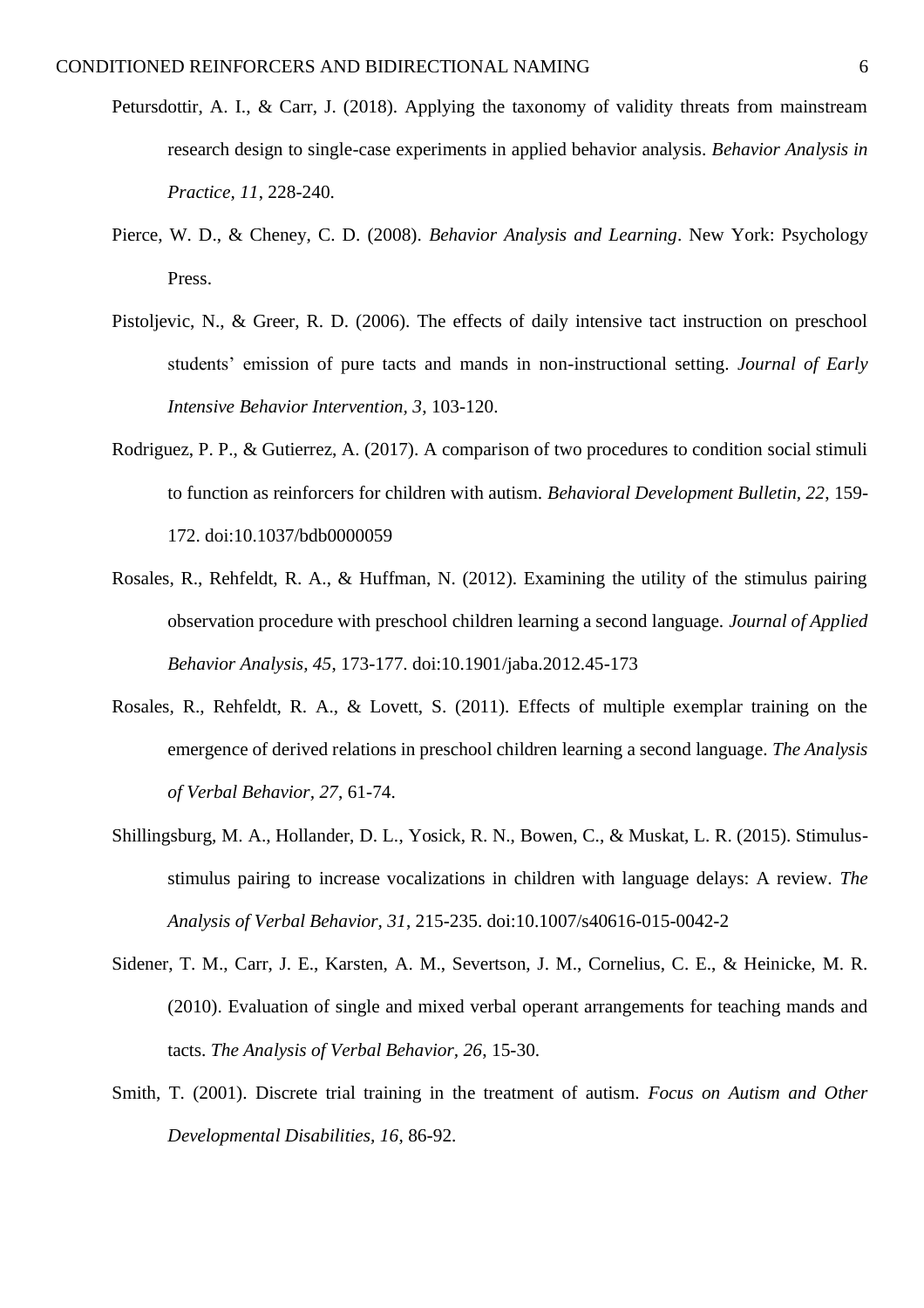- Petursdottir, A. I., & Carr, J. (2018). Applying the taxonomy of validity threats from mainstream research design to single-case experiments in applied behavior analysis. *Behavior Analysis in Practice, 11*, 228-240.
- Pierce, W. D., & Cheney, C. D. (2008). *Behavior Analysis and Learning*. New York: Psychology Press.
- Pistoljevic, N., & Greer, R. D. (2006). The effects of daily intensive tact instruction on preschool students' emission of pure tacts and mands in non-instructional setting. *Journal of Early Intensive Behavior Intervention, 3*, 103-120.
- Rodriguez, P. P., & Gutierrez, A. (2017). A comparison of two procedures to condition social stimuli to function as reinforcers for children with autism. *Behavioral Development Bulletin, 22*, 159- 172. doi:10.1037/bdb0000059
- Rosales, R., Rehfeldt, R. A., & Huffman, N. (2012). Examining the utility of the stimulus pairing observation procedure with preschool children learning a second language. *Journal of Applied Behavior Analysis, 45*, 173-177. doi:10.1901/jaba.2012.45-173
- Rosales, R., Rehfeldt, R. A., & Lovett, S. (2011). Effects of multiple exemplar training on the emergence of derived relations in preschool children learning a second language. *The Analysis of Verbal Behavior, 27*, 61-74.
- Shillingsburg, M. A., Hollander, D. L., Yosick, R. N., Bowen, C., & Muskat, L. R. (2015). Stimulusstimulus pairing to increase vocalizations in children with language delays: A review. *The Analysis of Verbal Behavior, 31*, 215-235. doi:10.1007/s40616-015-0042-2
- Sidener, T. M., Carr, J. E., Karsten, A. M., Severtson, J. M., Cornelius, C. E., & Heinicke, M. R. (2010). Evaluation of single and mixed verbal operant arrangements for teaching mands and tacts. *The Analysis of Verbal Behavior, 26*, 15-30.
- Smith, T. (2001). Discrete trial training in the treatment of autism. *Focus on Autism and Other Developmental Disabilities, 16*, 86-92.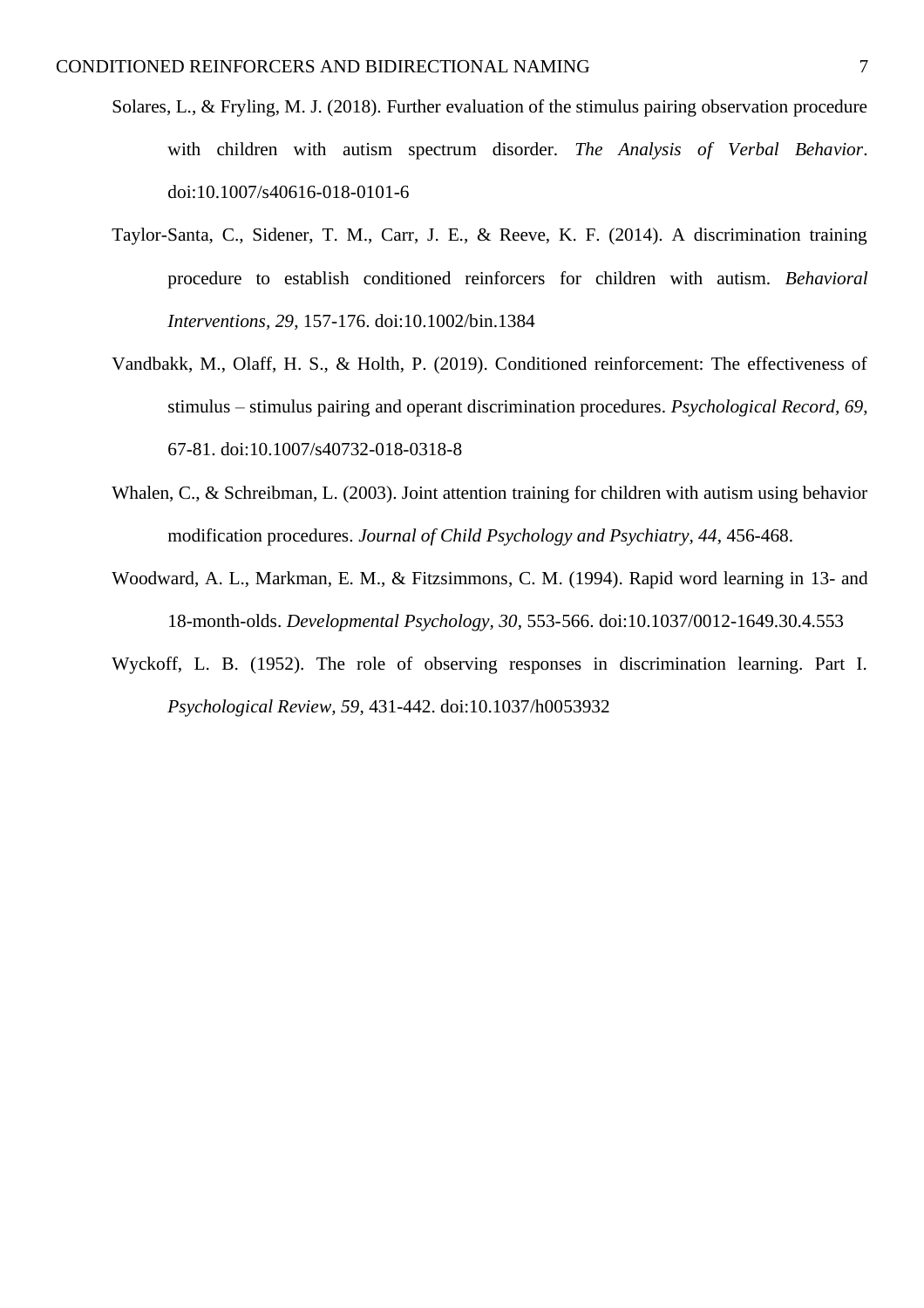- Solares, L., & Fryling, M. J. (2018). Further evaluation of the stimulus pairing observation procedure with children with autism spectrum disorder. *The Analysis of Verbal Behavior*. doi:10.1007/s40616-018-0101-6
- Taylor-Santa, C., Sidener, T. M., Carr, J. E., & Reeve, K. F. (2014). A discrimination training procedure to establish conditioned reinforcers for children with autism. *Behavioral Interventions, 29*, 157-176. doi:10.1002/bin.1384
- Vandbakk, M., Olaff, H. S., & Holth, P. (2019). Conditioned reinforcement: The effectiveness of stimulus – stimulus pairing and operant discrimination procedures. *Psychological Record, 69*, 67-81. doi:10.1007/s40732-018-0318-8
- Whalen, C., & Schreibman, L. (2003). Joint attention training for children with autism using behavior modification procedures. *Journal of Child Psychology and Psychiatry, 44*, 456-468.
- Woodward, A. L., Markman, E. M., & Fitzsimmons, C. M. (1994). Rapid word learning in 13- and 18-month-olds. *Developmental Psychology, 30*, 553-566. doi:10.1037/0012-1649.30.4.553
- Wyckoff, L. B. (1952). The role of observing responses in discrimination learning. Part I. *Psychological Review, 59*, 431-442. doi:10.1037/h0053932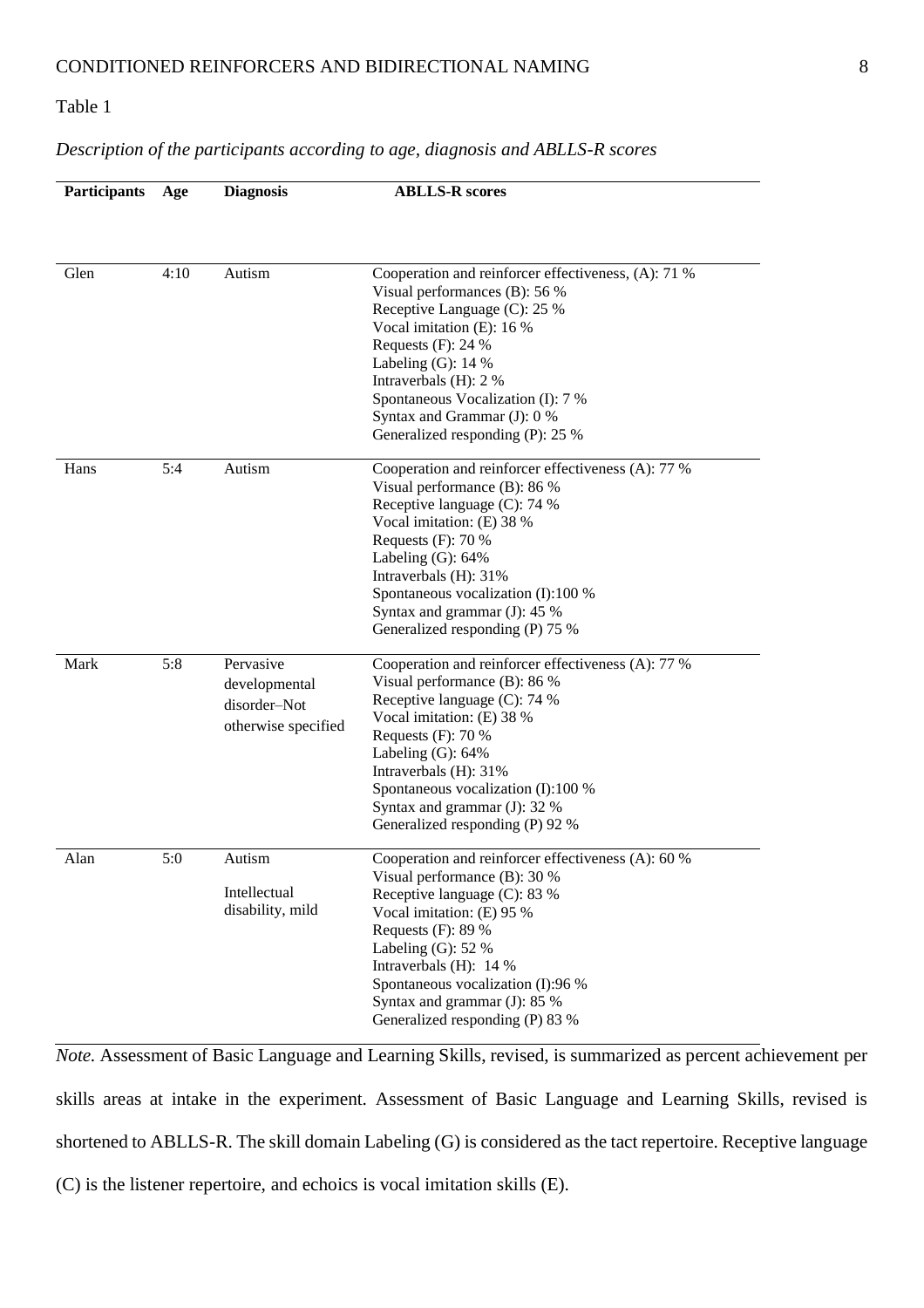### *Description of the participants according to age, diagnosis and ABLLS-R scores*

| <b>Participants</b> | Age  | <b>Diagnosis</b>                                                  | <b>ABLLS-R</b> scores                                                                                                                                                                                                                                                                                                                 |
|---------------------|------|-------------------------------------------------------------------|---------------------------------------------------------------------------------------------------------------------------------------------------------------------------------------------------------------------------------------------------------------------------------------------------------------------------------------|
|                     |      |                                                                   |                                                                                                                                                                                                                                                                                                                                       |
|                     |      |                                                                   |                                                                                                                                                                                                                                                                                                                                       |
| Glen                | 4:10 | Autism                                                            | Cooperation and reinforcer effectiveness, (A): 71 %<br>Visual performances (B): 56 %<br>Receptive Language (C): 25 %<br>Vocal imitation (E): 16 %<br>Requests $(F)$ : 24 %<br>Labeling $(G)$ : 14 %<br>Intraverbals (H): 2 %<br>Spontaneous Vocalization (I): 7 %                                                                     |
|                     |      |                                                                   | Syntax and Grammar (J): 0 %<br>Generalized responding (P): 25 %                                                                                                                                                                                                                                                                       |
| Hans                | 5:4  | Autism                                                            | Cooperation and reinforcer effectiveness (A): 77 %<br>Visual performance (B): 86 %<br>Receptive language (C): 74 %<br>Vocal imitation: (E) 38 %<br>Requests $(F)$ : 70 %<br>Labeling $(G)$ : 64%<br>Intraverbals (H): 31%<br>Spontaneous vocalization (I):100 %<br>Syntax and grammar $(J)$ : 45 %<br>Generalized responding (P) 75 % |
| Mark                | 5:8  | Pervasive<br>developmental<br>disorder-Not<br>otherwise specified | Cooperation and reinforcer effectiveness (A): 77 %<br>Visual performance (B): 86 %<br>Receptive language (C): 74 %<br>Vocal imitation: (E) 38 %<br>Requests $(F)$ : 70 %<br>Labeling $(G)$ : 64%<br>Intraverbals (H): 31%<br>Spontaneous vocalization (I):100 %<br>Syntax and grammar $(J)$ : 32 %<br>Generalized responding (P) 92 % |
| Alan                | 5:0  | Autism<br>Intellectual<br>disability, mild                        | Cooperation and reinforcer effectiveness (A): 60 %<br>Visual performance (B): 30 %<br>Receptive language (C): 83 %<br>Vocal imitation: (E) 95 %<br>Requests (F): 89 %<br>Labeling $(G)$ : 52 %<br>Intraverbals (H): 14 %<br>Spontaneous vocalization (I):96 %<br>Syntax and grammar (J): 85 %<br>Generalized responding (P) 83 %      |

*Note.* Assessment of Basic Language and Learning Skills, revised, is summarized as percent achievement per skills areas at intake in the experiment. Assessment of Basic Language and Learning Skills, revised is shortened to ABLLS-R. The skill domain Labeling (G) is considered as the tact repertoire. Receptive language (C) is the listener repertoire, and echoics is vocal imitation skills (E).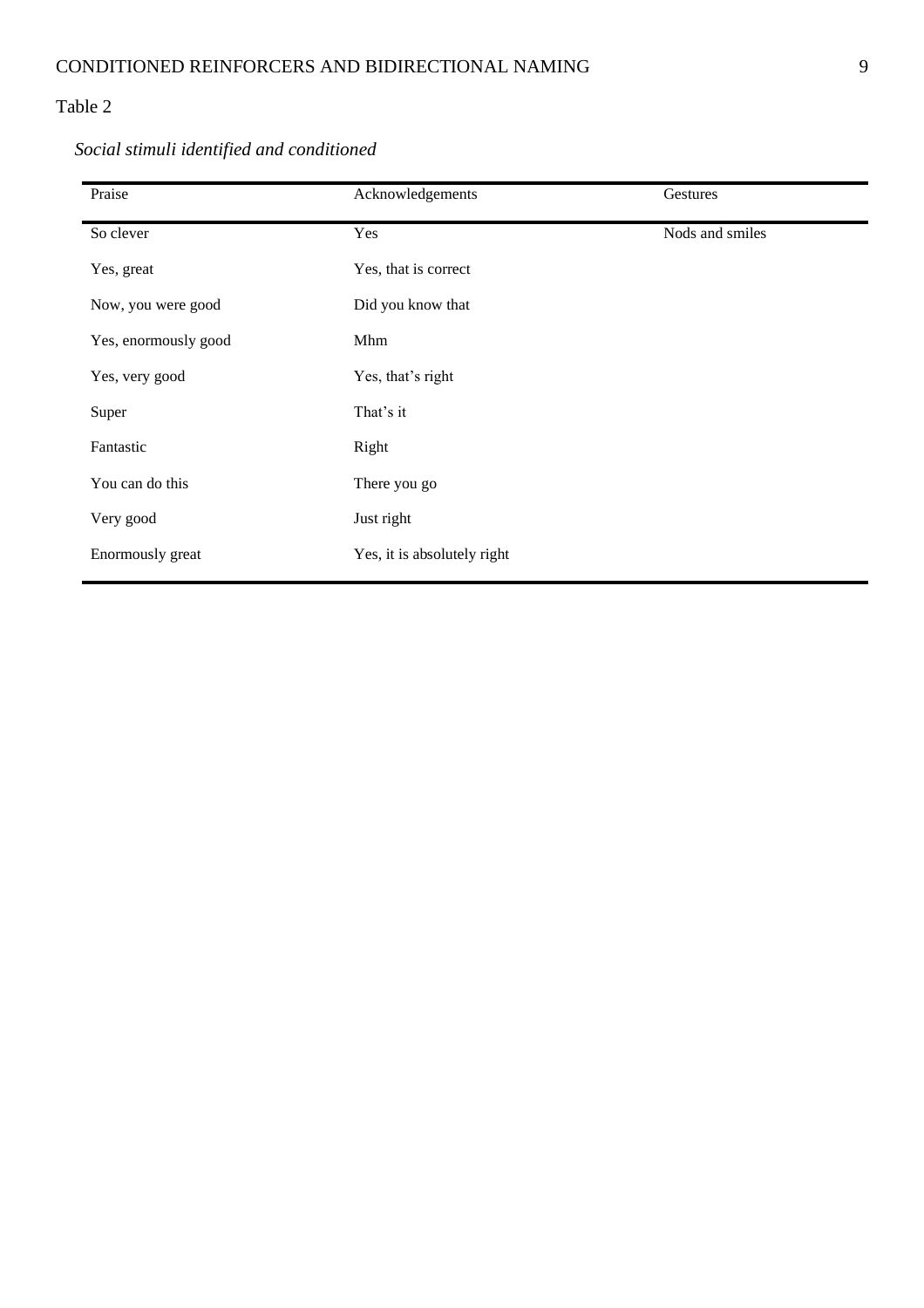| Praise               | Acknowledgements            | Gestures        |
|----------------------|-----------------------------|-----------------|
| So clever            | Yes                         | Nods and smiles |
| Yes, great           | Yes, that is correct        |                 |
| Now, you were good   | Did you know that           |                 |
| Yes, enormously good | Mhm                         |                 |
| Yes, very good       | Yes, that's right           |                 |
| Super                | That's it                   |                 |
| Fantastic            | Right                       |                 |
| You can do this      | There you go                |                 |
| Very good            | Just right                  |                 |
| Enormously great     | Yes, it is absolutely right |                 |

# *Social stimuli identified and conditioned*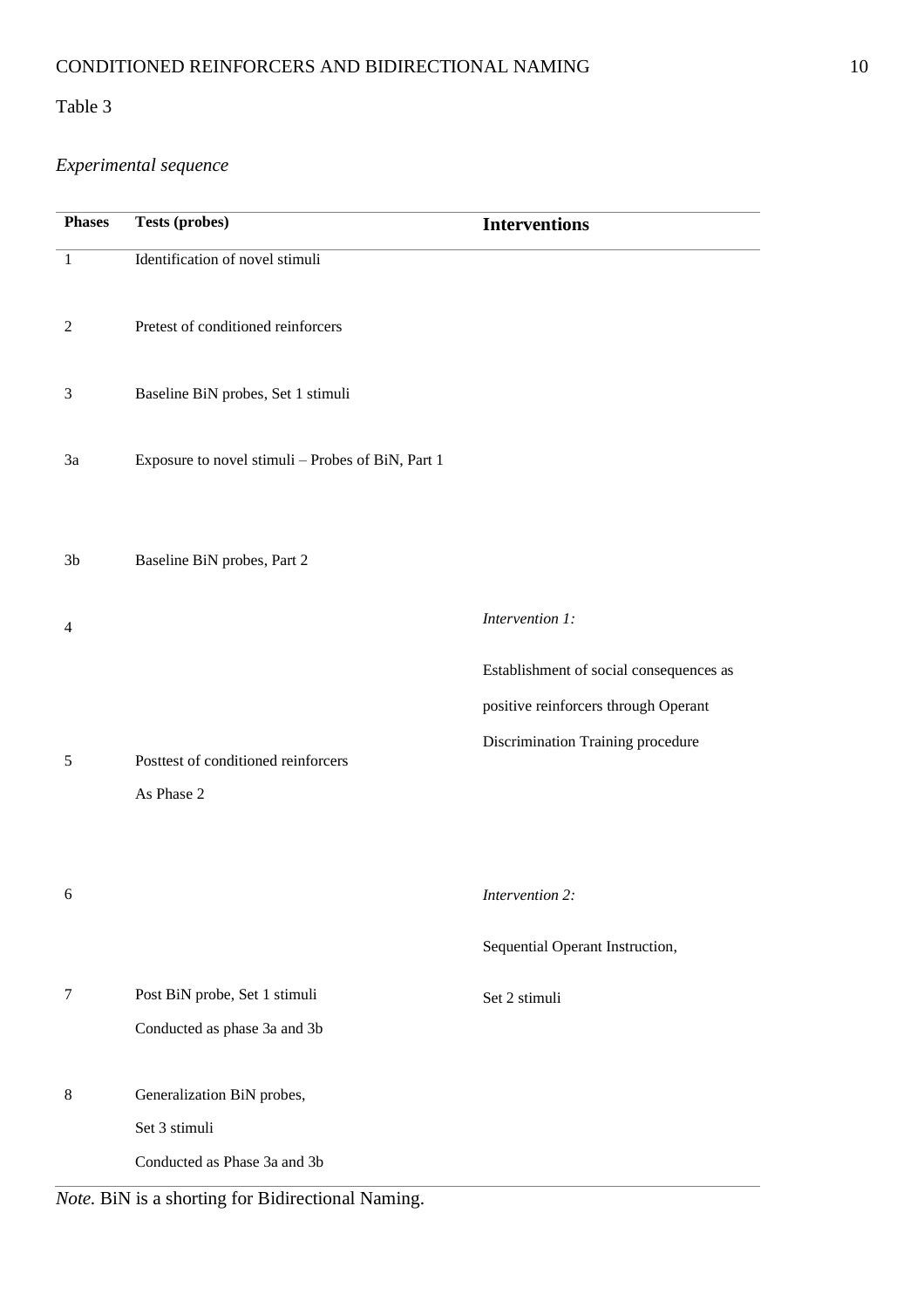# *Experimental sequence*

| <b>Phases</b>  | <b>Tests (probes)</b>                                                       | <b>Interventions</b>                                                                                                 |
|----------------|-----------------------------------------------------------------------------|----------------------------------------------------------------------------------------------------------------------|
| $\mathbf{1}$   | Identification of novel stimuli                                             |                                                                                                                      |
| $\overline{2}$ | Pretest of conditioned reinforcers                                          |                                                                                                                      |
| $\mathfrak{Z}$ | Baseline BiN probes, Set 1 stimuli                                          |                                                                                                                      |
| 3a             | Exposure to novel stimuli - Probes of BiN, Part 1                           |                                                                                                                      |
| 3 <sub>b</sub> | Baseline BiN probes, Part 2                                                 |                                                                                                                      |
| $\overline{4}$ |                                                                             | Intervention 1:                                                                                                      |
| 5              | Posttest of conditioned reinforcers<br>As Phase 2                           | Establishment of social consequences as<br>positive reinforcers through Operant<br>Discrimination Training procedure |
| 6              |                                                                             | Intervention 2:<br>Sequential Operant Instruction,                                                                   |
| $\tau$         | Post BiN probe, Set 1 stimuli<br>Conducted as phase 3a and 3b               | Set 2 stimuli                                                                                                        |
| $8\,$          | Generalization BiN probes,<br>Set 3 stimuli<br>Conducted as Phase 3a and 3b |                                                                                                                      |

*Note.* BiN is a shorting for Bidirectional Naming.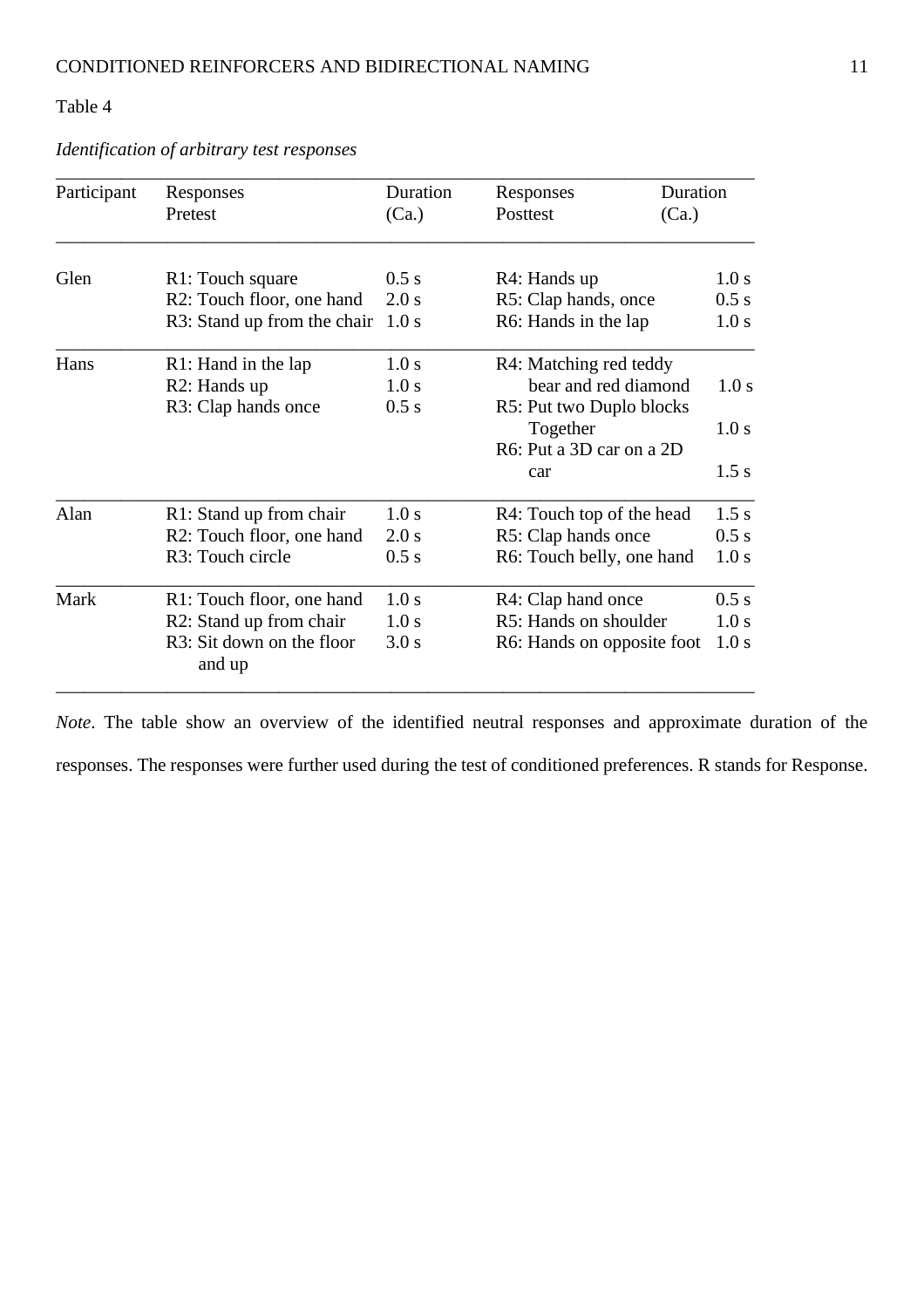| Participant | Responses                           | Duration | Responses                      | Duration |  |
|-------------|-------------------------------------|----------|--------------------------------|----------|--|
|             | Pretest                             | (Ca.)    | Posttest                       | (Ca.)    |  |
| Glen        | R1: Touch square                    | 0.5 s    | R4: Hands up                   | 1.0 s    |  |
|             | R2: Touch floor, one hand           | 2.0 s    | R5: Clap hands, once<br>0.5 s  |          |  |
|             | R3: Stand up from the chair         | 1.0 s    | R6: Hands in the lap           | 1.0 s    |  |
| Hans        | R1: Hand in the lap                 | 1.0 s    | R4: Matching red teddy         |          |  |
|             | R <sub>2</sub> : Hands up           | 1.0 s    | bear and red diamond           | 1.0 s    |  |
|             | R3: Clap hands once                 | 0.5 s    | R5: Put two Duplo blocks       |          |  |
|             |                                     |          | Together                       | 1.0 s    |  |
|             |                                     |          | R6: Put a 3D car on a 2D       |          |  |
|             |                                     |          | car                            | 1.5 s    |  |
| Alan        | R1: Stand up from chair             | 1.0 s    | R4: Touch top of the head      | 1.5 s    |  |
|             | R2: Touch floor, one hand           | 2.0 s    | R5: Clap hands once            | 0.5 s    |  |
|             | R3: Touch circle                    | 0.5 s    | R6: Touch belly, one hand      | 1.0 s    |  |
| Mark        | R1: Touch floor, one hand           | 1.0 s    | R4: Clap hand once             | 0.5 s    |  |
|             | R2: Stand up from chair             | 1.0 s    | R5: Hands on shoulder<br>1.0 s |          |  |
|             | R3: Sit down on the floor<br>and up | 3.0 s    | R6: Hands on opposite foot     | 1.0 s    |  |

*Identification of arbitrary test responses*

*Note*. The table show an overview of the identified neutral responses and approximate duration of the responses. The responses were further used during the test of conditioned preferences. R stands for Response.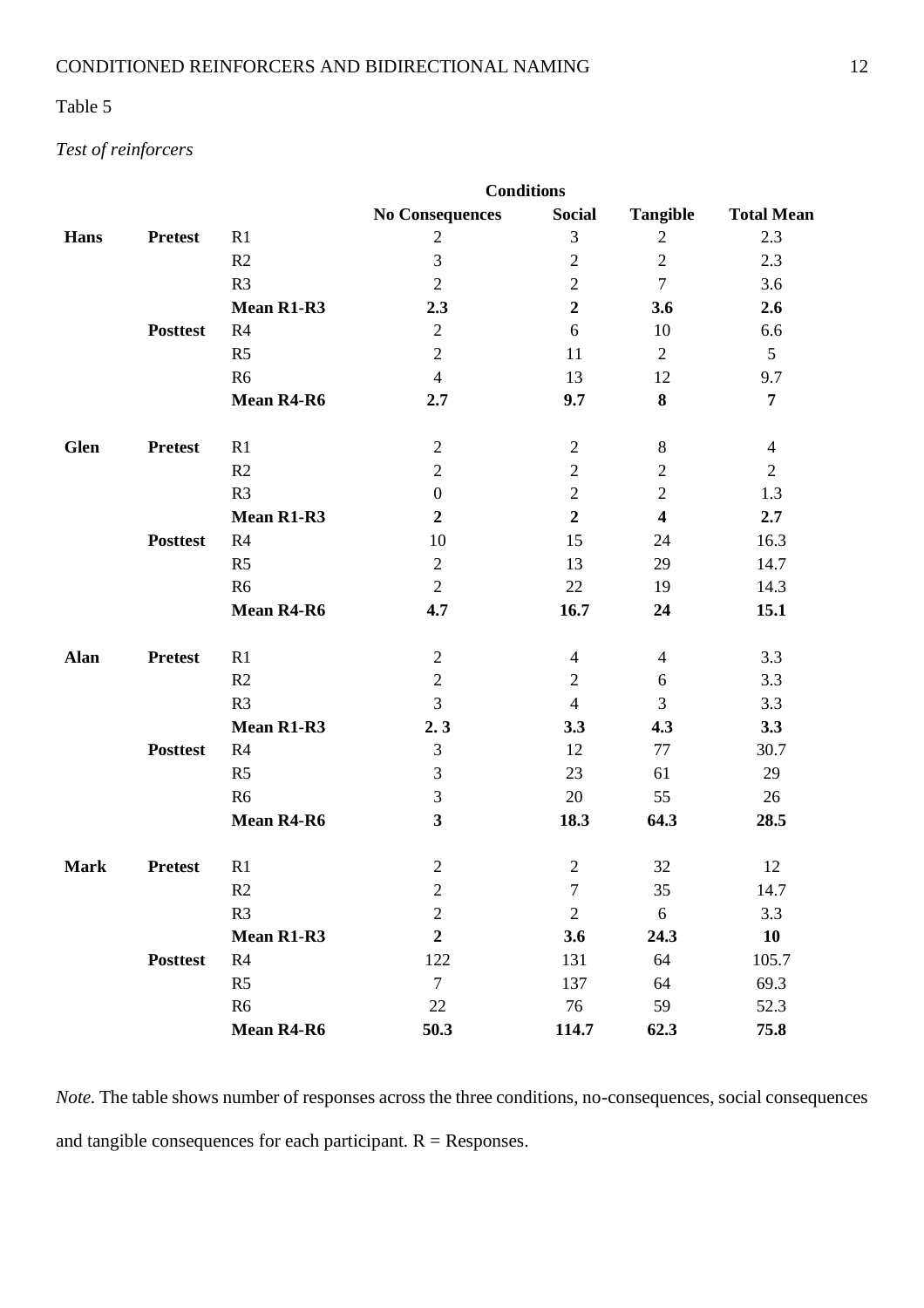## *Test of reinforcers*

|             |                 |                   | <b>Conditions</b>       |                  |                         |                   |
|-------------|-----------------|-------------------|-------------------------|------------------|-------------------------|-------------------|
|             |                 |                   | <b>No Consequences</b>  | <b>Social</b>    | <b>Tangible</b>         | <b>Total Mean</b> |
| <b>Hans</b> | <b>Pretest</b>  | R1                | $\sqrt{2}$              | $\mathfrak{Z}$   | $\sqrt{2}$              | 2.3               |
|             |                 | R2                | 3                       | $\overline{2}$   | $\overline{2}$          | 2.3               |
|             |                 | R <sub>3</sub>    | $\overline{2}$          | $\overline{2}$   | $\overline{7}$          | 3.6               |
|             |                 | Mean R1-R3        | 2.3                     | $\overline{2}$   | 3.6                     | 2.6               |
|             | <b>Posttest</b> | R4                | $\sqrt{2}$              | 6                | 10                      | 6.6               |
|             |                 | R <sub>5</sub>    | $\sqrt{2}$              | 11               | $\overline{2}$          | 5                 |
|             |                 | R <sub>6</sub>    | $\overline{4}$          | 13               | 12                      | 9.7               |
|             |                 | Mean R4-R6        | 2.7                     | 9.7              | 8                       | $\overline{7}$    |
| <b>Glen</b> | <b>Pretest</b>  | R1                | $\mathbf{2}$            | $\mathfrak{2}$   | $8\,$                   | $\overline{4}$    |
|             |                 | R2                | $\sqrt{2}$              | $\overline{2}$   | $\mathfrak{2}$          | $\overline{2}$    |
|             |                 | R <sub>3</sub>    | $\boldsymbol{0}$        | $\overline{2}$   | $\overline{2}$          | 1.3               |
|             |                 | Mean R1-R3        | $\overline{2}$          | $\overline{2}$   | $\overline{\mathbf{4}}$ | 2.7               |
|             | <b>Posttest</b> | R4                | 10                      | 15               | 24                      | 16.3              |
|             |                 | R <sub>5</sub>    | $\sqrt{2}$              | 13               | 29                      | 14.7              |
|             |                 | R <sub>6</sub>    | $\overline{2}$          | 22               | 19                      | 14.3              |
|             |                 | Mean R4-R6        | 4.7                     | 16.7             | 24                      | 15.1              |
| Alan        | <b>Pretest</b>  | R1                | $\mathbf{2}$            | $\overline{4}$   | $\overline{4}$          | 3.3               |
|             |                 | R2                | $\overline{2}$          | $\overline{2}$   | 6                       | 3.3               |
|             |                 | R <sub>3</sub>    | $\overline{3}$          | $\overline{4}$   | 3                       | 3.3               |
|             |                 | Mean R1-R3        | 2.3                     | 3.3              | 4.3                     | 3.3               |
|             | <b>Posttest</b> | R4                | 3                       | 12               | 77                      | 30.7              |
|             |                 | R <sub>5</sub>    | 3                       | 23               | 61                      | 29                |
|             |                 | R <sub>6</sub>    | $\mathfrak{Z}$          | 20               | 55                      | 26                |
|             |                 | Mean R4-R6        | $\overline{\mathbf{3}}$ | 18.3             | 64.3                    | 28.5              |
| <b>Mark</b> | <b>Pretest</b>  | R1                | $\overline{2}$          | $\overline{2}$   | 32                      | 12                |
|             |                 | R2                | $\sqrt{2}$              | $\boldsymbol{7}$ | 35                      | 14.7              |
|             |                 | R3                | $\sqrt{2}$              | $\overline{2}$   | 6                       | 3.3               |
|             |                 | <b>Mean R1-R3</b> | $\boldsymbol{2}$        | 3.6              | 24.3                    | 10                |
|             | <b>Posttest</b> | R4                | 122                     | 131              | 64                      | 105.7             |
|             |                 | R <sub>5</sub>    | $\tau$                  | 137              | 64                      | 69.3              |
|             |                 | R <sub>6</sub>    | 22                      | 76               | 59                      | 52.3              |
|             |                 | Mean R4-R6        | 50.3                    | 114.7            | 62.3                    | 75.8              |

*Note.* The table shows number of responses across the three conditions, no-consequences, social consequences and tangible consequences for each participant.  $R =$  Responses.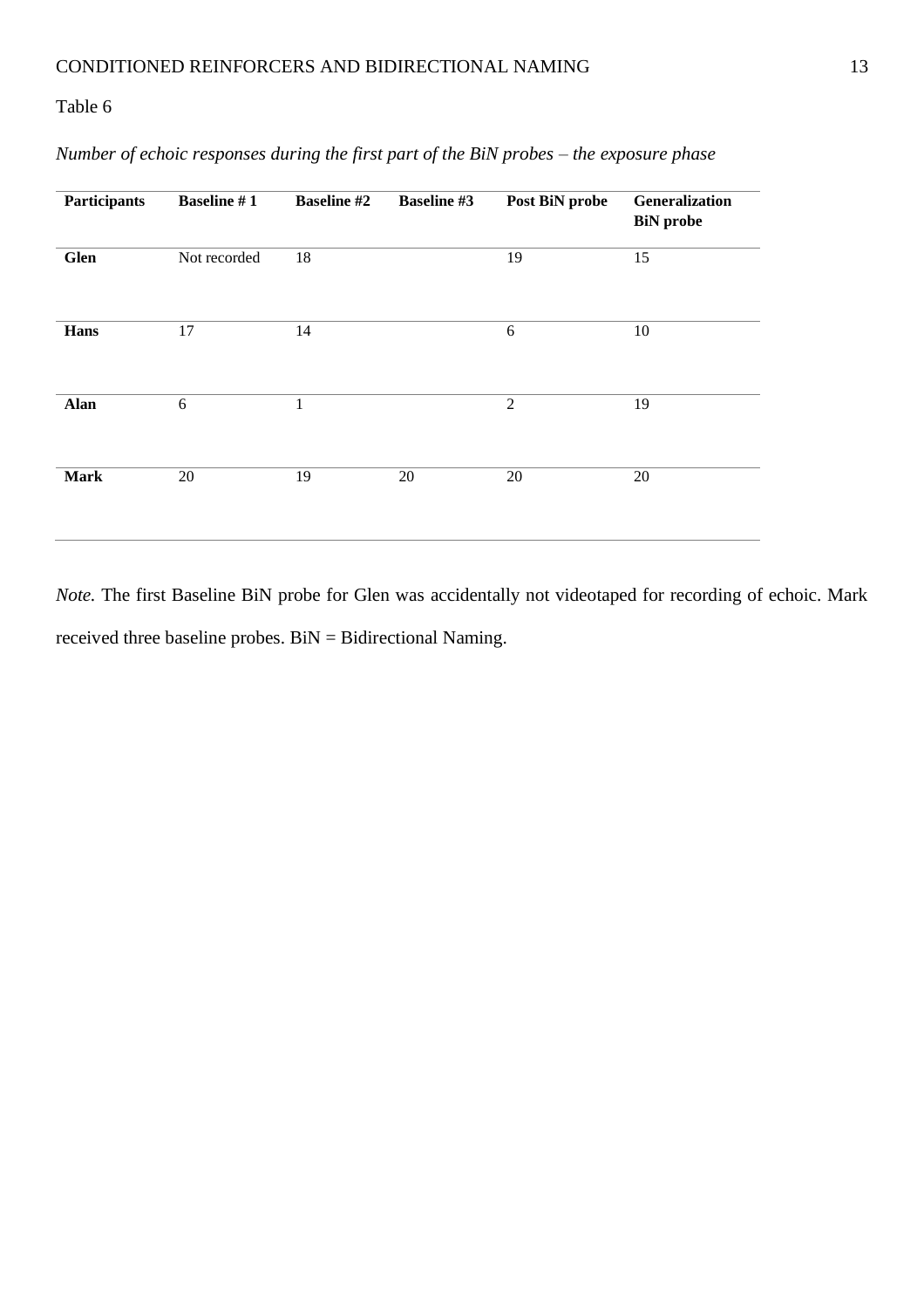| Participants | <b>Baseline #1</b> | <b>Baseline #2</b> | <b>Baseline #3</b> | Post BiN probe | Generalization<br><b>BiN</b> probe |
|--------------|--------------------|--------------------|--------------------|----------------|------------------------------------|
| <b>Glen</b>  | Not recorded       | 18                 |                    | 19             | 15                                 |
| Hans         | 17                 | 14                 |                    | 6              | 10                                 |
| <b>Alan</b>  | 6                  | $\mathbf{1}$       |                    | $\overline{2}$ | 19                                 |
| <b>Mark</b>  | 20                 | 19                 | 20                 | 20             | 20                                 |

*Number of echoic responses during the first part of the BiN probes – the exposure phase*

*Note*. The first Baseline BiN probe for Glen was accidentally not videotaped for recording of echoic. Mark received three baseline probes. BiN = Bidirectional Naming.